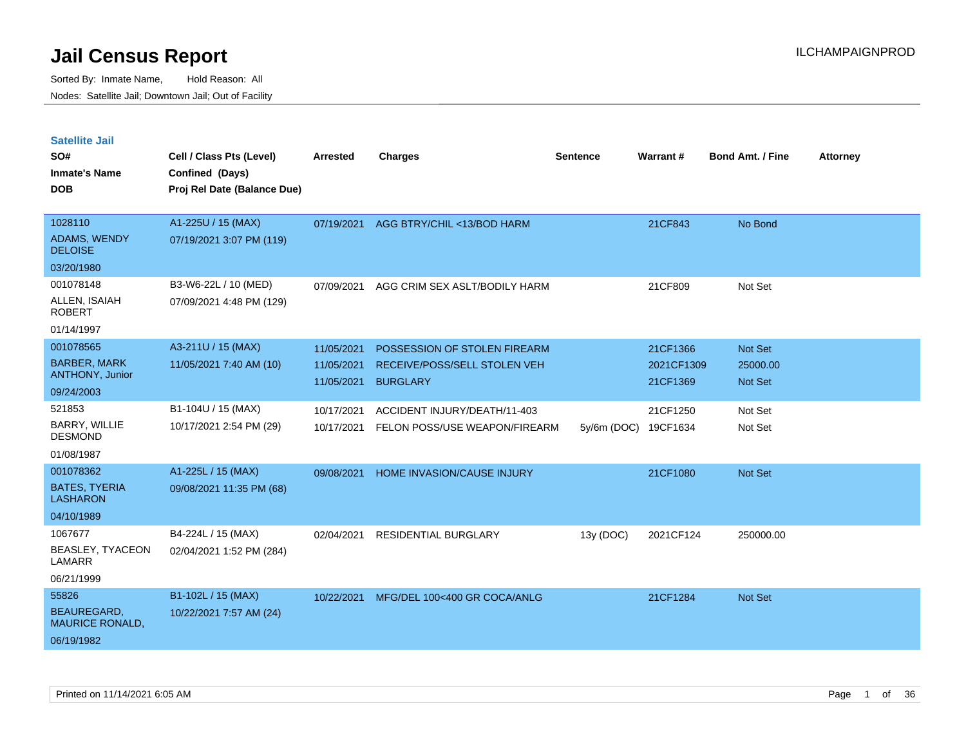| <b>Satellite Jail</b><br>SO#<br><b>Inmate's Name</b><br><b>DOB</b>       | Cell / Class Pts (Level)<br>Confined (Days)<br>Proj Rel Date (Balance Due) | <b>Arrested</b>                        | <b>Charges</b>                                                                  | Sentence    | <b>Warrant#</b>                    | <b>Bond Amt. / Fine</b>               | <b>Attorney</b> |
|--------------------------------------------------------------------------|----------------------------------------------------------------------------|----------------------------------------|---------------------------------------------------------------------------------|-------------|------------------------------------|---------------------------------------|-----------------|
| 1028110<br>ADAMS, WENDY<br><b>DELOISE</b>                                | A1-225U / 15 (MAX)<br>07/19/2021 3:07 PM (119)                             | 07/19/2021                             | AGG BTRY/CHIL <13/BOD HARM                                                      |             | 21CF843                            | No Bond                               |                 |
| 03/20/1980                                                               |                                                                            |                                        |                                                                                 |             |                                    |                                       |                 |
| 001078148<br>ALLEN, ISAIAH<br><b>ROBERT</b>                              | B3-W6-22L / 10 (MED)<br>07/09/2021 4:48 PM (129)                           | 07/09/2021                             | AGG CRIM SEX ASLT/BODILY HARM                                                   |             | 21CF809                            | Not Set                               |                 |
| 01/14/1997                                                               |                                                                            |                                        |                                                                                 |             |                                    |                                       |                 |
| 001078565<br><b>BARBER, MARK</b><br><b>ANTHONY, Junior</b><br>09/24/2003 | A3-211U / 15 (MAX)<br>11/05/2021 7:40 AM (10)                              | 11/05/2021<br>11/05/2021<br>11/05/2021 | POSSESSION OF STOLEN FIREARM<br>RECEIVE/POSS/SELL STOLEN VEH<br><b>BURGLARY</b> |             | 21CF1366<br>2021CF1309<br>21CF1369 | Not Set<br>25000.00<br><b>Not Set</b> |                 |
| 521853                                                                   | B1-104U / 15 (MAX)                                                         |                                        |                                                                                 |             |                                    |                                       |                 |
| BARRY, WILLIE<br><b>DESMOND</b>                                          | 10/17/2021 2:54 PM (29)                                                    | 10/17/2021<br>10/17/2021               | ACCIDENT INJURY/DEATH/11-403<br>FELON POSS/USE WEAPON/FIREARM                   | 5y/6m (DOC) | 21CF1250<br>19CF1634               | Not Set<br>Not Set                    |                 |
| 01/08/1987                                                               |                                                                            |                                        |                                                                                 |             |                                    |                                       |                 |
| 001078362<br><b>BATES, TYERIA</b><br><b>LASHARON</b>                     | A1-225L / 15 (MAX)<br>09/08/2021 11:35 PM (68)                             | 09/08/2021                             | HOME INVASION/CAUSE INJURY                                                      |             | 21CF1080                           | <b>Not Set</b>                        |                 |
| 04/10/1989                                                               |                                                                            |                                        |                                                                                 |             |                                    |                                       |                 |
| 1067677<br>BEASLEY, TYACEON<br>LAMARR                                    | B4-224L / 15 (MAX)<br>02/04/2021 1:52 PM (284)                             | 02/04/2021                             | <b>RESIDENTIAL BURGLARY</b>                                                     | 13y (DOC)   | 2021CF124                          | 250000.00                             |                 |
| 06/21/1999                                                               |                                                                            |                                        |                                                                                 |             |                                    |                                       |                 |
| 55826                                                                    | B1-102L / 15 (MAX)                                                         | 10/22/2021                             | MFG/DEL 100<400 GR COCA/ANLG                                                    |             | 21CF1284                           | <b>Not Set</b>                        |                 |
| BEAUREGARD,<br><b>MAURICE RONALD,</b><br>06/19/1982                      | 10/22/2021 7:57 AM (24)                                                    |                                        |                                                                                 |             |                                    |                                       |                 |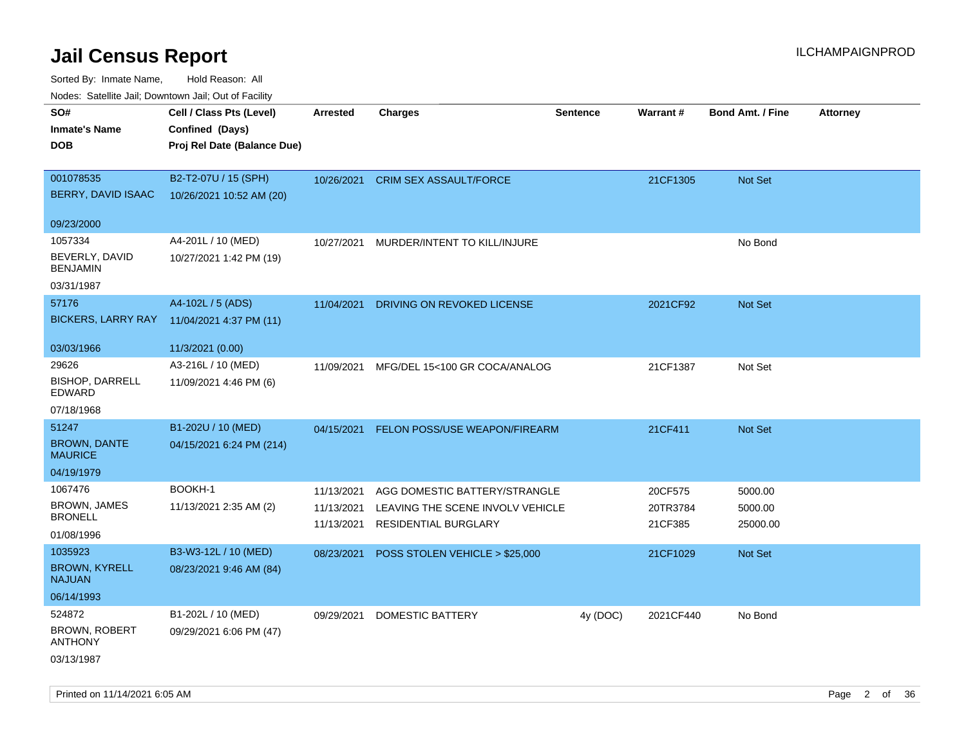| <b>Nouro:</b> Catoline Jan, Downtown Jan, Out of Fability |                             |                 |                                   |                 |           |                         |                 |
|-----------------------------------------------------------|-----------------------------|-----------------|-----------------------------------|-----------------|-----------|-------------------------|-----------------|
| SO#                                                       | Cell / Class Pts (Level)    | <b>Arrested</b> | <b>Charges</b>                    | <b>Sentence</b> | Warrant#  | <b>Bond Amt. / Fine</b> | <b>Attorney</b> |
| <b>Inmate's Name</b>                                      | Confined (Days)             |                 |                                   |                 |           |                         |                 |
| <b>DOB</b>                                                | Proj Rel Date (Balance Due) |                 |                                   |                 |           |                         |                 |
|                                                           |                             |                 |                                   |                 |           |                         |                 |
| 001078535                                                 | B2-T2-07U / 15 (SPH)        |                 | 10/26/2021 CRIM SEX ASSAULT/FORCE |                 | 21CF1305  | Not Set                 |                 |
| BERRY, DAVID ISAAC                                        | 10/26/2021 10:52 AM (20)    |                 |                                   |                 |           |                         |                 |
|                                                           |                             |                 |                                   |                 |           |                         |                 |
| 09/23/2000                                                |                             |                 |                                   |                 |           |                         |                 |
| 1057334                                                   | A4-201L / 10 (MED)          | 10/27/2021      | MURDER/INTENT TO KILL/INJURE      |                 |           | No Bond                 |                 |
| BEVERLY, DAVID<br><b>BENJAMIN</b>                         | 10/27/2021 1:42 PM (19)     |                 |                                   |                 |           |                         |                 |
| 03/31/1987                                                |                             |                 |                                   |                 |           |                         |                 |
| 57176                                                     | A4-102L / 5 (ADS)           | 11/04/2021      | DRIVING ON REVOKED LICENSE        |                 | 2021CF92  | <b>Not Set</b>          |                 |
| <b>BICKERS, LARRY RAY</b>                                 | 11/04/2021 4:37 PM (11)     |                 |                                   |                 |           |                         |                 |
|                                                           |                             |                 |                                   |                 |           |                         |                 |
| 03/03/1966                                                | 11/3/2021 (0.00)            |                 |                                   |                 |           |                         |                 |
| 29626                                                     | A3-216L / 10 (MED)          | 11/09/2021      | MFG/DEL 15<100 GR COCA/ANALOG     |                 | 21CF1387  | Not Set                 |                 |
| <b>BISHOP, DARRELL</b><br>EDWARD                          | 11/09/2021 4:46 PM (6)      |                 |                                   |                 |           |                         |                 |
| 07/18/1968                                                |                             |                 |                                   |                 |           |                         |                 |
| 51247                                                     | B1-202U / 10 (MED)          | 04/15/2021      | FELON POSS/USE WEAPON/FIREARM     |                 | 21CF411   | <b>Not Set</b>          |                 |
| <b>BROWN, DANTE</b><br><b>MAURICE</b>                     | 04/15/2021 6:24 PM (214)    |                 |                                   |                 |           |                         |                 |
| 04/19/1979                                                |                             |                 |                                   |                 |           |                         |                 |
| 1067476                                                   | BOOKH-1                     | 11/13/2021      | AGG DOMESTIC BATTERY/STRANGLE     |                 | 20CF575   | 5000.00                 |                 |
| <b>BROWN, JAMES</b>                                       | 11/13/2021 2:35 AM (2)      | 11/13/2021      | LEAVING THE SCENE INVOLV VEHICLE  |                 | 20TR3784  | 5000.00                 |                 |
| <b>BRONELL</b>                                            |                             | 11/13/2021      | RESIDENTIAL BURGLARY              |                 | 21CF385   | 25000.00                |                 |
| 01/08/1996                                                |                             |                 |                                   |                 |           |                         |                 |
| 1035923                                                   | B3-W3-12L / 10 (MED)        | 08/23/2021      | POSS STOLEN VEHICLE > \$25,000    |                 | 21CF1029  | <b>Not Set</b>          |                 |
| <b>BROWN, KYRELL</b><br><b>NAJUAN</b>                     | 08/23/2021 9:46 AM (84)     |                 |                                   |                 |           |                         |                 |
| 06/14/1993                                                |                             |                 |                                   |                 |           |                         |                 |
| 524872                                                    | B1-202L / 10 (MED)          | 09/29/2021      | DOMESTIC BATTERY                  | 4y (DOC)        | 2021CF440 | No Bond                 |                 |
| <b>BROWN, ROBERT</b><br><b>ANTHONY</b>                    | 09/29/2021 6:06 PM (47)     |                 |                                   |                 |           |                         |                 |
| 03/13/1987                                                |                             |                 |                                   |                 |           |                         |                 |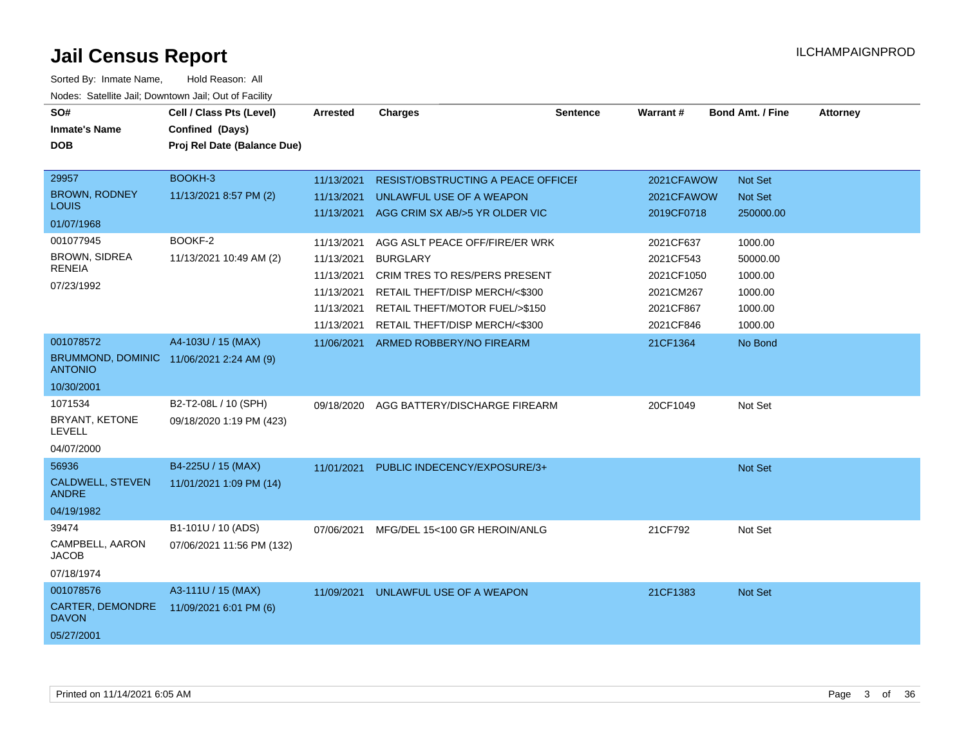| SO#<br><b>Inmate's Name</b>                                             | Cell / Class Pts (Level)<br>Confined (Days)      | <b>Arrested</b>                        | <b>Charges</b>                                                                                     | <b>Sentence</b> | Warrant#                             | <b>Bond Amt. / Fine</b>        | <b>Attorney</b> |
|-------------------------------------------------------------------------|--------------------------------------------------|----------------------------------------|----------------------------------------------------------------------------------------------------|-----------------|--------------------------------------|--------------------------------|-----------------|
| <b>DOB</b>                                                              | Proj Rel Date (Balance Due)                      |                                        |                                                                                                    |                 |                                      |                                |                 |
| 29957                                                                   | BOOKH-3                                          | 11/13/2021                             | <b>RESIST/OBSTRUCTING A PEACE OFFICEF</b>                                                          |                 | 2021CFAWOW                           | Not Set                        |                 |
| <b>BROWN, RODNEY</b><br><b>LOUIS</b>                                    | 11/13/2021 8:57 PM (2)                           | 11/13/2021                             | UNLAWFUL USE OF A WEAPON<br>11/13/2021 AGG CRIM SX AB/>5 YR OLDER VIC                              |                 | 2021CFAWOW<br>2019CF0718             | <b>Not Set</b><br>250000.00    |                 |
| 01/07/1968                                                              |                                                  |                                        |                                                                                                    |                 |                                      |                                |                 |
| 001077945<br><b>BROWN, SIDREA</b><br><b>RENEIA</b><br>07/23/1992        | BOOKF-2<br>11/13/2021 10:49 AM (2)               | 11/13/2021<br>11/13/2021<br>11/13/2021 | AGG ASLT PEACE OFF/FIRE/ER WRK<br><b>BURGLARY</b><br>CRIM TRES TO RES/PERS PRESENT                 |                 | 2021CF637<br>2021CF543<br>2021CF1050 | 1000.00<br>50000.00<br>1000.00 |                 |
|                                                                         |                                                  | 11/13/2021<br>11/13/2021<br>11/13/2021 | RETAIL THEFT/DISP MERCH/<\$300<br>RETAIL THEFT/MOTOR FUEL/>\$150<br>RETAIL THEFT/DISP MERCH/<\$300 |                 | 2021CM267<br>2021CF867<br>2021CF846  | 1000.00<br>1000.00<br>1000.00  |                 |
| 001078572<br>BRUMMOND, DOMINIC 11/06/2021 2:24 AM (9)<br><b>ANTONIO</b> | A4-103U / 15 (MAX)                               | 11/06/2021                             | ARMED ROBBERY/NO FIREARM                                                                           |                 | 21CF1364                             | No Bond                        |                 |
| 10/30/2001                                                              |                                                  |                                        |                                                                                                    |                 |                                      |                                |                 |
| 1071534<br>BRYANT, KETONE<br><b>LEVELL</b><br>04/07/2000                | B2-T2-08L / 10 (SPH)<br>09/18/2020 1:19 PM (423) | 09/18/2020                             | AGG BATTERY/DISCHARGE FIREARM                                                                      |                 | 20CF1049                             | Not Set                        |                 |
| 56936<br><b>CALDWELL, STEVEN</b><br><b>ANDRE</b><br>04/19/1982          | B4-225U / 15 (MAX)<br>11/01/2021 1:09 PM (14)    | 11/01/2021                             | PUBLIC INDECENCY/EXPOSURE/3+                                                                       |                 |                                      | Not Set                        |                 |
| 39474<br>CAMPBELL, AARON<br><b>JACOB</b><br>07/18/1974                  | B1-101U / 10 (ADS)<br>07/06/2021 11:56 PM (132)  | 07/06/2021                             | MFG/DEL 15<100 GR HEROIN/ANLG                                                                      |                 | 21CF792                              | Not Set                        |                 |
| 001078576<br>CARTER, DEMONDRE<br><b>DAVON</b><br>05/27/2001             | A3-111U / 15 (MAX)<br>11/09/2021 6:01 PM (6)     | 11/09/2021                             | UNLAWFUL USE OF A WEAPON                                                                           |                 | 21CF1383                             | Not Set                        |                 |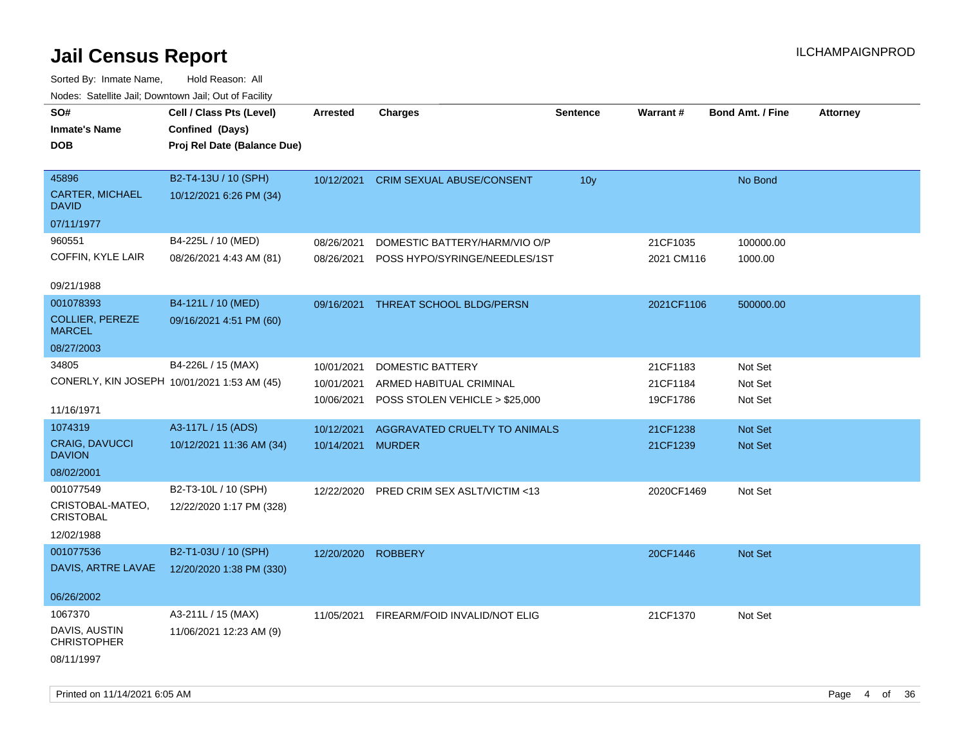| roaco. Odichile Jan, Downtown Jan, Out of Facility |                             |                 |                                  |                 |            |                         |                 |
|----------------------------------------------------|-----------------------------|-----------------|----------------------------------|-----------------|------------|-------------------------|-----------------|
| SO#                                                | Cell / Class Pts (Level)    | <b>Arrested</b> | <b>Charges</b>                   | <b>Sentence</b> | Warrant#   | <b>Bond Amt. / Fine</b> | <b>Attorney</b> |
| <b>Inmate's Name</b>                               | Confined (Days)             |                 |                                  |                 |            |                         |                 |
| <b>DOB</b>                                         | Proj Rel Date (Balance Due) |                 |                                  |                 |            |                         |                 |
|                                                    |                             |                 |                                  |                 |            |                         |                 |
| 45896                                              | B2-T4-13U / 10 (SPH)        | 10/12/2021      | <b>CRIM SEXUAL ABUSE/CONSENT</b> | 10 <sub>y</sub> |            | No Bond                 |                 |
| <b>CARTER, MICHAEL</b><br><b>DAVID</b>             | 10/12/2021 6:26 PM (34)     |                 |                                  |                 |            |                         |                 |
| 07/11/1977                                         |                             |                 |                                  |                 |            |                         |                 |
| 960551                                             | B4-225L / 10 (MED)          | 08/26/2021      | DOMESTIC BATTERY/HARM/VIO O/P    |                 | 21CF1035   | 100000.00               |                 |
| COFFIN, KYLE LAIR                                  | 08/26/2021 4:43 AM (81)     | 08/26/2021      | POSS HYPO/SYRINGE/NEEDLES/1ST    |                 | 2021 CM116 | 1000.00                 |                 |
| 09/21/1988                                         |                             |                 |                                  |                 |            |                         |                 |
| 001078393                                          | B4-121L / 10 (MED)          | 09/16/2021      | THREAT SCHOOL BLDG/PERSN         |                 | 2021CF1106 | 500000.00               |                 |
| COLLIER, PEREZE<br><b>MARCEL</b>                   | 09/16/2021 4:51 PM (60)     |                 |                                  |                 |            |                         |                 |
| 08/27/2003                                         |                             |                 |                                  |                 |            |                         |                 |
| 34805                                              | B4-226L / 15 (MAX)          | 10/01/2021      | DOMESTIC BATTERY                 |                 | 21CF1183   | Not Set                 |                 |
| CONERLY, KIN JOSEPH 10/01/2021 1:53 AM (45)        |                             | 10/01/2021      | ARMED HABITUAL CRIMINAL          |                 | 21CF1184   | Not Set                 |                 |
|                                                    |                             | 10/06/2021      | POSS STOLEN VEHICLE > \$25,000   |                 | 19CF1786   | Not Set                 |                 |
| 11/16/1971                                         |                             |                 |                                  |                 |            |                         |                 |
| 1074319                                            | A3-117L / 15 (ADS)          | 10/12/2021      | AGGRAVATED CRUELTY TO ANIMALS    |                 | 21CF1238   | Not Set                 |                 |
| <b>CRAIG, DAVUCCI</b><br><b>DAVION</b>             | 10/12/2021 11:36 AM (34)    | 10/14/2021      | <b>MURDER</b>                    |                 | 21CF1239   | Not Set                 |                 |
| 08/02/2001                                         |                             |                 |                                  |                 |            |                         |                 |
| 001077549                                          | B2-T3-10L / 10 (SPH)        | 12/22/2020      | PRED CRIM SEX ASLT/VICTIM <13    |                 | 2020CF1469 | Not Set                 |                 |
| CRISTOBAL-MATEO,<br><b>CRISTOBAL</b>               | 12/22/2020 1:17 PM (328)    |                 |                                  |                 |            |                         |                 |
| 12/02/1988                                         |                             |                 |                                  |                 |            |                         |                 |
| 001077536                                          | B2-T1-03U / 10 (SPH)        | 12/20/2020      | <b>ROBBERY</b>                   |                 | 20CF1446   | <b>Not Set</b>          |                 |
| DAVIS, ARTRE LAVAE                                 | 12/20/2020 1:38 PM (330)    |                 |                                  |                 |            |                         |                 |
|                                                    |                             |                 |                                  |                 |            |                         |                 |
| 06/26/2002                                         |                             |                 |                                  |                 |            |                         |                 |
| 1067370                                            | A3-211L / 15 (MAX)          | 11/05/2021      | FIREARM/FOID INVALID/NOT ELIG    |                 | 21CF1370   | Not Set                 |                 |
| DAVIS, AUSTIN<br><b>CHRISTOPHER</b>                | 11/06/2021 12:23 AM (9)     |                 |                                  |                 |            |                         |                 |
| 08/11/1997                                         |                             |                 |                                  |                 |            |                         |                 |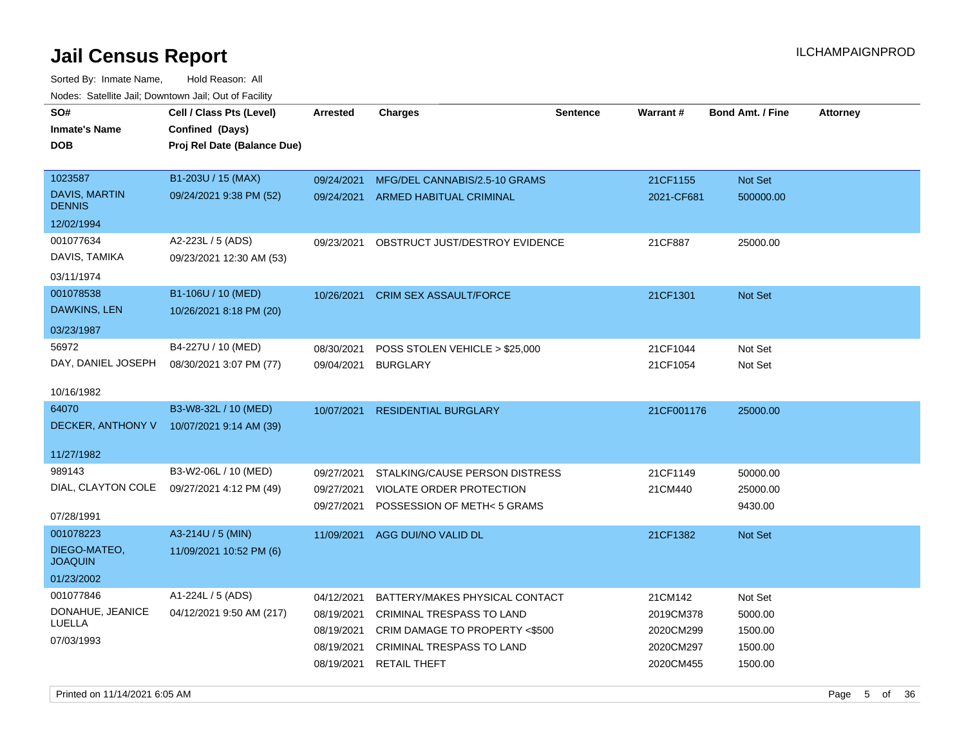| SO#                            | Cell / Class Pts (Level)    | Arrested   | <b>Charges</b>                     | <b>Sentence</b> | Warrant#   | <b>Bond Amt. / Fine</b> | <b>Attorney</b> |
|--------------------------------|-----------------------------|------------|------------------------------------|-----------------|------------|-------------------------|-----------------|
| <b>Inmate's Name</b>           | Confined (Days)             |            |                                    |                 |            |                         |                 |
| <b>DOB</b>                     | Proj Rel Date (Balance Due) |            |                                    |                 |            |                         |                 |
|                                |                             |            |                                    |                 |            |                         |                 |
| 1023587<br>DAVIS, MARTIN       | B1-203U / 15 (MAX)          | 09/24/2021 | MFG/DEL CANNABIS/2.5-10 GRAMS      |                 | 21CF1155   | <b>Not Set</b>          |                 |
| <b>DENNIS</b>                  | 09/24/2021 9:38 PM (52)     |            | 09/24/2021 ARMED HABITUAL CRIMINAL |                 | 2021-CF681 | 500000.00               |                 |
| 12/02/1994                     |                             |            |                                    |                 |            |                         |                 |
| 001077634                      | A2-223L / 5 (ADS)           | 09/23/2021 | OBSTRUCT JUST/DESTROY EVIDENCE     |                 | 21CF887    | 25000.00                |                 |
| DAVIS, TAMIKA                  | 09/23/2021 12:30 AM (53)    |            |                                    |                 |            |                         |                 |
| 03/11/1974                     |                             |            |                                    |                 |            |                         |                 |
| 001078538                      | B1-106U / 10 (MED)          | 10/26/2021 | <b>CRIM SEX ASSAULT/FORCE</b>      |                 | 21CF1301   | <b>Not Set</b>          |                 |
| DAWKINS, LEN                   | 10/26/2021 8:18 PM (20)     |            |                                    |                 |            |                         |                 |
| 03/23/1987                     |                             |            |                                    |                 |            |                         |                 |
| 56972                          | B4-227U / 10 (MED)          | 08/30/2021 | POSS STOLEN VEHICLE > \$25,000     |                 | 21CF1044   | Not Set                 |                 |
| DAY, DANIEL JOSEPH             | 08/30/2021 3:07 PM (77)     | 09/04/2021 | <b>BURGLARY</b>                    |                 | 21CF1054   | Not Set                 |                 |
| 10/16/1982                     |                             |            |                                    |                 |            |                         |                 |
| 64070                          | B3-W8-32L / 10 (MED)        | 10/07/2021 | <b>RESIDENTIAL BURGLARY</b>        |                 | 21CF001176 | 25000.00                |                 |
| DECKER, ANTHONY V              | 10/07/2021 9:14 AM (39)     |            |                                    |                 |            |                         |                 |
|                                |                             |            |                                    |                 |            |                         |                 |
| 11/27/1982                     |                             |            |                                    |                 |            |                         |                 |
| 989143                         | B3-W2-06L / 10 (MED)        | 09/27/2021 | STALKING/CAUSE PERSON DISTRESS     |                 | 21CF1149   | 50000.00                |                 |
| DIAL, CLAYTON COLE             | 09/27/2021 4:12 PM (49)     | 09/27/2021 | VIOLATE ORDER PROTECTION           |                 | 21CM440    | 25000.00                |                 |
|                                |                             | 09/27/2021 | POSSESSION OF METH< 5 GRAMS        |                 |            | 9430.00                 |                 |
| 07/28/1991                     |                             |            |                                    |                 |            |                         |                 |
| 001078223                      | A3-214U / 5 (MIN)           | 11/09/2021 | AGG DUI/NO VALID DL                |                 | 21CF1382   | Not Set                 |                 |
| DIEGO-MATEO,<br><b>JOAQUIN</b> | 11/09/2021 10:52 PM (6)     |            |                                    |                 |            |                         |                 |
| 01/23/2002                     |                             |            |                                    |                 |            |                         |                 |
| 001077846                      | A1-224L / 5 (ADS)           | 04/12/2021 | BATTERY/MAKES PHYSICAL CONTACT     |                 | 21CM142    | Not Set                 |                 |
| DONAHUE, JEANICE               | 04/12/2021 9:50 AM (217)    | 08/19/2021 | <b>CRIMINAL TRESPASS TO LAND</b>   |                 | 2019CM378  | 5000.00                 |                 |
| LUELLA                         |                             | 08/19/2021 | CRIM DAMAGE TO PROPERTY <\$500     |                 | 2020CM299  | 1500.00                 |                 |
| 07/03/1993                     |                             | 08/19/2021 | <b>CRIMINAL TRESPASS TO LAND</b>   |                 | 2020CM297  | 1500.00                 |                 |
|                                |                             |            | 08/19/2021 RETAIL THEFT            |                 | 2020CM455  | 1500.00                 |                 |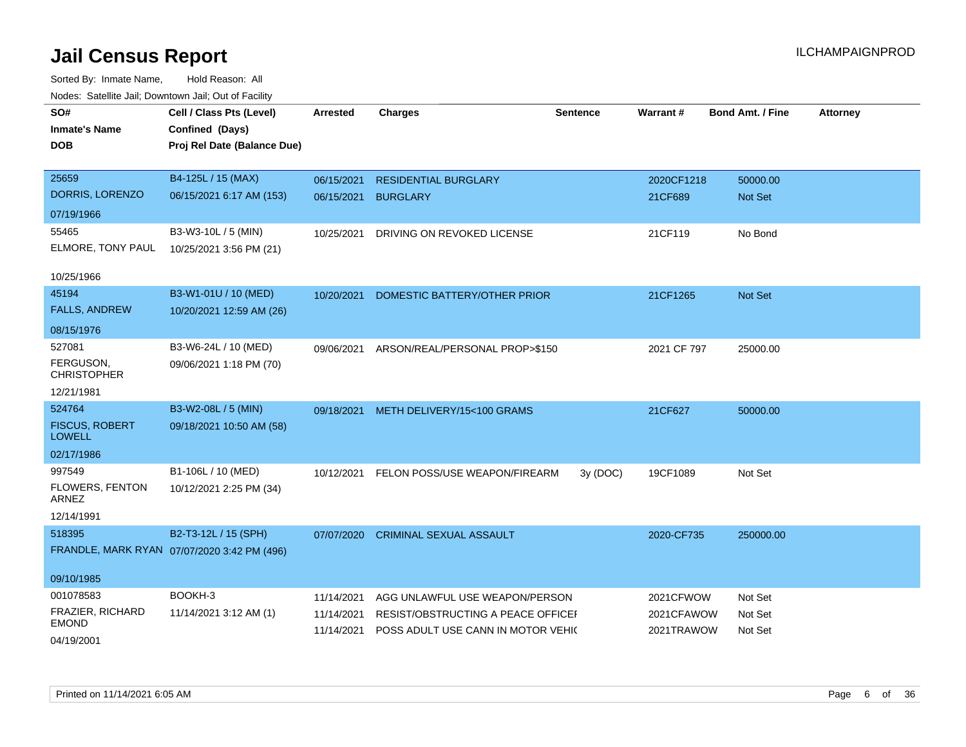| SO#                                    | Cell / Class Pts (Level)                    | <b>Arrested</b> | <b>Charges</b>                     | <b>Sentence</b> | Warrant#    | <b>Bond Amt. / Fine</b> | <b>Attorney</b> |
|----------------------------------------|---------------------------------------------|-----------------|------------------------------------|-----------------|-------------|-------------------------|-----------------|
| <b>Inmate's Name</b>                   | Confined (Days)                             |                 |                                    |                 |             |                         |                 |
| <b>DOB</b>                             | Proj Rel Date (Balance Due)                 |                 |                                    |                 |             |                         |                 |
|                                        |                                             |                 |                                    |                 |             |                         |                 |
| 25659                                  | B4-125L / 15 (MAX)                          | 06/15/2021      | <b>RESIDENTIAL BURGLARY</b>        |                 | 2020CF1218  | 50000.00                |                 |
| DORRIS, LORENZO                        | 06/15/2021 6:17 AM (153)                    | 06/15/2021      | <b>BURGLARY</b>                    |                 | 21CF689     | Not Set                 |                 |
| 07/19/1966                             |                                             |                 |                                    |                 |             |                         |                 |
| 55465                                  | B3-W3-10L / 5 (MIN)                         | 10/25/2021      | DRIVING ON REVOKED LICENSE         |                 | 21CF119     | No Bond                 |                 |
| ELMORE, TONY PAUL                      | 10/25/2021 3:56 PM (21)                     |                 |                                    |                 |             |                         |                 |
| 10/25/1966                             |                                             |                 |                                    |                 |             |                         |                 |
| 45194                                  | B3-W1-01U / 10 (MED)                        | 10/20/2021      | DOMESTIC BATTERY/OTHER PRIOR       |                 | 21CF1265    | Not Set                 |                 |
| <b>FALLS, ANDREW</b>                   | 10/20/2021 12:59 AM (26)                    |                 |                                    |                 |             |                         |                 |
| 08/15/1976                             |                                             |                 |                                    |                 |             |                         |                 |
| 527081                                 | B3-W6-24L / 10 (MED)                        | 09/06/2021      | ARSON/REAL/PERSONAL PROP>\$150     |                 | 2021 CF 797 | 25000.00                |                 |
| FERGUSON,<br><b>CHRISTOPHER</b>        | 09/06/2021 1:18 PM (70)                     |                 |                                    |                 |             |                         |                 |
| 12/21/1981                             |                                             |                 |                                    |                 |             |                         |                 |
| 524764                                 | B3-W2-08L / 5 (MIN)                         | 09/18/2021      | METH DELIVERY/15<100 GRAMS         |                 | 21CF627     | 50000.00                |                 |
| <b>FISCUS, ROBERT</b><br><b>LOWELL</b> | 09/18/2021 10:50 AM (58)                    |                 |                                    |                 |             |                         |                 |
| 02/17/1986                             |                                             |                 |                                    |                 |             |                         |                 |
| 997549                                 | B1-106L / 10 (MED)                          | 10/12/2021      | FELON POSS/USE WEAPON/FIREARM      | 3y (DOC)        | 19CF1089    | Not Set                 |                 |
| FLOWERS, FENTON<br>ARNEZ               | 10/12/2021 2:25 PM (34)                     |                 |                                    |                 |             |                         |                 |
| 12/14/1991                             |                                             |                 |                                    |                 |             |                         |                 |
| 518395                                 | B2-T3-12L / 15 (SPH)                        | 07/07/2020      | <b>CRIMINAL SEXUAL ASSAULT</b>     |                 | 2020-CF735  | 250000.00               |                 |
|                                        | FRANDLE, MARK RYAN 07/07/2020 3:42 PM (496) |                 |                                    |                 |             |                         |                 |
| 09/10/1985                             |                                             |                 |                                    |                 |             |                         |                 |
| 001078583                              | BOOKH-3                                     | 11/14/2021      | AGG UNLAWFUL USE WEAPON/PERSON     |                 | 2021CFWOW   | Not Set                 |                 |
| FRAZIER, RICHARD                       | 11/14/2021 3:12 AM (1)                      | 11/14/2021      | RESIST/OBSTRUCTING A PEACE OFFICEF |                 | 2021CFAWOW  | Not Set                 |                 |
| <b>EMOND</b>                           |                                             | 11/14/2021      | POSS ADULT USE CANN IN MOTOR VEHI( |                 | 2021TRAWOW  | Not Set                 |                 |
| 04/19/2001                             |                                             |                 |                                    |                 |             |                         |                 |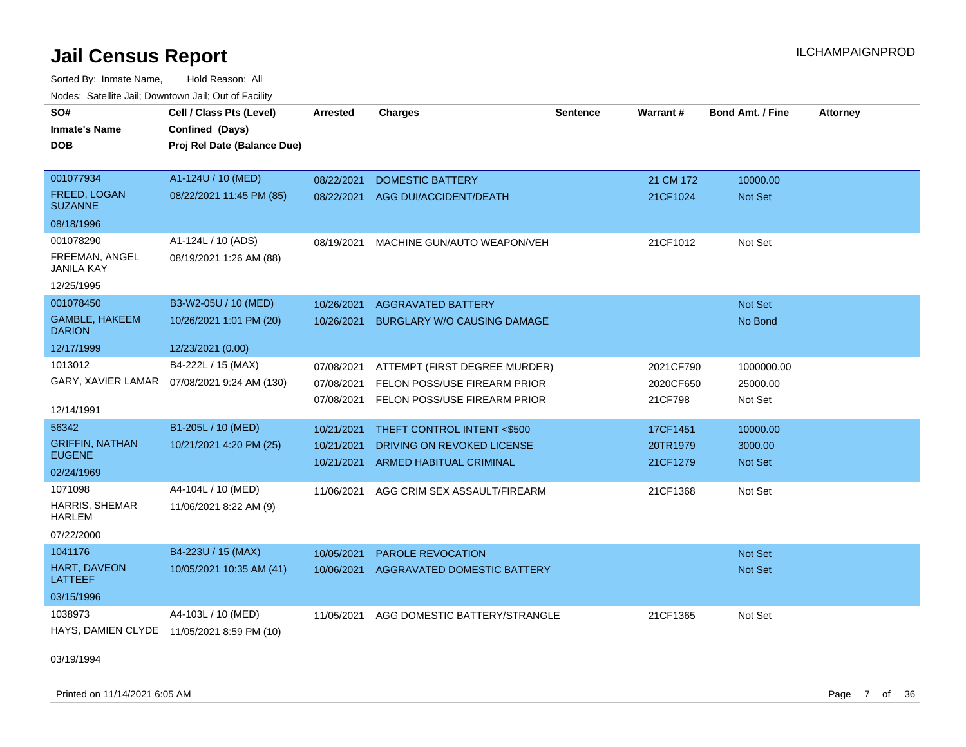Sorted By: Inmate Name, Hold Reason: All Nodes: Satellite Jail; Downtown Jail; Out of Facility

| SO#                                        | Cell / Class Pts (Level)                     | <b>Arrested</b> | <b>Charges</b>                     | <b>Sentence</b> | Warrant#  | <b>Bond Amt. / Fine</b> | <b>Attorney</b> |
|--------------------------------------------|----------------------------------------------|-----------------|------------------------------------|-----------------|-----------|-------------------------|-----------------|
| <b>Inmate's Name</b>                       | Confined (Days)                              |                 |                                    |                 |           |                         |                 |
| <b>DOB</b>                                 | Proj Rel Date (Balance Due)                  |                 |                                    |                 |           |                         |                 |
|                                            |                                              |                 |                                    |                 |           |                         |                 |
| 001077934                                  | A1-124U / 10 (MED)                           | 08/22/2021      | <b>DOMESTIC BATTERY</b>            |                 | 21 CM 172 | 10000.00                |                 |
| <b>FREED, LOGAN</b><br><b>SUZANNE</b>      | 08/22/2021 11:45 PM (85)                     | 08/22/2021      | AGG DUI/ACCIDENT/DEATH             |                 | 21CF1024  | Not Set                 |                 |
| 08/18/1996                                 |                                              |                 |                                    |                 |           |                         |                 |
| 001078290                                  | A1-124L / 10 (ADS)                           | 08/19/2021      | MACHINE GUN/AUTO WEAPON/VEH        |                 | 21CF1012  | Not Set                 |                 |
| FREEMAN, ANGEL<br>JANILA KAY               | 08/19/2021 1:26 AM (88)                      |                 |                                    |                 |           |                         |                 |
| 12/25/1995                                 |                                              |                 |                                    |                 |           |                         |                 |
| 001078450                                  | B3-W2-05U / 10 (MED)                         | 10/26/2021      | <b>AGGRAVATED BATTERY</b>          |                 |           | <b>Not Set</b>          |                 |
| <b>GAMBLE, HAKEEM</b><br><b>DARION</b>     | 10/26/2021 1:01 PM (20)                      | 10/26/2021      | <b>BURGLARY W/O CAUSING DAMAGE</b> |                 |           | No Bond                 |                 |
| 12/17/1999                                 | 12/23/2021 (0.00)                            |                 |                                    |                 |           |                         |                 |
| 1013012                                    | B4-222L / 15 (MAX)                           | 07/08/2021      | ATTEMPT (FIRST DEGREE MURDER)      |                 | 2021CF790 | 1000000.00              |                 |
|                                            | GARY, XAVIER LAMAR  07/08/2021 9:24 AM (130) | 07/08/2021      | FELON POSS/USE FIREARM PRIOR       |                 | 2020CF650 | 25000.00                |                 |
|                                            |                                              | 07/08/2021      | FELON POSS/USE FIREARM PRIOR       |                 | 21CF798   | Not Set                 |                 |
| 12/14/1991                                 |                                              |                 |                                    |                 |           |                         |                 |
| 56342                                      | B1-205L / 10 (MED)                           | 10/21/2021      | THEFT CONTROL INTENT <\$500        |                 | 17CF1451  | 10000.00                |                 |
| <b>GRIFFIN, NATHAN</b><br><b>EUGENE</b>    | 10/21/2021 4:20 PM (25)                      | 10/21/2021      | DRIVING ON REVOKED LICENSE         |                 | 20TR1979  | 3000.00                 |                 |
| 02/24/1969                                 |                                              | 10/21/2021      | ARMED HABITUAL CRIMINAL            |                 | 21CF1279  | <b>Not Set</b>          |                 |
| 1071098                                    | A4-104L / 10 (MED)                           | 11/06/2021      | AGG CRIM SEX ASSAULT/FIREARM       |                 | 21CF1368  | Not Set                 |                 |
| <b>HARRIS, SHEMAR</b><br><b>HARLEM</b>     | 11/06/2021 8:22 AM (9)                       |                 |                                    |                 |           |                         |                 |
| 07/22/2000                                 |                                              |                 |                                    |                 |           |                         |                 |
| 1041176                                    | B4-223U / 15 (MAX)                           | 10/05/2021      | PAROLE REVOCATION                  |                 |           | Not Set                 |                 |
| HART, DAVEON<br>LATTEEF                    | 10/05/2021 10:35 AM (41)                     | 10/06/2021      | AGGRAVATED DOMESTIC BATTERY        |                 |           | Not Set                 |                 |
| 03/15/1996                                 |                                              |                 |                                    |                 |           |                         |                 |
| 1038973                                    | A4-103L / 10 (MED)                           | 11/05/2021      | AGG DOMESTIC BATTERY/STRANGLE      |                 | 21CF1365  | Not Set                 |                 |
| HAYS, DAMIEN CLYDE 11/05/2021 8:59 PM (10) |                                              |                 |                                    |                 |           |                         |                 |

03/19/1994

Printed on 11/14/2021 6:05 AM **Page 7** of 36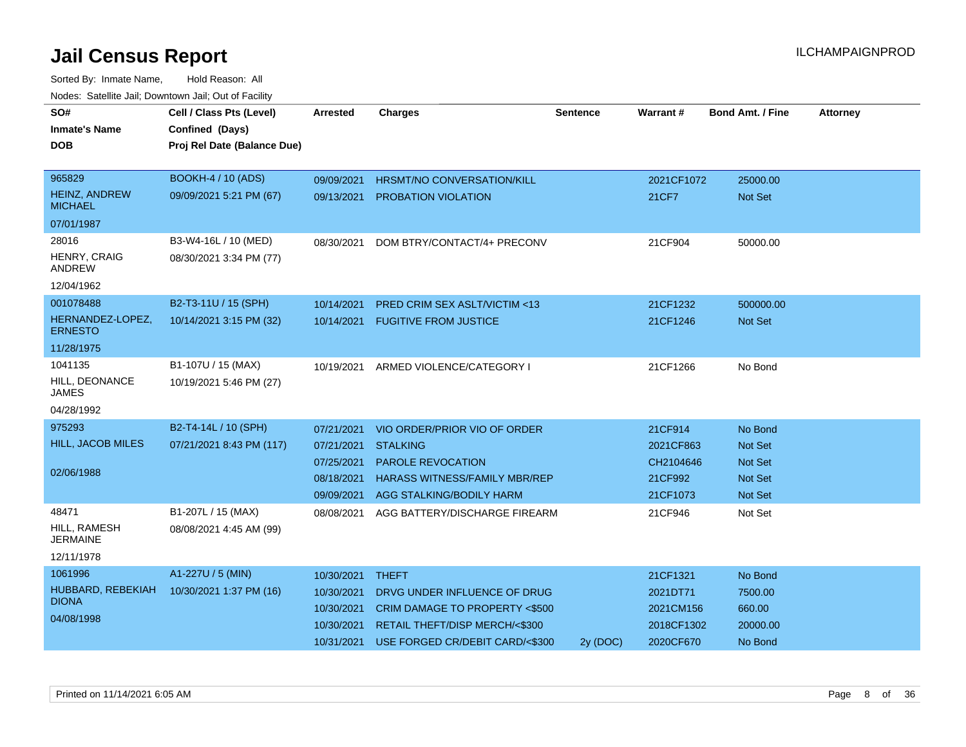| SO#                                    | Cell / Class Pts (Level)    | <b>Arrested</b> | <b>Charges</b>                       | <b>Sentence</b> | Warrant#   | <b>Bond Amt. / Fine</b> | <b>Attorney</b> |
|----------------------------------------|-----------------------------|-----------------|--------------------------------------|-----------------|------------|-------------------------|-----------------|
| <b>Inmate's Name</b>                   | Confined (Days)             |                 |                                      |                 |            |                         |                 |
| <b>DOB</b>                             | Proj Rel Date (Balance Due) |                 |                                      |                 |            |                         |                 |
|                                        |                             |                 |                                      |                 |            |                         |                 |
| 965829                                 | <b>BOOKH-4 / 10 (ADS)</b>   | 09/09/2021      | HRSMT/NO CONVERSATION/KILL           |                 | 2021CF1072 | 25000.00                |                 |
| <b>HEINZ, ANDREW</b><br><b>MICHAEL</b> | 09/09/2021 5:21 PM (67)     | 09/13/2021      | PROBATION VIOLATION                  |                 | 21CF7      | <b>Not Set</b>          |                 |
| 07/01/1987                             |                             |                 |                                      |                 |            |                         |                 |
| 28016                                  | B3-W4-16L / 10 (MED)        | 08/30/2021      | DOM BTRY/CONTACT/4+ PRECONV          |                 | 21CF904    | 50000.00                |                 |
| HENRY, CRAIG<br>ANDREW                 | 08/30/2021 3:34 PM (77)     |                 |                                      |                 |            |                         |                 |
| 12/04/1962                             |                             |                 |                                      |                 |            |                         |                 |
| 001078488                              | B2-T3-11U / 15 (SPH)        | 10/14/2021      | PRED CRIM SEX ASLT/VICTIM <13        |                 | 21CF1232   | 500000.00               |                 |
| HERNANDEZ-LOPEZ,<br><b>ERNESTO</b>     | 10/14/2021 3:15 PM (32)     | 10/14/2021      | <b>FUGITIVE FROM JUSTICE</b>         |                 | 21CF1246   | <b>Not Set</b>          |                 |
| 11/28/1975                             |                             |                 |                                      |                 |            |                         |                 |
| 1041135                                | B1-107U / 15 (MAX)          | 10/19/2021      | ARMED VIOLENCE/CATEGORY I            |                 | 21CF1266   | No Bond                 |                 |
| HILL, DEONANCE<br><b>JAMES</b>         | 10/19/2021 5:46 PM (27)     |                 |                                      |                 |            |                         |                 |
| 04/28/1992                             |                             |                 |                                      |                 |            |                         |                 |
| 975293                                 | B2-T4-14L / 10 (SPH)        | 07/21/2021      | VIO ORDER/PRIOR VIO OF ORDER         |                 | 21CF914    | No Bond                 |                 |
| <b>HILL, JACOB MILES</b>               | 07/21/2021 8:43 PM (117)    | 07/21/2021      | <b>STALKING</b>                      |                 | 2021CF863  | <b>Not Set</b>          |                 |
|                                        |                             | 07/25/2021      | <b>PAROLE REVOCATION</b>             |                 | CH2104646  | <b>Not Set</b>          |                 |
| 02/06/1988                             |                             | 08/18/2021      | <b>HARASS WITNESS/FAMILY MBR/REP</b> |                 | 21CF992    | <b>Not Set</b>          |                 |
|                                        |                             | 09/09/2021      | AGG STALKING/BODILY HARM             |                 | 21CF1073   | Not Set                 |                 |
| 48471                                  | B1-207L / 15 (MAX)          | 08/08/2021      | AGG BATTERY/DISCHARGE FIREARM        |                 | 21CF946    | Not Set                 |                 |
| HILL, RAMESH<br><b>JERMAINE</b>        | 08/08/2021 4:45 AM (99)     |                 |                                      |                 |            |                         |                 |
| 12/11/1978                             |                             |                 |                                      |                 |            |                         |                 |
| 1061996                                | A1-227U / 5 (MIN)           | 10/30/2021      | <b>THEFT</b>                         |                 | 21CF1321   | No Bond                 |                 |
| HUBBARD, REBEKIAH                      | 10/30/2021 1:37 PM (16)     | 10/30/2021      | DRVG UNDER INFLUENCE OF DRUG         |                 | 2021DT71   | 7500.00                 |                 |
| <b>DIONA</b>                           |                             | 10/30/2021      | CRIM DAMAGE TO PROPERTY <\$500       |                 | 2021CM156  | 660.00                  |                 |
| 04/08/1998                             |                             | 10/30/2021      | RETAIL THEFT/DISP MERCH/<\$300       |                 | 2018CF1302 | 20000.00                |                 |
|                                        |                             | 10/31/2021      | USE FORGED CR/DEBIT CARD/<\$300      | 2y (DOC)        | 2020CF670  | No Bond                 |                 |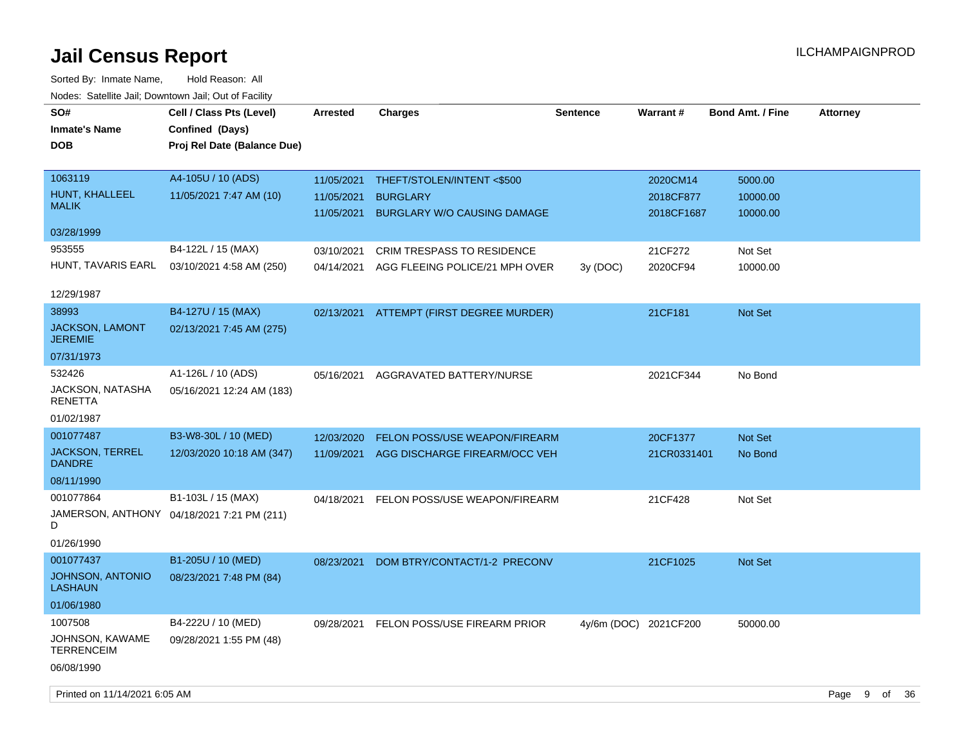| SO#<br><b>Inmate's Name</b><br>DOB       | Cell / Class Pts (Level)<br>Confined (Days)<br>Proj Rel Date (Balance Due) | <b>Arrested</b> | <b>Charges</b>                     | <b>Sentence</b> | Warrant#              | <b>Bond Amt. / Fine</b> | <b>Attorney</b> |
|------------------------------------------|----------------------------------------------------------------------------|-----------------|------------------------------------|-----------------|-----------------------|-------------------------|-----------------|
|                                          |                                                                            |                 |                                    |                 |                       |                         |                 |
| 1063119                                  | A4-105U / 10 (ADS)                                                         | 11/05/2021      | THEFT/STOLEN/INTENT<\$500          |                 | 2020CM14              | 5000.00                 |                 |
| HUNT, KHALLEEL<br><b>MALIK</b>           | 11/05/2021 7:47 AM (10)                                                    | 11/05/2021      | <b>BURGLARY</b>                    |                 | 2018CF877             | 10000.00                |                 |
|                                          |                                                                            | 11/05/2021      | <b>BURGLARY W/O CAUSING DAMAGE</b> |                 | 2018CF1687            | 10000.00                |                 |
| 03/28/1999                               |                                                                            |                 |                                    |                 |                       |                         |                 |
| 953555                                   | B4-122L / 15 (MAX)                                                         | 03/10/2021      | <b>CRIM TRESPASS TO RESIDENCE</b>  |                 | 21CF272               | Not Set                 |                 |
| HUNT, TAVARIS EARL                       | 03/10/2021 4:58 AM (250)                                                   | 04/14/2021      | AGG FLEEING POLICE/21 MPH OVER     | 3y (DOC)        | 2020CF94              | 10000.00                |                 |
| 12/29/1987                               |                                                                            |                 |                                    |                 |                       |                         |                 |
| 38993                                    | B4-127U / 15 (MAX)                                                         | 02/13/2021      | ATTEMPT (FIRST DEGREE MURDER)      |                 | 21CF181               | Not Set                 |                 |
| <b>JACKSON, LAMONT</b><br><b>JEREMIE</b> | 02/13/2021 7:45 AM (275)                                                   |                 |                                    |                 |                       |                         |                 |
| 07/31/1973                               |                                                                            |                 |                                    |                 |                       |                         |                 |
| 532426                                   | A1-126L / 10 (ADS)                                                         | 05/16/2021      | AGGRAVATED BATTERY/NURSE           |                 | 2021CF344             | No Bond                 |                 |
| JACKSON, NATASHA<br><b>RENETTA</b>       | 05/16/2021 12:24 AM (183)                                                  |                 |                                    |                 |                       |                         |                 |
| 01/02/1987                               |                                                                            |                 |                                    |                 |                       |                         |                 |
| 001077487                                | B3-W8-30L / 10 (MED)                                                       | 12/03/2020      | FELON POSS/USE WEAPON/FIREARM      |                 | 20CF1377              | Not Set                 |                 |
| JACKSON, TERREL<br><b>DANDRE</b>         | 12/03/2020 10:18 AM (347)                                                  | 11/09/2021      | AGG DISCHARGE FIREARM/OCC VEH      |                 | 21CR0331401           | No Bond                 |                 |
| 08/11/1990                               |                                                                            |                 |                                    |                 |                       |                         |                 |
| 001077864                                | B1-103L / 15 (MAX)                                                         | 04/18/2021      | FELON POSS/USE WEAPON/FIREARM      |                 | 21CF428               | Not Set                 |                 |
| D                                        | JAMERSON, ANTHONY 04/18/2021 7:21 PM (211)                                 |                 |                                    |                 |                       |                         |                 |
| 01/26/1990                               |                                                                            |                 |                                    |                 |                       |                         |                 |
| 001077437                                | B1-205U / 10 (MED)                                                         | 08/23/2021      | DOM BTRY/CONTACT/1-2 PRECONV       |                 | 21CF1025              | Not Set                 |                 |
| JOHNSON, ANTONIO<br><b>LASHAUN</b>       | 08/23/2021 7:48 PM (84)                                                    |                 |                                    |                 |                       |                         |                 |
| 01/06/1980                               |                                                                            |                 |                                    |                 |                       |                         |                 |
| 1007508                                  | B4-222U / 10 (MED)                                                         | 09/28/2021      | FELON POSS/USE FIREARM PRIOR       |                 | 4y/6m (DOC) 2021CF200 | 50000.00                |                 |
| JOHNSON, KAWAME<br><b>TERRENCEIM</b>     | 09/28/2021 1:55 PM (48)                                                    |                 |                                    |                 |                       |                         |                 |
| 06/08/1990                               |                                                                            |                 |                                    |                 |                       |                         |                 |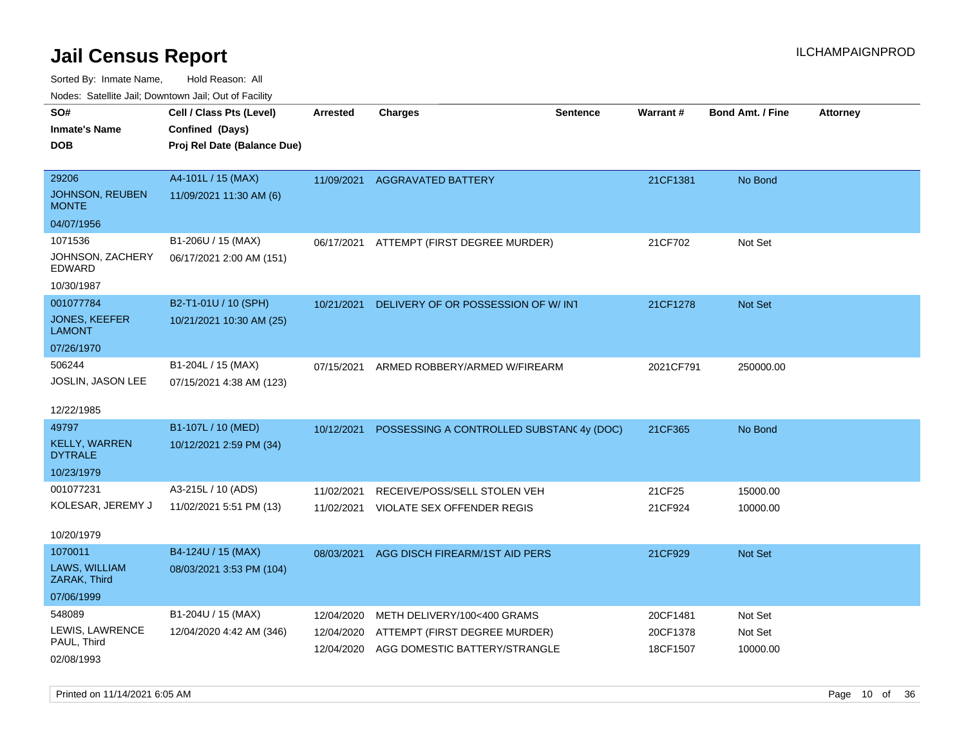| Youes. Sateme Jan, Downtown Jan, Out of Facility |                             |            |                                           |                 |           |                         |                 |
|--------------------------------------------------|-----------------------------|------------|-------------------------------------------|-----------------|-----------|-------------------------|-----------------|
| SO#                                              | Cell / Class Pts (Level)    | Arrested   | <b>Charges</b>                            | <b>Sentence</b> | Warrant#  | <b>Bond Amt. / Fine</b> | <b>Attorney</b> |
| <b>Inmate's Name</b>                             | Confined (Days)             |            |                                           |                 |           |                         |                 |
| DOB                                              | Proj Rel Date (Balance Due) |            |                                           |                 |           |                         |                 |
|                                                  |                             |            |                                           |                 |           |                         |                 |
| 29206                                            | A4-101L / 15 (MAX)          | 11/09/2021 | <b>AGGRAVATED BATTERY</b>                 |                 | 21CF1381  | No Bond                 |                 |
| JOHNSON, REUBEN<br><b>MONTE</b>                  | 11/09/2021 11:30 AM (6)     |            |                                           |                 |           |                         |                 |
| 04/07/1956                                       |                             |            |                                           |                 |           |                         |                 |
| 1071536                                          | B1-206U / 15 (MAX)          | 06/17/2021 | ATTEMPT (FIRST DEGREE MURDER)             |                 | 21CF702   | Not Set                 |                 |
| JOHNSON, ZACHERY<br>EDWARD                       | 06/17/2021 2:00 AM (151)    |            |                                           |                 |           |                         |                 |
| 10/30/1987                                       |                             |            |                                           |                 |           |                         |                 |
| 001077784                                        | B2-T1-01U / 10 (SPH)        | 10/21/2021 | DELIVERY OF OR POSSESSION OF W/INT        |                 | 21CF1278  | Not Set                 |                 |
| JONES, KEEFER<br><b>LAMONT</b>                   | 10/21/2021 10:30 AM (25)    |            |                                           |                 |           |                         |                 |
| 07/26/1970                                       |                             |            |                                           |                 |           |                         |                 |
| 506244                                           | B1-204L / 15 (MAX)          | 07/15/2021 | ARMED ROBBERY/ARMED W/FIREARM             |                 | 2021CF791 | 250000.00               |                 |
| JOSLIN, JASON LEE                                | 07/15/2021 4:38 AM (123)    |            |                                           |                 |           |                         |                 |
|                                                  |                             |            |                                           |                 |           |                         |                 |
| 12/22/1985                                       |                             |            |                                           |                 |           |                         |                 |
| 49797                                            | B1-107L / 10 (MED)          | 10/12/2021 | POSSESSING A CONTROLLED SUBSTANC 4y (DOC) |                 | 21CF365   | No Bond                 |                 |
| <b>KELLY, WARREN</b><br><b>DYTRALE</b>           | 10/12/2021 2:59 PM (34)     |            |                                           |                 |           |                         |                 |
| 10/23/1979                                       |                             |            |                                           |                 |           |                         |                 |
| 001077231                                        | A3-215L / 10 (ADS)          | 11/02/2021 | RECEIVE/POSS/SELL STOLEN VEH              |                 | 21CF25    | 15000.00                |                 |
| KOLESAR, JEREMY J                                | 11/02/2021 5:51 PM (13)     | 11/02/2021 | VIOLATE SEX OFFENDER REGIS                |                 | 21CF924   | 10000.00                |                 |
|                                                  |                             |            |                                           |                 |           |                         |                 |
| 10/20/1979                                       |                             |            |                                           |                 |           |                         |                 |
| 1070011                                          | B4-124U / 15 (MAX)          | 08/03/2021 | AGG DISCH FIREARM/1ST AID PERS            |                 | 21CF929   | Not Set                 |                 |
| LAWS, WILLIAM<br>ZARAK, Third                    | 08/03/2021 3:53 PM (104)    |            |                                           |                 |           |                         |                 |
| 07/06/1999                                       |                             |            |                                           |                 |           |                         |                 |
| 548089                                           | B1-204U / 15 (MAX)          | 12/04/2020 | METH DELIVERY/100<400 GRAMS               |                 | 20CF1481  | Not Set                 |                 |
| LEWIS, LAWRENCE                                  | 12/04/2020 4:42 AM (346)    | 12/04/2020 | ATTEMPT (FIRST DEGREE MURDER)             |                 | 20CF1378  | Not Set                 |                 |
| PAUL, Third                                      |                             |            | 12/04/2020 AGG DOMESTIC BATTERY/STRANGLE  |                 | 18CF1507  | 10000.00                |                 |
| 02/08/1993                                       |                             |            |                                           |                 |           |                         |                 |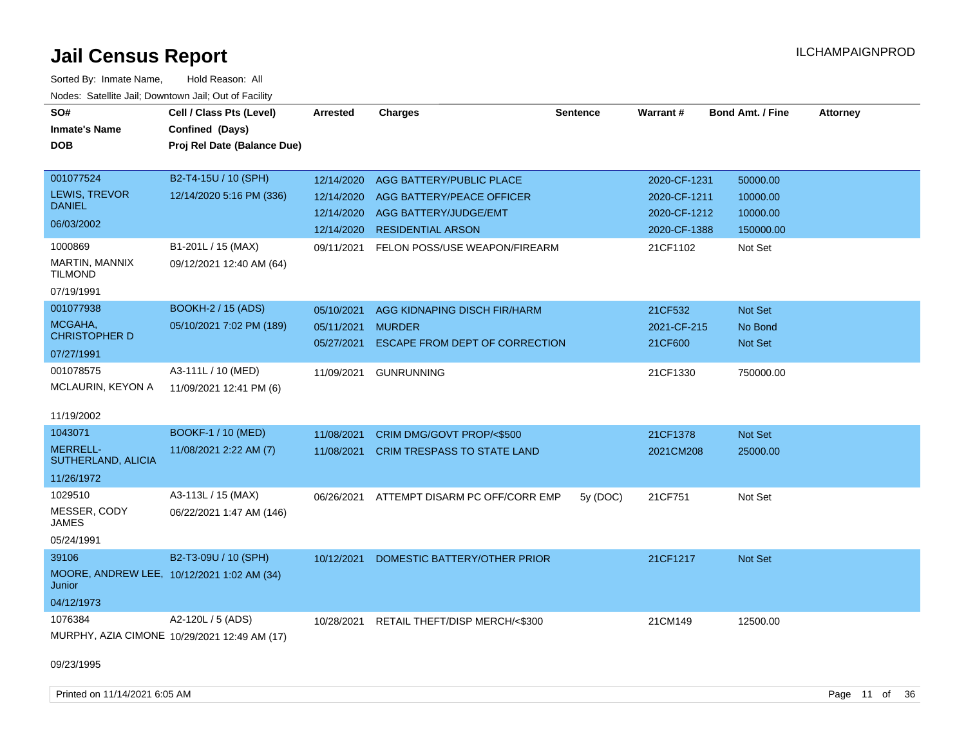| SO#<br><b>Inmate's Name</b><br><b>DOB</b>                                   | Cell / Class Pts (Level)<br>Confined (Days)<br>Proj Rel Date (Balance Due) | Arrested                               | <b>Charges</b>                                                                  | <b>Sentence</b> | Warrant#                                     | <b>Bond Amt. / Fine</b>          | <b>Attorney</b> |
|-----------------------------------------------------------------------------|----------------------------------------------------------------------------|----------------------------------------|---------------------------------------------------------------------------------|-----------------|----------------------------------------------|----------------------------------|-----------------|
| 001077524<br><b>LEWIS, TREVOR</b><br><b>DANIEL</b>                          | B2-T4-15U / 10 (SPH)<br>12/14/2020 5:16 PM (336)                           | 12/14/2020<br>12/14/2020<br>12/14/2020 | AGG BATTERY/PUBLIC PLACE<br>AGG BATTERY/PEACE OFFICER<br>AGG BATTERY/JUDGE/EMT  |                 | 2020-CF-1231<br>2020-CF-1211<br>2020-CF-1212 | 50000.00<br>10000.00<br>10000.00 |                 |
| 06/03/2002<br>1000869                                                       | B1-201L / 15 (MAX)                                                         | 12/14/2020<br>09/11/2021               | <b>RESIDENTIAL ARSON</b><br>FELON POSS/USE WEAPON/FIREARM                       |                 | 2020-CF-1388<br>21CF1102                     | 150000.00<br>Not Set             |                 |
| MARTIN, MANNIX<br><b>TILMOND</b><br>07/19/1991                              | 09/12/2021 12:40 AM (64)                                                   |                                        |                                                                                 |                 |                                              |                                  |                 |
| 001077938<br>MCGAHA,<br><b>CHRISTOPHER D</b><br>07/27/1991                  | <b>BOOKH-2 / 15 (ADS)</b><br>05/10/2021 7:02 PM (189)                      | 05/10/2021<br>05/11/2021<br>05/27/2021 | AGG KIDNAPING DISCH FIR/HARM<br><b>MURDER</b><br>ESCAPE FROM DEPT OF CORRECTION |                 | 21CF532<br>2021-CF-215<br>21CF600            | Not Set<br>No Bond<br>Not Set    |                 |
| 001078575<br>MCLAURIN, KEYON A<br>11/19/2002                                | A3-111L / 10 (MED)<br>11/09/2021 12:41 PM (6)                              | 11/09/2021                             | <b>GUNRUNNING</b>                                                               |                 | 21CF1330                                     | 750000.00                        |                 |
| 1043071<br><b>MERRELL-</b><br>SUTHERLAND, ALICIA<br>11/26/1972              | <b>BOOKF-1 / 10 (MED)</b><br>11/08/2021 2:22 AM (7)                        | 11/08/2021<br>11/08/2021               | CRIM DMG/GOVT PROP/<\$500<br><b>CRIM TRESPASS TO STATE LAND</b>                 |                 | 21CF1378<br>2021CM208                        | Not Set<br>25000.00              |                 |
| 1029510<br>MESSER, CODY<br>JAMES<br>05/24/1991                              | A3-113L / 15 (MAX)<br>06/22/2021 1:47 AM (146)                             | 06/26/2021                             | ATTEMPT DISARM PC OFF/CORR EMP                                                  | 5y (DOC)        | 21CF751                                      | Not Set                          |                 |
| 39106<br>MOORE, ANDREW LEE, 10/12/2021 1:02 AM (34)<br>Junior<br>04/12/1973 | B2-T3-09U / 10 (SPH)                                                       | 10/12/2021                             | DOMESTIC BATTERY/OTHER PRIOR                                                    |                 | 21CF1217                                     | Not Set                          |                 |
| 1076384<br>09/23/1995                                                       | A2-120L / 5 (ADS)<br>MURPHY, AZIA CIMONE 10/29/2021 12:49 AM (17)          | 10/28/2021                             | RETAIL THEFT/DISP MERCH/<\$300                                                  |                 | 21CM149                                      | 12500.00                         |                 |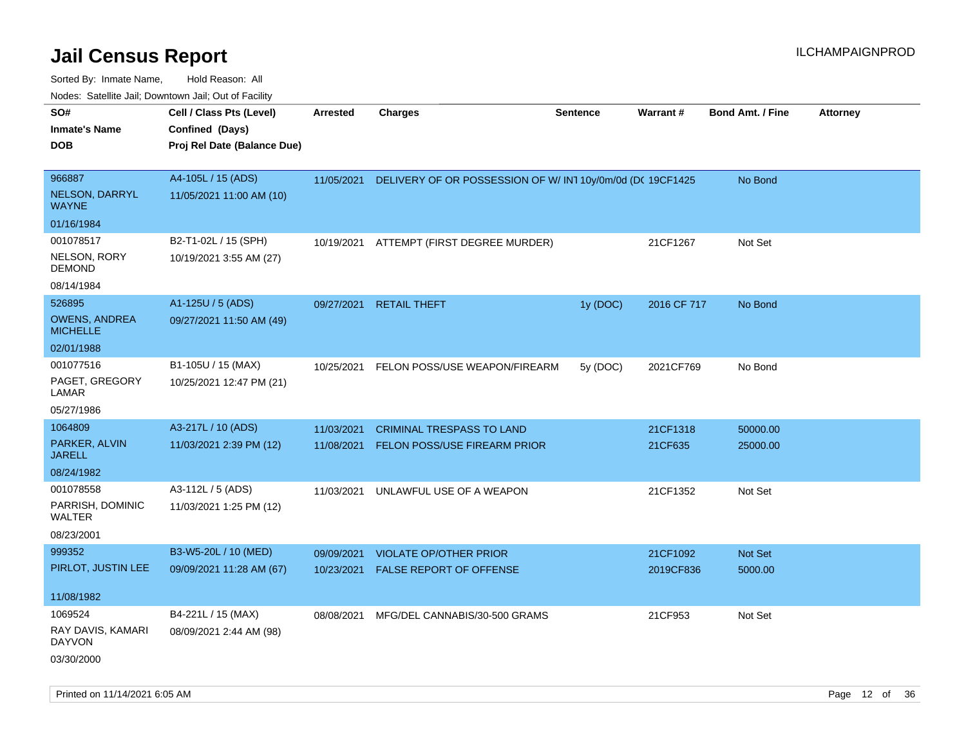| voues. Salemie Jan, Downtown Jan, Out of Facility |                             |            |                                                            |                 |             |                         |                 |
|---------------------------------------------------|-----------------------------|------------|------------------------------------------------------------|-----------------|-------------|-------------------------|-----------------|
| SO#                                               | Cell / Class Pts (Level)    | Arrested   | <b>Charges</b>                                             | <b>Sentence</b> | Warrant#    | <b>Bond Amt. / Fine</b> | <b>Attorney</b> |
| <b>Inmate's Name</b>                              | Confined (Days)             |            |                                                            |                 |             |                         |                 |
| DOB                                               | Proj Rel Date (Balance Due) |            |                                                            |                 |             |                         |                 |
|                                                   |                             |            |                                                            |                 |             |                         |                 |
| 966887                                            | A4-105L / 15 (ADS)          | 11/05/2021 | DELIVERY OF OR POSSESSION OF W/ IN1 10y/0m/0d (DC 19CF1425 |                 |             | No Bond                 |                 |
| <b>NELSON, DARRYL</b><br><b>WAYNE</b>             | 11/05/2021 11:00 AM (10)    |            |                                                            |                 |             |                         |                 |
| 01/16/1984                                        |                             |            |                                                            |                 |             |                         |                 |
| 001078517                                         | B2-T1-02L / 15 (SPH)        | 10/19/2021 | ATTEMPT (FIRST DEGREE MURDER)                              |                 | 21CF1267    | Not Set                 |                 |
| NELSON, RORY<br><b>DEMOND</b>                     | 10/19/2021 3:55 AM (27)     |            |                                                            |                 |             |                         |                 |
| 08/14/1984                                        |                             |            |                                                            |                 |             |                         |                 |
| 526895                                            | A1-125U / 5 (ADS)           | 09/27/2021 | <b>RETAIL THEFT</b>                                        | 1y (DOC)        | 2016 CF 717 | No Bond                 |                 |
| <b>OWENS, ANDREA</b><br><b>MICHELLE</b>           | 09/27/2021 11:50 AM (49)    |            |                                                            |                 |             |                         |                 |
| 02/01/1988                                        |                             |            |                                                            |                 |             |                         |                 |
| 001077516                                         | B1-105U / 15 (MAX)          | 10/25/2021 | FELON POSS/USE WEAPON/FIREARM                              | 5y (DOC)        | 2021CF769   | No Bond                 |                 |
| PAGET, GREGORY<br>LAMAR                           | 10/25/2021 12:47 PM (21)    |            |                                                            |                 |             |                         |                 |
| 05/27/1986                                        |                             |            |                                                            |                 |             |                         |                 |
| 1064809                                           | A3-217L / 10 (ADS)          | 11/03/2021 | <b>CRIMINAL TRESPASS TO LAND</b>                           |                 | 21CF1318    | 50000.00                |                 |
| PARKER, ALVIN<br><b>JARELL</b>                    | 11/03/2021 2:39 PM (12)     | 11/08/2021 | FELON POSS/USE FIREARM PRIOR                               |                 | 21CF635     | 25000.00                |                 |
| 08/24/1982                                        |                             |            |                                                            |                 |             |                         |                 |
| 001078558                                         | A3-112L / 5 (ADS)           | 11/03/2021 | UNLAWFUL USE OF A WEAPON                                   |                 | 21CF1352    | Not Set                 |                 |
| PARRISH, DOMINIC<br>WALTER                        | 11/03/2021 1:25 PM (12)     |            |                                                            |                 |             |                         |                 |
| 08/23/2001                                        |                             |            |                                                            |                 |             |                         |                 |
| 999352                                            | B3-W5-20L / 10 (MED)        | 09/09/2021 | <b>VIOLATE OP/OTHER PRIOR</b>                              |                 | 21CF1092    | <b>Not Set</b>          |                 |
| PIRLOT, JUSTIN LEE                                | 09/09/2021 11:28 AM (67)    | 10/23/2021 | FALSE REPORT OF OFFENSE                                    |                 | 2019CF836   | 5000.00                 |                 |
|                                                   |                             |            |                                                            |                 |             |                         |                 |
| 11/08/1982                                        |                             |            |                                                            |                 |             |                         |                 |
| 1069524                                           | B4-221L / 15 (MAX)          | 08/08/2021 | MFG/DEL CANNABIS/30-500 GRAMS                              |                 | 21CF953     | Not Set                 |                 |
| RAY DAVIS, KAMARI<br><b>DAYVON</b>                | 08/09/2021 2:44 AM (98)     |            |                                                            |                 |             |                         |                 |
| 03/30/2000                                        |                             |            |                                                            |                 |             |                         |                 |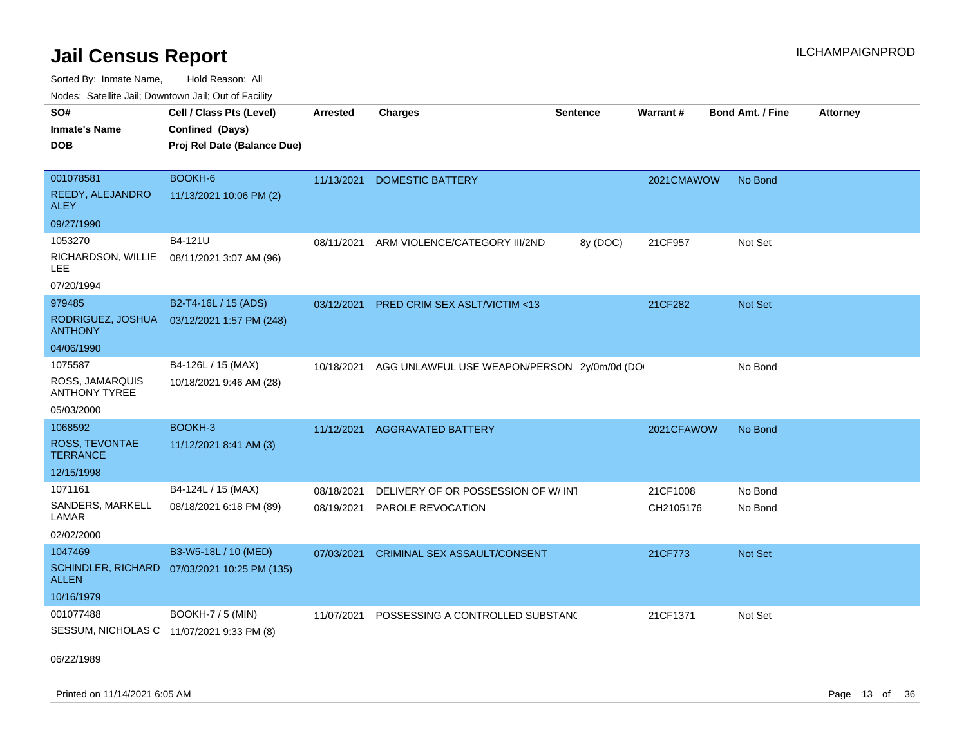Sorted By: Inmate Name, Hold Reason: All

Nodes: Satellite Jail; Downtown Jail; Out of Facility

| SO#                                       | Cell / Class Pts (Level)    | <b>Arrested</b> | <b>Charges</b>                              | <b>Sentence</b> | Warrant#   | <b>Bond Amt. / Fine</b> | <b>Attorney</b> |
|-------------------------------------------|-----------------------------|-----------------|---------------------------------------------|-----------------|------------|-------------------------|-----------------|
| <b>Inmate's Name</b>                      | Confined (Days)             |                 |                                             |                 |            |                         |                 |
| <b>DOB</b>                                | Proj Rel Date (Balance Due) |                 |                                             |                 |            |                         |                 |
|                                           |                             |                 |                                             |                 |            |                         |                 |
| 001078581                                 | BOOKH-6                     | 11/13/2021      | <b>DOMESTIC BATTERY</b>                     |                 | 2021CMAWOW | No Bond                 |                 |
| REEDY, ALEJANDRO<br><b>ALEY</b>           | 11/13/2021 10:06 PM (2)     |                 |                                             |                 |            |                         |                 |
| 09/27/1990                                |                             |                 |                                             |                 |            |                         |                 |
| 1053270                                   | B4-121U                     | 08/11/2021      | ARM VIOLENCE/CATEGORY III/2ND               | 8y (DOC)        | 21CF957    | Not Set                 |                 |
| RICHARDSON, WILLIE<br>LEE.                | 08/11/2021 3:07 AM (96)     |                 |                                             |                 |            |                         |                 |
| 07/20/1994                                |                             |                 |                                             |                 |            |                         |                 |
| 979485                                    | B2-T4-16L / 15 (ADS)        | 03/12/2021      | <b>PRED CRIM SEX ASLT/VICTIM &lt;13</b>     |                 | 21CF282    | <b>Not Set</b>          |                 |
| RODRIGUEZ, JOSHUA<br><b>ANTHONY</b>       | 03/12/2021 1:57 PM (248)    |                 |                                             |                 |            |                         |                 |
| 04/06/1990                                |                             |                 |                                             |                 |            |                         |                 |
| 1075587                                   | B4-126L / 15 (MAX)          | 10/18/2021      | AGG UNLAWFUL USE WEAPON/PERSON 2y/0m/0d (DO |                 |            | No Bond                 |                 |
| ROSS, JAMARQUIS<br><b>ANTHONY TYREE</b>   | 10/18/2021 9:46 AM (28)     |                 |                                             |                 |            |                         |                 |
| 05/03/2000                                |                             |                 |                                             |                 |            |                         |                 |
| 1068592                                   | BOOKH-3                     | 11/12/2021      | <b>AGGRAVATED BATTERY</b>                   |                 | 2021CFAWOW | No Bond                 |                 |
| <b>ROSS, TEVONTAE</b><br><b>TERRANCE</b>  | 11/12/2021 8:41 AM (3)      |                 |                                             |                 |            |                         |                 |
| 12/15/1998                                |                             |                 |                                             |                 |            |                         |                 |
| 1071161                                   | B4-124L / 15 (MAX)          | 08/18/2021      | DELIVERY OF OR POSSESSION OF W/INT          |                 | 21CF1008   | No Bond                 |                 |
| SANDERS, MARKELL<br>LAMAR                 | 08/18/2021 6:18 PM (89)     | 08/19/2021      | PAROLE REVOCATION                           |                 | CH2105176  | No Bond                 |                 |
| 02/02/2000                                |                             |                 |                                             |                 |            |                         |                 |
| 1047469                                   | B3-W5-18L / 10 (MED)        | 07/03/2021      | <b>CRIMINAL SEX ASSAULT/CONSENT</b>         |                 | 21CF773    | <b>Not Set</b>          |                 |
| <b>SCHINDLER, RICHARD</b><br><b>ALLEN</b> | 07/03/2021 10:25 PM (135)   |                 |                                             |                 |            |                         |                 |
| 10/16/1979                                |                             |                 |                                             |                 |            |                         |                 |
| 001077488                                 | <b>BOOKH-7 / 5 (MIN)</b>    | 11/07/2021      | POSSESSING A CONTROLLED SUBSTAND            |                 | 21CF1371   | Not Set                 |                 |
| SESSUM, NICHOLAS C 11/07/2021 9:33 PM (8) |                             |                 |                                             |                 |            |                         |                 |

06/22/1989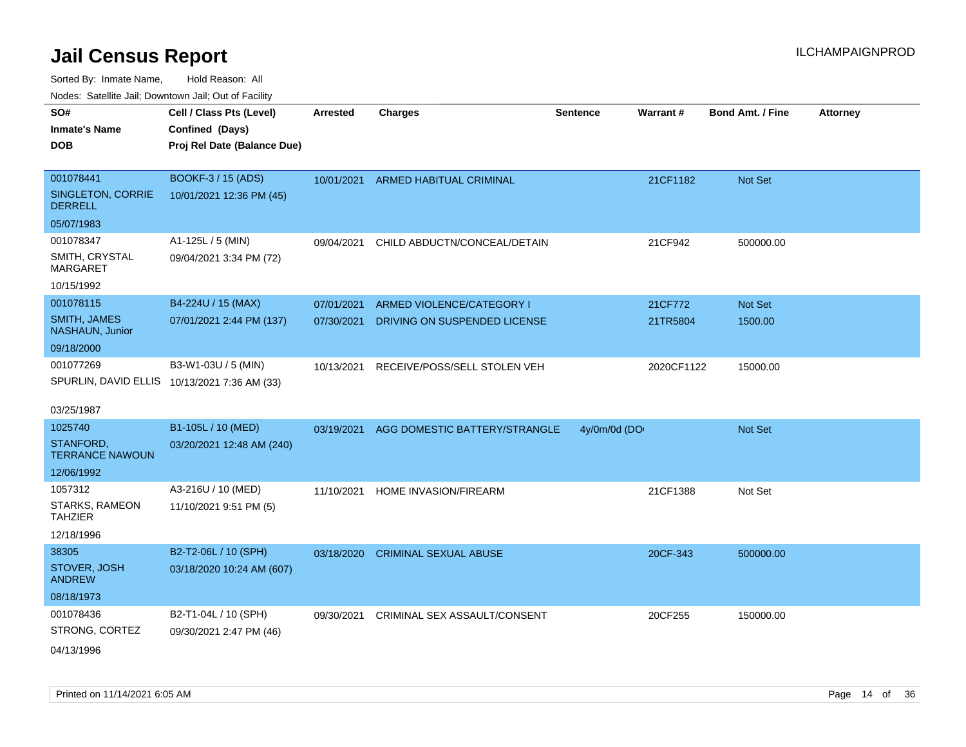| Nodes: Satellite Jali, Downtown Jali, Out of Facility |                                              |                 |                               |                 |            |                         |                 |
|-------------------------------------------------------|----------------------------------------------|-----------------|-------------------------------|-----------------|------------|-------------------------|-----------------|
| SO#                                                   | Cell / Class Pts (Level)                     | <b>Arrested</b> | <b>Charges</b>                | <b>Sentence</b> | Warrant#   | <b>Bond Amt. / Fine</b> | <b>Attorney</b> |
| <b>Inmate's Name</b>                                  | Confined (Days)                              |                 |                               |                 |            |                         |                 |
| <b>DOB</b>                                            | Proj Rel Date (Balance Due)                  |                 |                               |                 |            |                         |                 |
|                                                       |                                              |                 |                               |                 |            |                         |                 |
| 001078441                                             | BOOKF-3 / 15 (ADS)                           | 10/01/2021      | ARMED HABITUAL CRIMINAL       |                 | 21CF1182   | Not Set                 |                 |
| SINGLETON, CORRIE<br><b>DERRELL</b>                   | 10/01/2021 12:36 PM (45)                     |                 |                               |                 |            |                         |                 |
| 05/07/1983                                            |                                              |                 |                               |                 |            |                         |                 |
| 001078347                                             | A1-125L / 5 (MIN)                            | 09/04/2021      | CHILD ABDUCTN/CONCEAL/DETAIN  |                 | 21CF942    | 500000.00               |                 |
| SMITH, CRYSTAL<br><b>MARGARET</b>                     | 09/04/2021 3:34 PM (72)                      |                 |                               |                 |            |                         |                 |
| 10/15/1992                                            |                                              |                 |                               |                 |            |                         |                 |
| 001078115                                             | B4-224U / 15 (MAX)                           | 07/01/2021      | ARMED VIOLENCE/CATEGORY I     |                 | 21CF772    | <b>Not Set</b>          |                 |
| <b>SMITH, JAMES</b><br>NASHAUN, Junior                | 07/01/2021 2:44 PM (137)                     | 07/30/2021      | DRIVING ON SUSPENDED LICENSE  |                 | 21TR5804   | 1500.00                 |                 |
| 09/18/2000                                            |                                              |                 |                               |                 |            |                         |                 |
| 001077269                                             | B3-W1-03U / 5 (MIN)                          | 10/13/2021      | RECEIVE/POSS/SELL STOLEN VEH  |                 | 2020CF1122 | 15000.00                |                 |
|                                                       | SPURLIN, DAVID ELLIS 10/13/2021 7:36 AM (33) |                 |                               |                 |            |                         |                 |
| 03/25/1987                                            |                                              |                 |                               |                 |            |                         |                 |
| 1025740                                               | B1-105L / 10 (MED)                           | 03/19/2021      | AGG DOMESTIC BATTERY/STRANGLE | 4y/0m/0d (DO    |            | <b>Not Set</b>          |                 |
| STANFORD,<br><b>TERRANCE NAWOUN</b>                   | 03/20/2021 12:48 AM (240)                    |                 |                               |                 |            |                         |                 |
| 12/06/1992                                            |                                              |                 |                               |                 |            |                         |                 |
| 1057312                                               | A3-216U / 10 (MED)                           | 11/10/2021      | HOME INVASION/FIREARM         |                 | 21CF1388   | Not Set                 |                 |
| STARKS, RAMEON<br><b>TAHZIER</b>                      | 11/10/2021 9:51 PM (5)                       |                 |                               |                 |            |                         |                 |
| 12/18/1996                                            |                                              |                 |                               |                 |            |                         |                 |
| 38305                                                 | B2-T2-06L / 10 (SPH)                         | 03/18/2020      | <b>CRIMINAL SEXUAL ABUSE</b>  |                 | 20CF-343   | 500000.00               |                 |
| STOVER, JOSH<br><b>ANDREW</b>                         | 03/18/2020 10:24 AM (607)                    |                 |                               |                 |            |                         |                 |
| 08/18/1973                                            |                                              |                 |                               |                 |            |                         |                 |
| 001078436                                             | B2-T1-04L / 10 (SPH)                         | 09/30/2021      | CRIMINAL SEX ASSAULT/CONSENT  |                 | 20CF255    | 150000.00               |                 |
| STRONG, CORTEZ                                        | 09/30/2021 2:47 PM (46)                      |                 |                               |                 |            |                         |                 |
| 04/13/1996                                            |                                              |                 |                               |                 |            |                         |                 |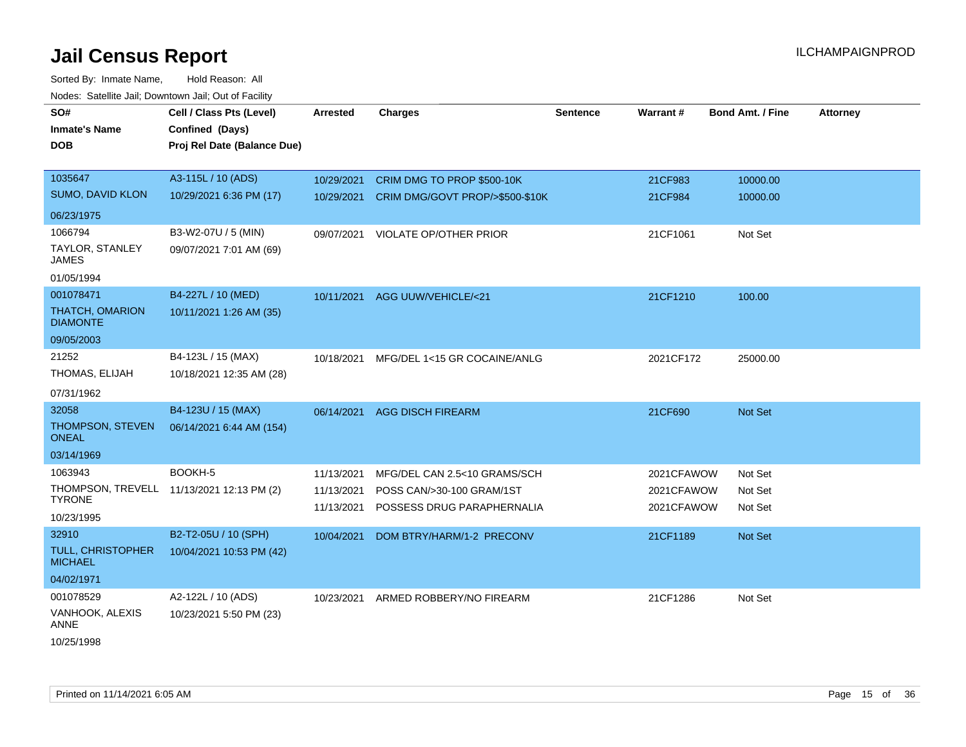Sorted By: Inmate Name, Hold Reason: All Nodes: Satellite Jail; Downtown Jail; Out of Facility

| SO#<br><b>Inmate's Name</b><br><b>DOB</b>   | Cell / Class Pts (Level)<br>Confined (Days)<br>Proj Rel Date (Balance Due) | <b>Arrested</b> | <b>Charges</b>                          | <b>Sentence</b> | <b>Warrant#</b> | <b>Bond Amt. / Fine</b> | <b>Attorney</b> |
|---------------------------------------------|----------------------------------------------------------------------------|-----------------|-----------------------------------------|-----------------|-----------------|-------------------------|-----------------|
| 1035647                                     | A3-115L / 10 (ADS)                                                         | 10/29/2021      | CRIM DMG TO PROP \$500-10K              |                 | 21CF983         | 10000.00                |                 |
| SUMO, DAVID KLON                            | 10/29/2021 6:36 PM (17)                                                    | 10/29/2021      | CRIM DMG/GOVT PROP/>\$500-\$10K         |                 | 21CF984         | 10000.00                |                 |
| 06/23/1975                                  |                                                                            |                 |                                         |                 |                 |                         |                 |
| 1066794                                     | B3-W2-07U / 5 (MIN)                                                        | 09/07/2021      | VIOLATE OP/OTHER PRIOR                  |                 | 21CF1061        | Not Set                 |                 |
| TAYLOR, STANLEY<br><b>JAMES</b>             | 09/07/2021 7:01 AM (69)                                                    |                 |                                         |                 |                 |                         |                 |
| 01/05/1994                                  |                                                                            |                 |                                         |                 |                 |                         |                 |
| 001078471                                   | B4-227L / 10 (MED)                                                         |                 | 10/11/2021 AGG UUW/VEHICLE/<21          |                 | 21CF1210        | 100.00                  |                 |
| THATCH, OMARION<br><b>DIAMONTE</b>          | 10/11/2021 1:26 AM (35)                                                    |                 |                                         |                 |                 |                         |                 |
| 09/05/2003                                  |                                                                            |                 |                                         |                 |                 |                         |                 |
| 21252                                       | B4-123L / 15 (MAX)                                                         |                 | 10/18/2021 MFG/DEL 1<15 GR COCAINE/ANLG |                 | 2021CF172       | 25000.00                |                 |
| THOMAS, ELIJAH                              | 10/18/2021 12:35 AM (28)                                                   |                 |                                         |                 |                 |                         |                 |
| 07/31/1962                                  |                                                                            |                 |                                         |                 |                 |                         |                 |
| 32058                                       | B4-123U / 15 (MAX)                                                         | 06/14/2021      | <b>AGG DISCH FIREARM</b>                |                 | 21CF690         | Not Set                 |                 |
| THOMPSON, STEVEN<br><b>ONEAL</b>            | 06/14/2021 6:44 AM (154)                                                   |                 |                                         |                 |                 |                         |                 |
| 03/14/1969                                  |                                                                            |                 |                                         |                 |                 |                         |                 |
| 1063943                                     | BOOKH-5                                                                    | 11/13/2021      | MFG/DEL CAN 2.5<10 GRAMS/SCH            |                 | 2021CFAWOW      | Not Set                 |                 |
| THOMPSON, TREVELL<br><b>TYRONE</b>          | 11/13/2021 12:13 PM (2)                                                    | 11/13/2021      | POSS CAN/>30-100 GRAM/1ST               |                 | 2021CFAWOW      | Not Set                 |                 |
| 10/23/1995                                  |                                                                            |                 | 11/13/2021 POSSESS DRUG PARAPHERNALIA   |                 | 2021CFAWOW      | Not Set                 |                 |
| 32910                                       | B2-T2-05U / 10 (SPH)                                                       | 10/04/2021      | DOM BTRY/HARM/1-2 PRECONV               |                 | 21CF1189        | Not Set                 |                 |
| <b>TULL, CHRISTOPHER</b><br><b>MICHAEL</b>  | 10/04/2021 10:53 PM (42)                                                   |                 |                                         |                 |                 |                         |                 |
| 04/02/1971                                  |                                                                            |                 |                                         |                 |                 |                         |                 |
| 001078529<br>VANHOOK, ALEXIS<br><b>ANNE</b> | A2-122L / 10 (ADS)<br>10/23/2021 5:50 PM (23)                              | 10/23/2021      | ARMED ROBBERY/NO FIREARM                |                 | 21CF1286        | Not Set                 |                 |

10/25/1998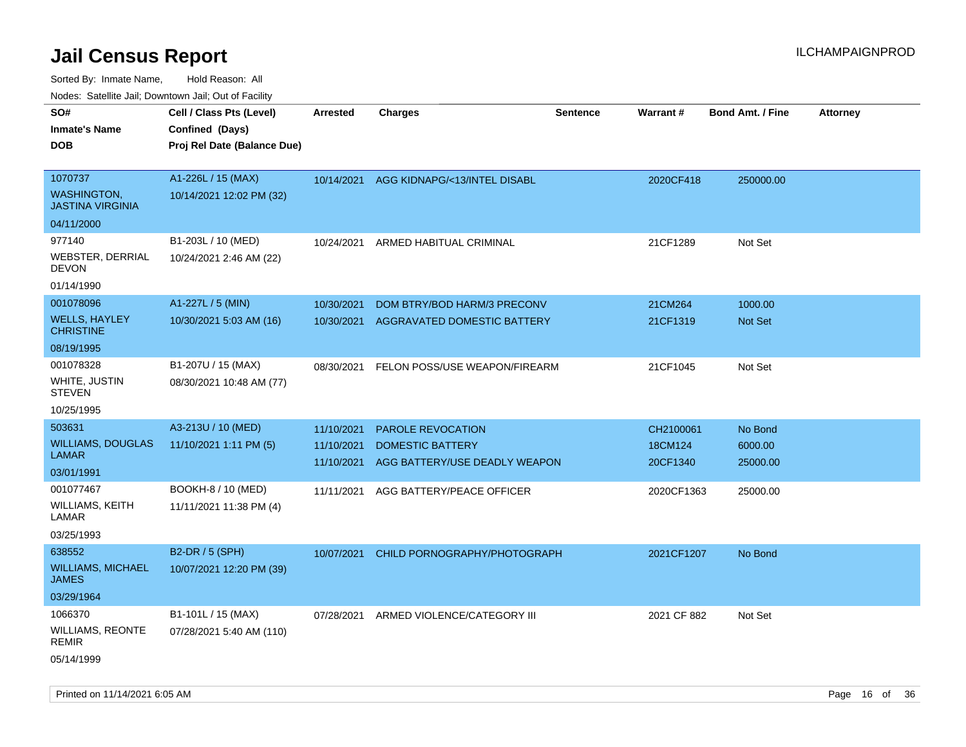Sorted By: Inmate Name, Hold Reason: All

|  |  | Nodes: Satellite Jail; Downtown Jail; Out of Facility |  |  |
|--|--|-------------------------------------------------------|--|--|
|--|--|-------------------------------------------------------|--|--|

| SO#<br><b>Inmate's Name</b><br><b>DOB</b>                                                                        | Cell / Class Pts (Level)<br>Confined (Days)<br>Proj Rel Date (Balance Due)                    | <b>Arrested</b>                                      | <b>Charges</b>                                                                                             | <b>Sentence</b> | Warrant#                                       | <b>Bond Amt. / Fine</b>                    | <b>Attorney</b> |
|------------------------------------------------------------------------------------------------------------------|-----------------------------------------------------------------------------------------------|------------------------------------------------------|------------------------------------------------------------------------------------------------------------|-----------------|------------------------------------------------|--------------------------------------------|-----------------|
| 1070737<br><b>WASHINGTON,</b><br><b>JASTINA VIRGINIA</b><br>04/11/2000                                           | A1-226L / 15 (MAX)<br>10/14/2021 12:02 PM (32)                                                | 10/14/2021                                           | AGG KIDNAPG/<13/INTEL DISABL                                                                               |                 | 2020CF418                                      | 250000.00                                  |                 |
| 977140<br><b>WEBSTER, DERRIAL</b><br><b>DEVON</b><br>01/14/1990                                                  | B1-203L / 10 (MED)<br>10/24/2021 2:46 AM (22)                                                 | 10/24/2021                                           | ARMED HABITUAL CRIMINAL                                                                                    |                 | 21CF1289                                       | Not Set                                    |                 |
| 001078096<br><b>WELLS, HAYLEY</b><br><b>CHRISTINE</b><br>08/19/1995                                              | A1-227L / 5 (MIN)<br>10/30/2021 5:03 AM (16)                                                  | 10/30/2021<br>10/30/2021                             | DOM BTRY/BOD HARM/3 PRECONV<br>AGGRAVATED DOMESTIC BATTERY                                                 |                 | 21CM264<br>21CF1319                            | 1000.00<br>Not Set                         |                 |
| 001078328<br>WHITE, JUSTIN<br><b>STEVEN</b><br>10/25/1995                                                        | B1-207U / 15 (MAX)<br>08/30/2021 10:48 AM (77)                                                | 08/30/2021                                           | FELON POSS/USE WEAPON/FIREARM                                                                              |                 | 21CF1045                                       | Not Set                                    |                 |
| 503631<br><b>WILLIAMS, DOUGLAS</b><br><b>LAMAR</b><br>03/01/1991<br>001077467<br>WILLIAMS, KEITH<br><b>LAMAR</b> | A3-213U / 10 (MED)<br>11/10/2021 1:11 PM (5)<br>BOOKH-8 / 10 (MED)<br>11/11/2021 11:38 PM (4) | 11/10/2021<br>11/10/2021<br>11/10/2021<br>11/11/2021 | PAROLE REVOCATION<br><b>DOMESTIC BATTERY</b><br>AGG BATTERY/USE DEADLY WEAPON<br>AGG BATTERY/PEACE OFFICER |                 | CH2100061<br>18CM124<br>20CF1340<br>2020CF1363 | No Bond<br>6000.00<br>25000.00<br>25000.00 |                 |
| 03/25/1993<br>638552<br><b>WILLIAMS, MICHAEL</b><br><b>JAMES</b><br>03/29/1964                                   | B2-DR / 5 (SPH)<br>10/07/2021 12:20 PM (39)                                                   | 10/07/2021                                           | CHILD PORNOGRAPHY/PHOTOGRAPH                                                                               |                 | 2021CF1207                                     | No Bond                                    |                 |
| 1066370<br>WILLIAMS, REONTE<br><b>REMIR</b><br>05/14/1999                                                        | B1-101L / 15 (MAX)<br>07/28/2021 5:40 AM (110)                                                | 07/28/2021                                           | ARMED VIOLENCE/CATEGORY III                                                                                |                 | 2021 CF 882                                    | Not Set                                    |                 |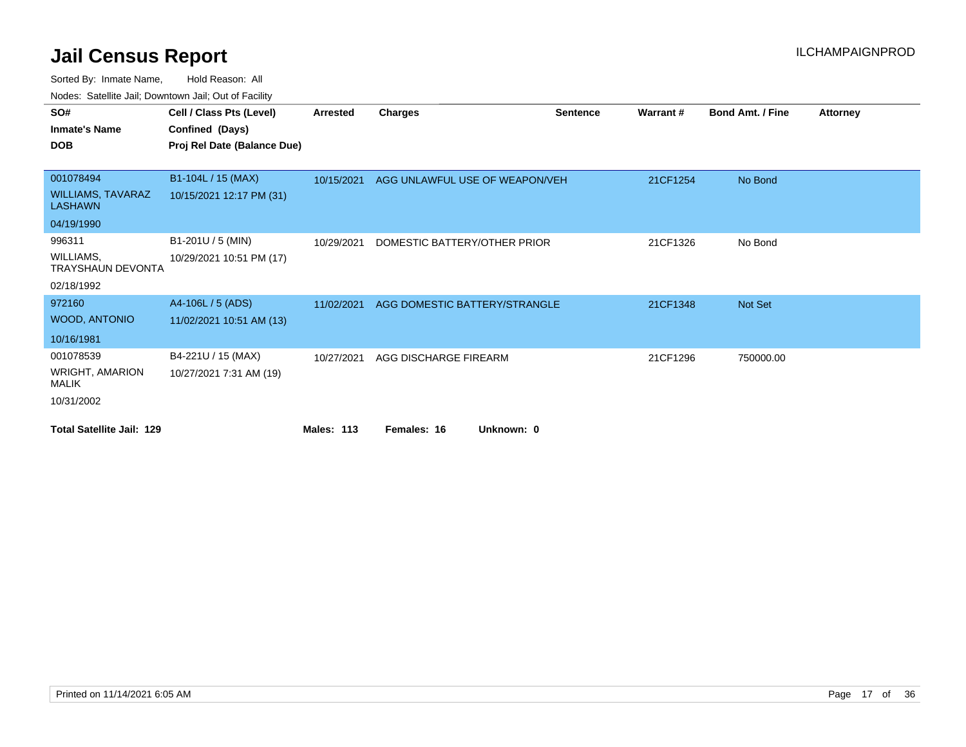| SO#                                        | Cell / Class Pts (Level)    | <b>Arrested</b>   | <b>Charges</b>                 | <b>Sentence</b> | Warrant# | <b>Bond Amt. / Fine</b> | <b>Attorney</b> |
|--------------------------------------------|-----------------------------|-------------------|--------------------------------|-----------------|----------|-------------------------|-----------------|
| <b>Inmate's Name</b>                       | Confined (Days)             |                   |                                |                 |          |                         |                 |
| <b>DOB</b>                                 | Proj Rel Date (Balance Due) |                   |                                |                 |          |                         |                 |
|                                            |                             |                   |                                |                 |          |                         |                 |
| 001078494                                  | B1-104L / 15 (MAX)          | 10/15/2021        | AGG UNLAWFUL USE OF WEAPON/VEH |                 | 21CF1254 | No Bond                 |                 |
| <b>WILLIAMS, TAVARAZ</b><br><b>LASHAWN</b> | 10/15/2021 12:17 PM (31)    |                   |                                |                 |          |                         |                 |
| 04/19/1990                                 |                             |                   |                                |                 |          |                         |                 |
| 996311                                     | B1-201U / 5 (MIN)           | 10/29/2021        | DOMESTIC BATTERY/OTHER PRIOR   |                 | 21CF1326 | No Bond                 |                 |
| WILLIAMS,<br><b>TRAYSHAUN DEVONTA</b>      | 10/29/2021 10:51 PM (17)    |                   |                                |                 |          |                         |                 |
| 02/18/1992                                 |                             |                   |                                |                 |          |                         |                 |
| 972160                                     | A4-106L / 5 (ADS)           | 11/02/2021        | AGG DOMESTIC BATTERY/STRANGLE  |                 | 21CF1348 | Not Set                 |                 |
| <b>WOOD, ANTONIO</b>                       | 11/02/2021 10:51 AM (13)    |                   |                                |                 |          |                         |                 |
| 10/16/1981                                 |                             |                   |                                |                 |          |                         |                 |
| 001078539                                  | B4-221U / 15 (MAX)          | 10/27/2021        | AGG DISCHARGE FIREARM          |                 | 21CF1296 | 750000.00               |                 |
| WRIGHT, AMARION<br>MALIK                   | 10/27/2021 7:31 AM (19)     |                   |                                |                 |          |                         |                 |
| 10/31/2002                                 |                             |                   |                                |                 |          |                         |                 |
| <b>Total Satellite Jail: 129</b>           |                             | <b>Males: 113</b> | Females: 16<br>Unknown: 0      |                 |          |                         |                 |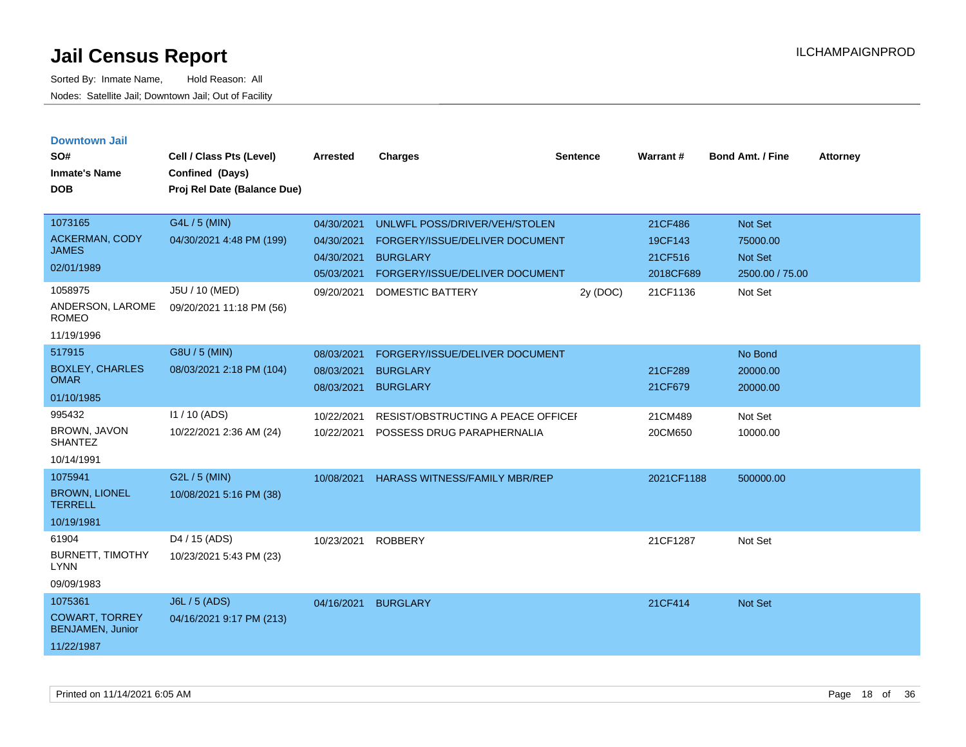|  |  | <b>Downtown Jail</b> |  |
|--|--|----------------------|--|
|  |  |                      |  |

| SO#<br><b>Inmate's Name</b><br><b>DOB</b>                                                              | Cell / Class Pts (Level)<br>Confined (Days)<br>Proj Rel Date (Balance Due)              | <b>Arrested</b>                                                    | <b>Charges</b>                                                                                                                           | <b>Sentence</b> | Warrant#                                               | <b>Bond Amt. / Fine</b>                                             | <b>Attorney</b> |
|--------------------------------------------------------------------------------------------------------|-----------------------------------------------------------------------------------------|--------------------------------------------------------------------|------------------------------------------------------------------------------------------------------------------------------------------|-----------------|--------------------------------------------------------|---------------------------------------------------------------------|-----------------|
| 1073165<br>ACKERMAN, CODY<br><b>JAMES</b><br>02/01/1989<br>1058975<br>ANDERSON, LAROME<br><b>ROMEO</b> | G4L / 5 (MIN)<br>04/30/2021 4:48 PM (199)<br>J5U / 10 (MED)<br>09/20/2021 11:18 PM (56) | 04/30/2021<br>04/30/2021<br>04/30/2021<br>05/03/2021<br>09/20/2021 | UNLWFL POSS/DRIVER/VEH/STOLEN<br>FORGERY/ISSUE/DELIVER DOCUMENT<br><b>BURGLARY</b><br>FORGERY/ISSUE/DELIVER DOCUMENT<br>DOMESTIC BATTERY | 2y (DOC)        | 21CF486<br>19CF143<br>21CF516<br>2018CF689<br>21CF1136 | Not Set<br>75000.00<br><b>Not Set</b><br>2500.00 / 75.00<br>Not Set |                 |
| 11/19/1996                                                                                             |                                                                                         |                                                                    |                                                                                                                                          |                 |                                                        |                                                                     |                 |
| 517915<br><b>BOXLEY, CHARLES</b><br><b>OMAR</b><br>01/10/1985                                          | G8U / 5 (MIN)<br>08/03/2021 2:18 PM (104)                                               | 08/03/2021<br>08/03/2021<br>08/03/2021                             | FORGERY/ISSUE/DELIVER DOCUMENT<br><b>BURGLARY</b><br><b>BURGLARY</b>                                                                     |                 | 21CF289<br>21CF679                                     | No Bond<br>20000.00<br>20000.00                                     |                 |
| 995432<br>BROWN, JAVON<br><b>SHANTEZ</b><br>10/14/1991                                                 | $11/10$ (ADS)<br>10/22/2021 2:36 AM (24)                                                | 10/22/2021<br>10/22/2021                                           | <b>RESIST/OBSTRUCTING A PEACE OFFICEF</b><br>POSSESS DRUG PARAPHERNALIA                                                                  |                 | 21CM489<br>20CM650                                     | Not Set<br>10000.00                                                 |                 |
| 1075941<br><b>BROWN, LIONEL</b><br><b>TERRELL</b><br>10/19/1981                                        | G2L / 5 (MIN)<br>10/08/2021 5:16 PM (38)                                                | 10/08/2021                                                         | HARASS WITNESS/FAMILY MBR/REP                                                                                                            |                 | 2021CF1188                                             | 500000.00                                                           |                 |
| 61904<br><b>BURNETT, TIMOTHY</b><br><b>LYNN</b><br>09/09/1983                                          | D4 / 15 (ADS)<br>10/23/2021 5:43 PM (23)                                                | 10/23/2021                                                         | <b>ROBBERY</b>                                                                                                                           |                 | 21CF1287                                               | Not Set                                                             |                 |
| 1075361<br><b>COWART, TORREY</b><br><b>BENJAMEN, Junior</b><br>11/22/1987                              | <b>J6L / 5 (ADS)</b><br>04/16/2021 9:17 PM (213)                                        | 04/16/2021                                                         | <b>BURGLARY</b>                                                                                                                          |                 | 21CF414                                                | Not Set                                                             |                 |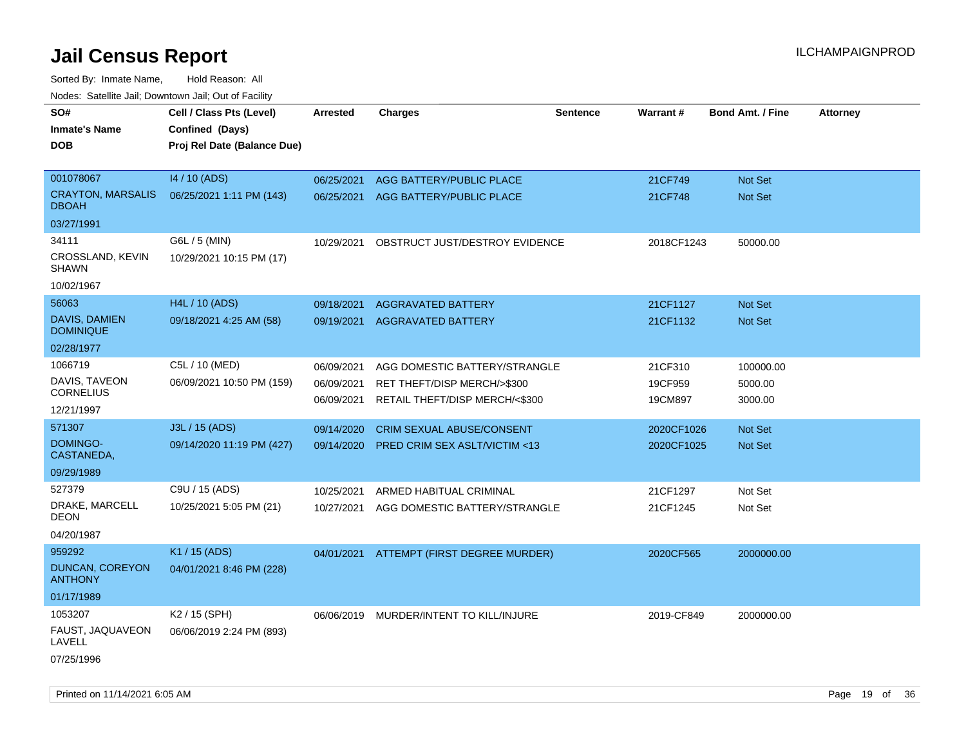| roaco. Calcinio dan, Domntonn dan, Out or Fability |                             |                 |                                         |                 |            |                         |                 |
|----------------------------------------------------|-----------------------------|-----------------|-----------------------------------------|-----------------|------------|-------------------------|-----------------|
| SO#                                                | Cell / Class Pts (Level)    | <b>Arrested</b> | <b>Charges</b>                          | <b>Sentence</b> | Warrant#   | <b>Bond Amt. / Fine</b> | <b>Attorney</b> |
| <b>Inmate's Name</b>                               | Confined (Days)             |                 |                                         |                 |            |                         |                 |
| DOB.                                               | Proj Rel Date (Balance Due) |                 |                                         |                 |            |                         |                 |
|                                                    |                             |                 |                                         |                 |            |                         |                 |
| 001078067                                          | 14 / 10 (ADS)               | 06/25/2021      | AGG BATTERY/PUBLIC PLACE                |                 | 21CF749    | <b>Not Set</b>          |                 |
| <b>CRAYTON, MARSALIS</b><br><b>DBOAH</b>           | 06/25/2021 1:11 PM (143)    | 06/25/2021      | AGG BATTERY/PUBLIC PLACE                |                 | 21CF748    | Not Set                 |                 |
| 03/27/1991                                         |                             |                 |                                         |                 |            |                         |                 |
| 34111                                              | G6L / 5 (MIN)               | 10/29/2021      | OBSTRUCT JUST/DESTROY EVIDENCE          |                 | 2018CF1243 | 50000.00                |                 |
| CROSSLAND, KEVIN<br><b>SHAWN</b>                   | 10/29/2021 10:15 PM (17)    |                 |                                         |                 |            |                         |                 |
| 10/02/1967                                         |                             |                 |                                         |                 |            |                         |                 |
| 56063                                              | H4L / 10 (ADS)              | 09/18/2021      | <b>AGGRAVATED BATTERY</b>               |                 | 21CF1127   | <b>Not Set</b>          |                 |
| DAVIS, DAMIEN<br><b>DOMINIQUE</b>                  | 09/18/2021 4:25 AM (58)     | 09/19/2021      | <b>AGGRAVATED BATTERY</b>               |                 | 21CF1132   | Not Set                 |                 |
| 02/28/1977                                         |                             |                 |                                         |                 |            |                         |                 |
| 1066719                                            | C5L / 10 (MED)              | 06/09/2021      | AGG DOMESTIC BATTERY/STRANGLE           |                 | 21CF310    | 100000.00               |                 |
| DAVIS, TAVEON                                      | 06/09/2021 10:50 PM (159)   | 06/09/2021      | RET THEFT/DISP MERCH/>\$300             |                 | 19CF959    | 5000.00                 |                 |
| <b>CORNELIUS</b>                                   |                             | 06/09/2021      | RETAIL THEFT/DISP MERCH/<\$300          |                 | 19CM897    | 3000.00                 |                 |
| 12/21/1997                                         |                             |                 |                                         |                 |            |                         |                 |
| 571307                                             | J3L / 15 (ADS)              | 09/14/2020      | CRIM SEXUAL ABUSE/CONSENT               |                 | 2020CF1026 | Not Set                 |                 |
| DOMINGO-<br>CASTANEDA,                             | 09/14/2020 11:19 PM (427)   | 09/14/2020      | PRED CRIM SEX ASLT/VICTIM <13           |                 | 2020CF1025 | Not Set                 |                 |
| 09/29/1989                                         |                             |                 |                                         |                 |            |                         |                 |
| 527379                                             | C9U / 15 (ADS)              | 10/25/2021      | ARMED HABITUAL CRIMINAL                 |                 | 21CF1297   | Not Set                 |                 |
| DRAKE, MARCELL<br>DEON                             | 10/25/2021 5:05 PM (21)     | 10/27/2021      | AGG DOMESTIC BATTERY/STRANGLE           |                 | 21CF1245   | Not Set                 |                 |
| 04/20/1987                                         |                             |                 |                                         |                 |            |                         |                 |
| 959292                                             | K1 / 15 (ADS)               | 04/01/2021      | ATTEMPT (FIRST DEGREE MURDER)           |                 | 2020CF565  | 2000000.00              |                 |
| DUNCAN, COREYON<br><b>ANTHONY</b>                  | 04/01/2021 8:46 PM (228)    |                 |                                         |                 |            |                         |                 |
| 01/17/1989                                         |                             |                 |                                         |                 |            |                         |                 |
| 1053207                                            | K2 / 15 (SPH)               |                 | 06/06/2019 MURDER/INTENT TO KILL/INJURE |                 | 2019-CF849 | 2000000.00              |                 |
| FAUST, JAQUAVEON<br>LAVELL                         | 06/06/2019 2:24 PM (893)    |                 |                                         |                 |            |                         |                 |
| 07/25/1996                                         |                             |                 |                                         |                 |            |                         |                 |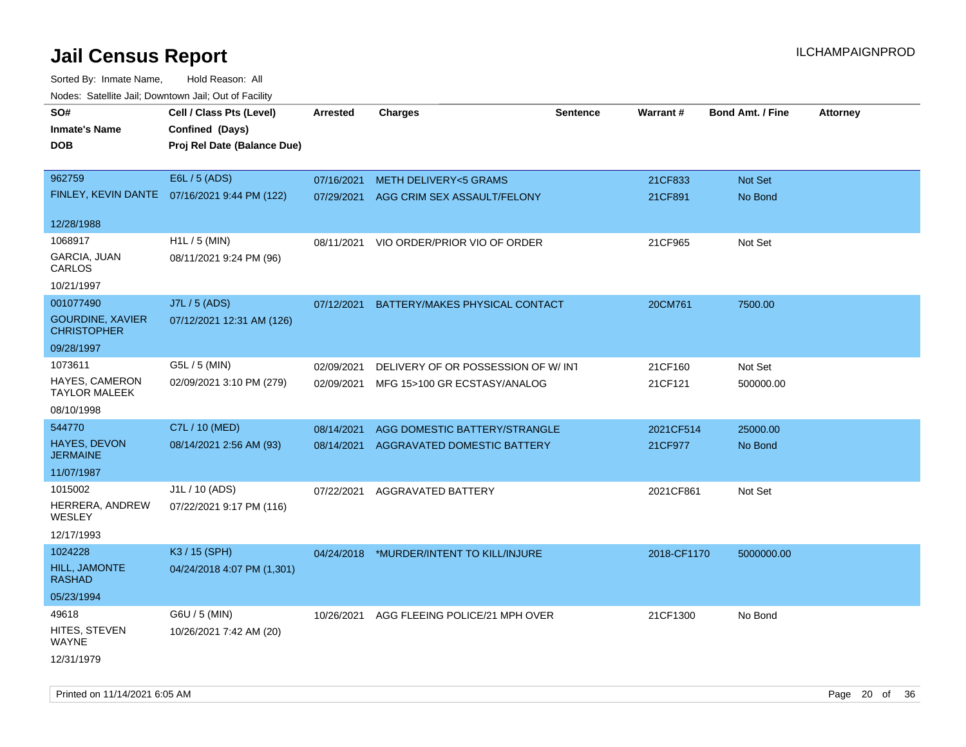| rougs. Calcinic Jan, Downtown Jan, Out of Facility |                                              |                 |                                          |                 |             |                         |                 |
|----------------------------------------------------|----------------------------------------------|-----------------|------------------------------------------|-----------------|-------------|-------------------------|-----------------|
| SO#                                                | Cell / Class Pts (Level)                     | <b>Arrested</b> | <b>Charges</b>                           | <b>Sentence</b> | Warrant#    | <b>Bond Amt. / Fine</b> | <b>Attorney</b> |
| <b>Inmate's Name</b>                               | Confined (Days)                              |                 |                                          |                 |             |                         |                 |
| <b>DOB</b>                                         | Proj Rel Date (Balance Due)                  |                 |                                          |                 |             |                         |                 |
|                                                    |                                              |                 |                                          |                 |             |                         |                 |
| 962759                                             | E6L / 5 (ADS)                                | 07/16/2021      | <b>METH DELIVERY&lt;5 GRAMS</b>          |                 | 21CF833     | Not Set                 |                 |
|                                                    | FINLEY, KEVIN DANTE 07/16/2021 9:44 PM (122) | 07/29/2021      | AGG CRIM SEX ASSAULT/FELONY              |                 | 21CF891     | No Bond                 |                 |
| 12/28/1988                                         |                                              |                 |                                          |                 |             |                         |                 |
| 1068917                                            | H1L / 5 (MIN)                                | 08/11/2021      | VIO ORDER/PRIOR VIO OF ORDER             |                 | 21CF965     | Not Set                 |                 |
| GARCIA, JUAN<br>CARLOS                             | 08/11/2021 9:24 PM (96)                      |                 |                                          |                 |             |                         |                 |
| 10/21/1997                                         |                                              |                 |                                          |                 |             |                         |                 |
| 001077490                                          | J7L / 5 (ADS)                                | 07/12/2021      | BATTERY/MAKES PHYSICAL CONTACT           |                 | 20CM761     | 7500.00                 |                 |
| <b>GOURDINE, XAVIER</b><br><b>CHRISTOPHER</b>      | 07/12/2021 12:31 AM (126)                    |                 |                                          |                 |             |                         |                 |
| 09/28/1997                                         |                                              |                 |                                          |                 |             |                         |                 |
| 1073611                                            | G5L / 5 (MIN)                                | 02/09/2021      | DELIVERY OF OR POSSESSION OF W/INT       |                 | 21CF160     | Not Set                 |                 |
| <b>HAYES, CAMERON</b><br><b>TAYLOR MALEEK</b>      | 02/09/2021 3:10 PM (279)                     | 02/09/2021      | MFG 15>100 GR ECSTASY/ANALOG             |                 | 21CF121     | 500000.00               |                 |
| 08/10/1998                                         |                                              |                 |                                          |                 |             |                         |                 |
| 544770                                             | C7L / 10 (MED)                               | 08/14/2021      | AGG DOMESTIC BATTERY/STRANGLE            |                 | 2021CF514   | 25000.00                |                 |
| <b>HAYES, DEVON</b><br><b>JERMAINE</b>             | 08/14/2021 2:56 AM (93)                      | 08/14/2021      | AGGRAVATED DOMESTIC BATTERY              |                 | 21CF977     | No Bond                 |                 |
| 11/07/1987                                         |                                              |                 |                                          |                 |             |                         |                 |
| 1015002                                            | J1L / 10 (ADS)                               | 07/22/2021      | AGGRAVATED BATTERY                       |                 | 2021CF861   | Not Set                 |                 |
| HERRERA, ANDREW<br>WESLEY                          | 07/22/2021 9:17 PM (116)                     |                 |                                          |                 |             |                         |                 |
| 12/17/1993                                         |                                              |                 |                                          |                 |             |                         |                 |
| 1024228                                            | K3 / 15 (SPH)                                |                 | 04/24/2018 *MURDER/INTENT TO KILL/INJURE |                 | 2018-CF1170 | 5000000.00              |                 |
| HILL, JAMONTE<br><b>RASHAD</b>                     | 04/24/2018 4:07 PM (1,301)                   |                 |                                          |                 |             |                         |                 |
| 05/23/1994                                         |                                              |                 |                                          |                 |             |                         |                 |
| 49618                                              | G6U / 5 (MIN)                                | 10/26/2021      | AGG FLEEING POLICE/21 MPH OVER           |                 | 21CF1300    | No Bond                 |                 |
| HITES, STEVEN<br>WAYNE                             | 10/26/2021 7:42 AM (20)                      |                 |                                          |                 |             |                         |                 |
| 12/31/1979                                         |                                              |                 |                                          |                 |             |                         |                 |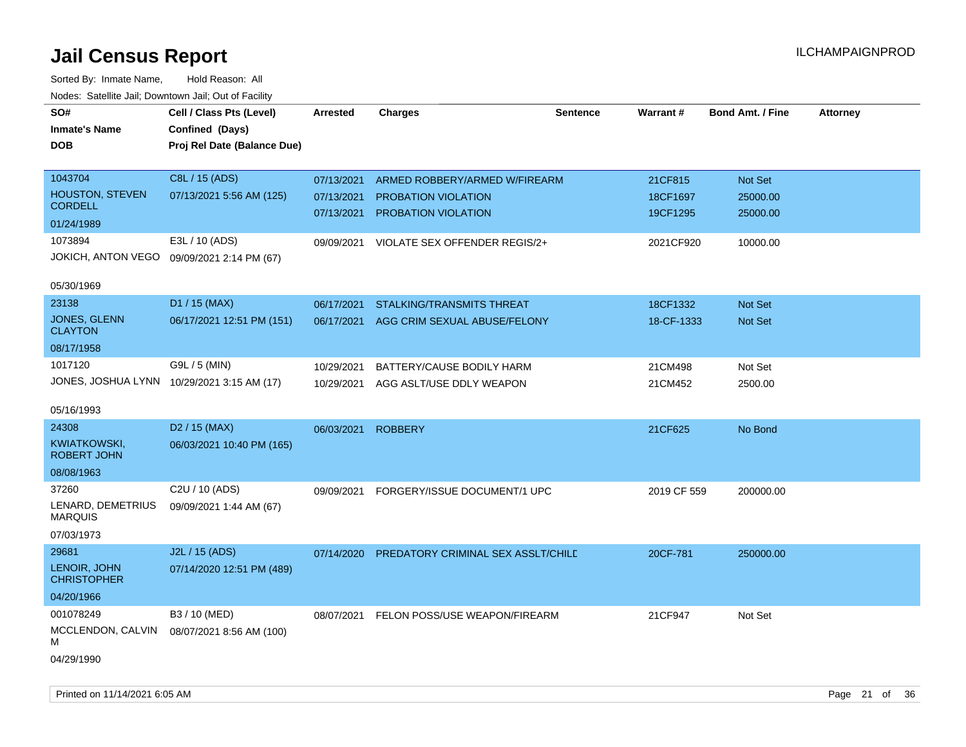| SO#<br><b>Inmate's Name</b><br><b>DOB</b>  | Cell / Class Pts (Level)<br>Confined (Days)<br>Proj Rel Date (Balance Due) | Arrested                 | <b>Charges</b>                             | <b>Sentence</b> | Warrant#             | <b>Bond Amt. / Fine</b> | <b>Attorney</b> |
|--------------------------------------------|----------------------------------------------------------------------------|--------------------------|--------------------------------------------|-----------------|----------------------|-------------------------|-----------------|
| 1043704                                    | C8L / 15 (ADS)                                                             | 07/13/2021               | ARMED ROBBERY/ARMED W/FIREARM              |                 | 21CF815              | Not Set                 |                 |
| <b>HOUSTON, STEVEN</b><br><b>CORDELL</b>   | 07/13/2021 5:56 AM (125)                                                   | 07/13/2021<br>07/13/2021 | PROBATION VIOLATION<br>PROBATION VIOLATION |                 | 18CF1697<br>19CF1295 | 25000.00<br>25000.00    |                 |
| 01/24/1989                                 |                                                                            |                          |                                            |                 |                      |                         |                 |
| 1073894                                    | E3L / 10 (ADS)                                                             | 09/09/2021               | VIOLATE SEX OFFENDER REGIS/2+              |                 | 2021CF920            | 10000.00                |                 |
| JOKICH, ANTON VEGO                         | 09/09/2021 2:14 PM (67)                                                    |                          |                                            |                 |                      |                         |                 |
| 05/30/1969                                 |                                                                            |                          |                                            |                 |                      |                         |                 |
| 23138                                      | D1 / 15 (MAX)                                                              | 06/17/2021               | STALKING/TRANSMITS THREAT                  |                 | 18CF1332             | Not Set                 |                 |
| JONES, GLENN<br><b>CLAYTON</b>             | 06/17/2021 12:51 PM (151)                                                  | 06/17/2021               | AGG CRIM SEXUAL ABUSE/FELONY               |                 | 18-CF-1333           | Not Set                 |                 |
| 08/17/1958                                 |                                                                            |                          |                                            |                 |                      |                         |                 |
| 1017120                                    | G9L / 5 (MIN)                                                              | 10/29/2021               | BATTERY/CAUSE BODILY HARM                  |                 | 21CM498              | Not Set                 |                 |
| JONES, JOSHUA LYNN 10/29/2021 3:15 AM (17) |                                                                            | 10/29/2021               | AGG ASLT/USE DDLY WEAPON                   |                 | 21CM452              | 2500.00                 |                 |
| 05/16/1993                                 |                                                                            |                          |                                            |                 |                      |                         |                 |
| 24308                                      | D <sub>2</sub> / 15 (MAX)                                                  | 06/03/2021               | <b>ROBBERY</b>                             |                 | 21CF625              | No Bond                 |                 |
| KWIATKOWSKI,<br><b>ROBERT JOHN</b>         | 06/03/2021 10:40 PM (165)                                                  |                          |                                            |                 |                      |                         |                 |
| 08/08/1963                                 |                                                                            |                          |                                            |                 |                      |                         |                 |
| 37260                                      | C <sub>2</sub> U / 10 (ADS)                                                | 09/09/2021               | FORGERY/ISSUE DOCUMENT/1 UPC               |                 | 2019 CF 559          | 200000.00               |                 |
| LENARD, DEMETRIUS<br><b>MARQUIS</b>        | 09/09/2021 1:44 AM (67)                                                    |                          |                                            |                 |                      |                         |                 |
| 07/03/1973                                 |                                                                            |                          |                                            |                 |                      |                         |                 |
| 29681                                      | J2L / 15 (ADS)                                                             | 07/14/2020               | PREDATORY CRIMINAL SEX ASSLT/CHILD         |                 | 20CF-781             | 250000.00               |                 |
| LENOIR, JOHN<br><b>CHRISTOPHER</b>         | 07/14/2020 12:51 PM (489)                                                  |                          |                                            |                 |                      |                         |                 |
| 04/20/1966                                 |                                                                            |                          |                                            |                 |                      |                         |                 |
| 001078249                                  | B3 / 10 (MED)                                                              | 08/07/2021               | FELON POSS/USE WEAPON/FIREARM              |                 | 21CF947              | Not Set                 |                 |
| MCCLENDON, CALVIN<br>м                     | 08/07/2021 8:56 AM (100)                                                   |                          |                                            |                 |                      |                         |                 |
| 04/29/1990                                 |                                                                            |                          |                                            |                 |                      |                         |                 |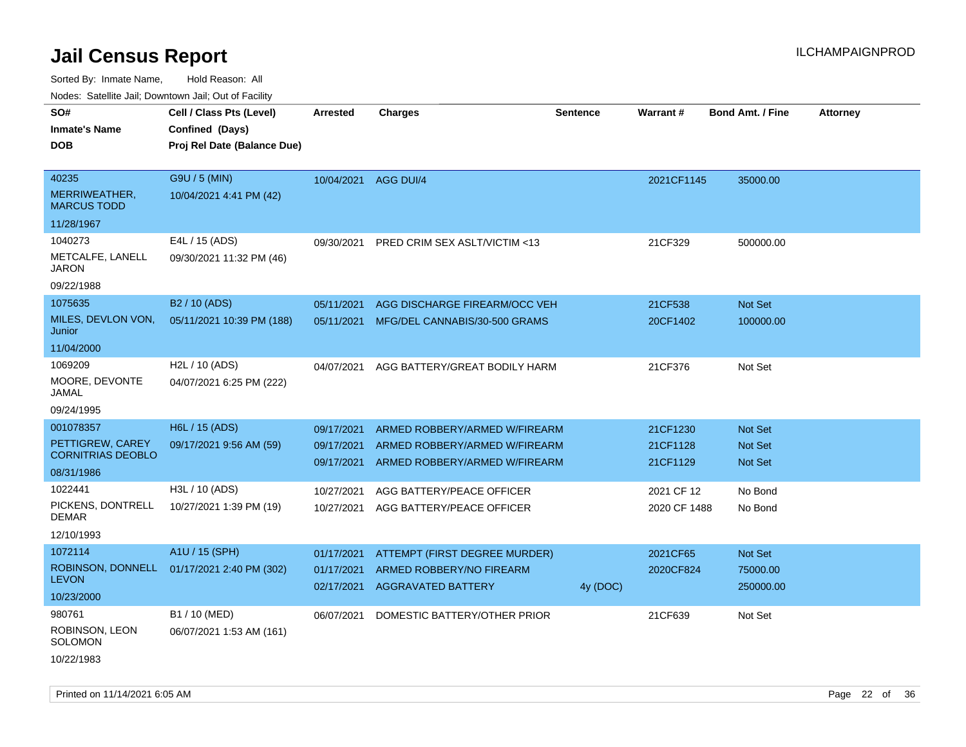Sorted By: Inmate Name, Hold Reason: All Nodes: Satellite Jail; Downtown Jail; Out of Facility

| Nuuts. Saltiille Jall, Duwilluwii Jall, Oul of Facility |                             |            |                                         |                 |              |                         |                 |
|---------------------------------------------------------|-----------------------------|------------|-----------------------------------------|-----------------|--------------|-------------------------|-----------------|
| SO#                                                     | Cell / Class Pts (Level)    | Arrested   | <b>Charges</b>                          | <b>Sentence</b> | Warrant#     | <b>Bond Amt. / Fine</b> | <b>Attorney</b> |
| <b>Inmate's Name</b>                                    | Confined (Days)             |            |                                         |                 |              |                         |                 |
| <b>DOB</b>                                              | Proj Rel Date (Balance Due) |            |                                         |                 |              |                         |                 |
|                                                         |                             |            |                                         |                 |              |                         |                 |
| 40235                                                   | G9U / 5 (MIN)               | 10/04/2021 | AGG DUI/4                               |                 | 2021CF1145   | 35000.00                |                 |
| MERRIWEATHER,<br><b>MARCUS TODD</b>                     | 10/04/2021 4:41 PM (42)     |            |                                         |                 |              |                         |                 |
| 11/28/1967                                              |                             |            |                                         |                 |              |                         |                 |
| 1040273                                                 | E4L / 15 (ADS)              | 09/30/2021 | <b>PRED CRIM SEX ASLT/VICTIM &lt;13</b> |                 | 21CF329      | 500000.00               |                 |
| METCALFE, LANELL<br>JARON                               | 09/30/2021 11:32 PM (46)    |            |                                         |                 |              |                         |                 |
| 09/22/1988                                              |                             |            |                                         |                 |              |                         |                 |
| 1075635                                                 | B2 / 10 (ADS)               | 05/11/2021 | AGG DISCHARGE FIREARM/OCC VEH           |                 | 21CF538      | Not Set                 |                 |
| MILES, DEVLON VON,<br>Junior                            | 05/11/2021 10:39 PM (188)   | 05/11/2021 | MFG/DEL CANNABIS/30-500 GRAMS           |                 | 20CF1402     | 100000.00               |                 |
| 11/04/2000                                              |                             |            |                                         |                 |              |                         |                 |
| 1069209                                                 | H2L / 10 (ADS)              | 04/07/2021 | AGG BATTERY/GREAT BODILY HARM           |                 | 21CF376      | Not Set                 |                 |
| MOORE, DEVONTE<br>JAMAL                                 | 04/07/2021 6:25 PM (222)    |            |                                         |                 |              |                         |                 |
| 09/24/1995                                              |                             |            |                                         |                 |              |                         |                 |
| 001078357                                               | H6L / 15 (ADS)              | 09/17/2021 | ARMED ROBBERY/ARMED W/FIREARM           |                 | 21CF1230     | <b>Not Set</b>          |                 |
| PETTIGREW, CAREY<br><b>CORNITRIAS DEOBLO</b>            | 09/17/2021 9:56 AM (59)     | 09/17/2021 | ARMED ROBBERY/ARMED W/FIREARM           |                 | 21CF1128     | <b>Not Set</b>          |                 |
| 08/31/1986                                              |                             | 09/17/2021 | ARMED ROBBERY/ARMED W/FIREARM           |                 | 21CF1129     | <b>Not Set</b>          |                 |
| 1022441                                                 | H3L / 10 (ADS)              |            |                                         |                 |              |                         |                 |
| PICKENS, DONTRELL                                       |                             | 10/27/2021 | AGG BATTERY/PEACE OFFICER               |                 | 2021 CF 12   | No Bond                 |                 |
| <b>DEMAR</b>                                            | 10/27/2021 1:39 PM (19)     | 10/27/2021 | AGG BATTERY/PEACE OFFICER               |                 | 2020 CF 1488 | No Bond                 |                 |
| 12/10/1993                                              |                             |            |                                         |                 |              |                         |                 |
| 1072114                                                 | A1U / 15 (SPH)              | 01/17/2021 | ATTEMPT (FIRST DEGREE MURDER)           |                 | 2021CF65     | <b>Not Set</b>          |                 |
| ROBINSON, DONNELL                                       | 01/17/2021 2:40 PM (302)    | 01/17/2021 | ARMED ROBBERY/NO FIREARM                |                 | 2020CF824    | 75000.00                |                 |
| <b>LEVON</b>                                            |                             | 02/17/2021 | <b>AGGRAVATED BATTERY</b>               | 4y (DOC)        |              | 250000.00               |                 |
| 10/23/2000                                              |                             |            |                                         |                 |              |                         |                 |
| 980761                                                  | B1 / 10 (MED)               | 06/07/2021 | DOMESTIC BATTERY/OTHER PRIOR            |                 | 21CF639      | Not Set                 |                 |
| ROBINSON, LEON<br>SOLOMON                               | 06/07/2021 1:53 AM (161)    |            |                                         |                 |              |                         |                 |
| 10/22/1983                                              |                             |            |                                         |                 |              |                         |                 |

Printed on 11/14/2021 6:05 AM Page 22 of 36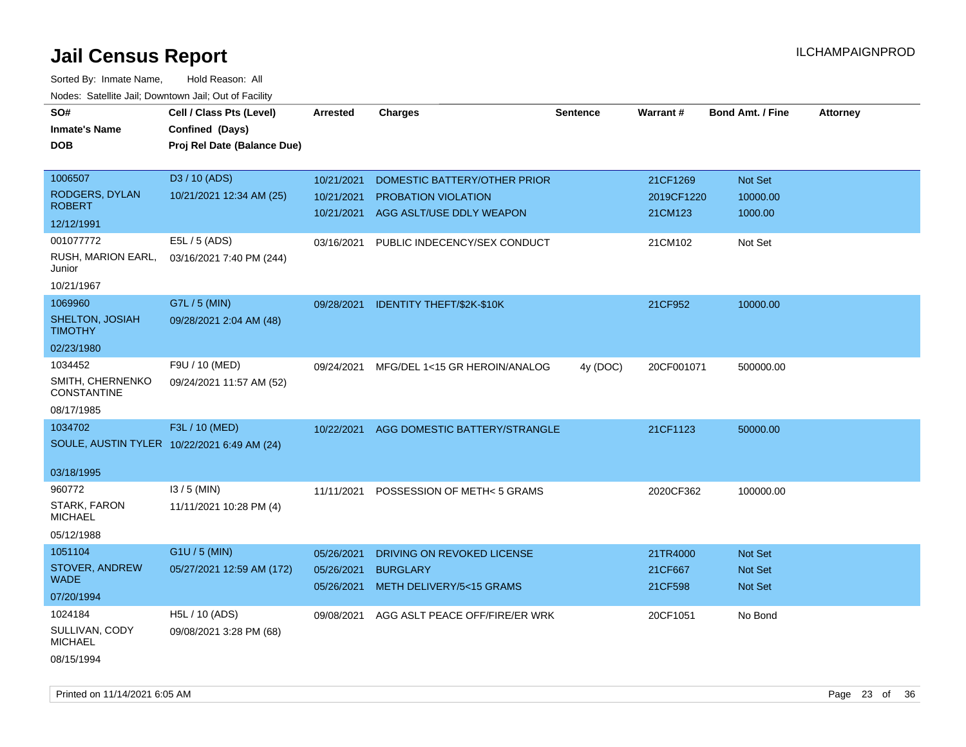| roaco. Oatomto dan, Downtown dan, Oat or Fability |                                             |                 |                                  |                 |            |                         |                 |
|---------------------------------------------------|---------------------------------------------|-----------------|----------------------------------|-----------------|------------|-------------------------|-----------------|
| SO#                                               | Cell / Class Pts (Level)                    | <b>Arrested</b> | <b>Charges</b>                   | <b>Sentence</b> | Warrant#   | <b>Bond Amt. / Fine</b> | <b>Attorney</b> |
| <b>Inmate's Name</b>                              | Confined (Days)                             |                 |                                  |                 |            |                         |                 |
| <b>DOB</b>                                        | Proj Rel Date (Balance Due)                 |                 |                                  |                 |            |                         |                 |
|                                                   |                                             |                 |                                  |                 |            |                         |                 |
| 1006507                                           | D3 / 10 (ADS)                               | 10/21/2021      | DOMESTIC BATTERY/OTHER PRIOR     |                 | 21CF1269   | Not Set                 |                 |
| RODGERS, DYLAN                                    | 10/21/2021 12:34 AM (25)                    | 10/21/2021      | <b>PROBATION VIOLATION</b>       |                 | 2019CF1220 | 10000.00                |                 |
| <b>ROBERT</b>                                     |                                             | 10/21/2021      | AGG ASLT/USE DDLY WEAPON         |                 | 21CM123    | 1000.00                 |                 |
| 12/12/1991                                        |                                             |                 |                                  |                 |            |                         |                 |
| 001077772                                         | E5L / 5 (ADS)                               | 03/16/2021      | PUBLIC INDECENCY/SEX CONDUCT     |                 | 21CM102    | Not Set                 |                 |
| RUSH, MARION EARL,<br>Junior                      | 03/16/2021 7:40 PM (244)                    |                 |                                  |                 |            |                         |                 |
| 10/21/1967                                        |                                             |                 |                                  |                 |            |                         |                 |
| 1069960                                           | G7L / 5 (MIN)                               | 09/28/2021      | <b>IDENTITY THEFT/\$2K-\$10K</b> |                 | 21CF952    | 10000.00                |                 |
| SHELTON, JOSIAH<br><b>TIMOTHY</b>                 | 09/28/2021 2:04 AM (48)                     |                 |                                  |                 |            |                         |                 |
| 02/23/1980                                        |                                             |                 |                                  |                 |            |                         |                 |
| 1034452                                           | F9U / 10 (MED)                              | 09/24/2021      | MFG/DEL 1<15 GR HEROIN/ANALOG    | 4y (DOC)        | 20CF001071 | 500000.00               |                 |
| SMITH, CHERNENKO<br><b>CONSTANTINE</b>            | 09/24/2021 11:57 AM (52)                    |                 |                                  |                 |            |                         |                 |
| 08/17/1985                                        |                                             |                 |                                  |                 |            |                         |                 |
| 1034702                                           | F3L / 10 (MED)                              | 10/22/2021      | AGG DOMESTIC BATTERY/STRANGLE    |                 | 21CF1123   | 50000.00                |                 |
|                                                   | SOULE, AUSTIN TYLER 10/22/2021 6:49 AM (24) |                 |                                  |                 |            |                         |                 |
|                                                   |                                             |                 |                                  |                 |            |                         |                 |
| 03/18/1995                                        |                                             |                 |                                  |                 |            |                         |                 |
| 960772                                            | $13/5$ (MIN)                                | 11/11/2021      | POSSESSION OF METH< 5 GRAMS      |                 | 2020CF362  | 100000.00               |                 |
| <b>STARK, FARON</b><br><b>MICHAEL</b>             | 11/11/2021 10:28 PM (4)                     |                 |                                  |                 |            |                         |                 |
| 05/12/1988                                        |                                             |                 |                                  |                 |            |                         |                 |
| 1051104                                           | G1U / 5 (MIN)                               | 05/26/2021      | DRIVING ON REVOKED LICENSE       |                 | 21TR4000   | <b>Not Set</b>          |                 |
| STOVER, ANDREW<br><b>WADE</b>                     | 05/27/2021 12:59 AM (172)                   | 05/26/2021      | <b>BURGLARY</b>                  |                 | 21CF667    | <b>Not Set</b>          |                 |
| 07/20/1994                                        |                                             | 05/26/2021      | METH DELIVERY/5<15 GRAMS         |                 | 21CF598    | Not Set                 |                 |
| 1024184                                           | H5L / 10 (ADS)                              | 09/08/2021      | AGG ASLT PEACE OFF/FIRE/ER WRK   |                 | 20CF1051   | No Bond                 |                 |
| SULLIVAN, CODY<br><b>MICHAEL</b>                  | 09/08/2021 3:28 PM (68)                     |                 |                                  |                 |            |                         |                 |
| 08/15/1994                                        |                                             |                 |                                  |                 |            |                         |                 |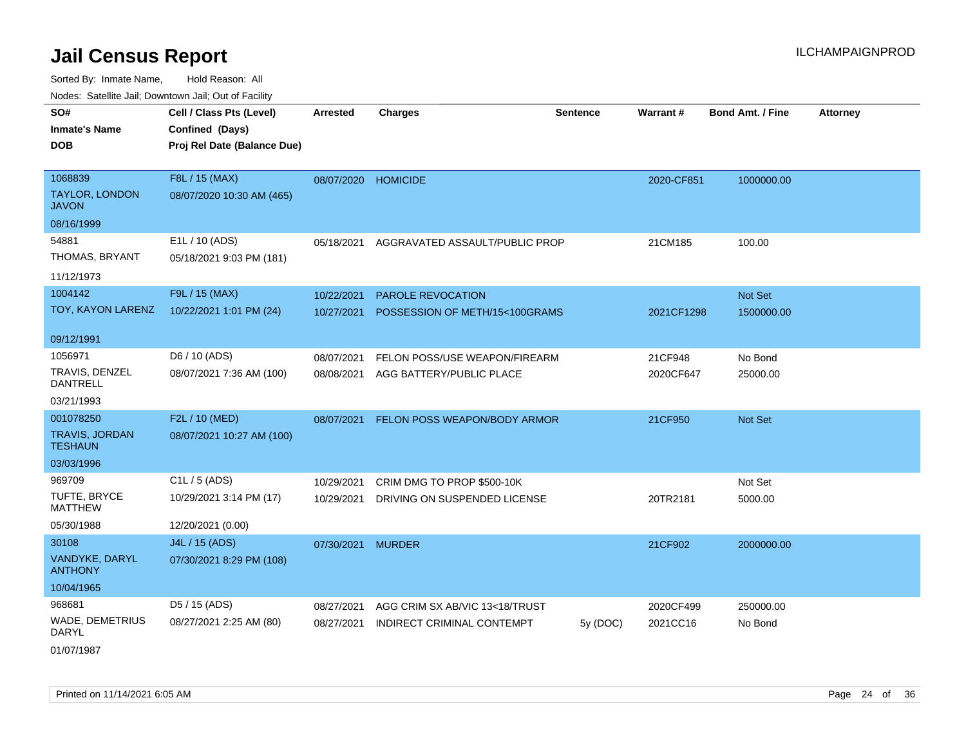Sorted By: Inmate Name, Hold Reason: All Nodes: Satellite Jail; Downtown Jail; Out of Facility

| voues. Salemie Jan, Downtown Jan, Out of Facility |                             |                     |                                           |                 |                 |                         |                 |
|---------------------------------------------------|-----------------------------|---------------------|-------------------------------------------|-----------------|-----------------|-------------------------|-----------------|
| SO#                                               | Cell / Class Pts (Level)    | <b>Arrested</b>     | <b>Charges</b>                            | <b>Sentence</b> | <b>Warrant#</b> | <b>Bond Amt. / Fine</b> | <b>Attorney</b> |
| <b>Inmate's Name</b>                              | Confined (Days)             |                     |                                           |                 |                 |                         |                 |
| DOB                                               | Proj Rel Date (Balance Due) |                     |                                           |                 |                 |                         |                 |
|                                                   |                             |                     |                                           |                 |                 |                         |                 |
| 1068839                                           | F8L / 15 (MAX)              | 08/07/2020 HOMICIDE |                                           |                 | 2020-CF851      | 1000000.00              |                 |
| <b>TAYLOR, LONDON</b><br>JAVON                    | 08/07/2020 10:30 AM (465)   |                     |                                           |                 |                 |                         |                 |
| 08/16/1999                                        |                             |                     |                                           |                 |                 |                         |                 |
| 54881                                             | E1L / 10 (ADS)              |                     | 05/18/2021 AGGRAVATED ASSAULT/PUBLIC PROP |                 | 21CM185         | 100.00                  |                 |
| THOMAS, BRYANT                                    | 05/18/2021 9:03 PM (181)    |                     |                                           |                 |                 |                         |                 |
| 11/12/1973                                        |                             |                     |                                           |                 |                 |                         |                 |
| 1004142                                           | F9L / 15 (MAX)              | 10/22/2021          | PAROLE REVOCATION                         |                 |                 | Not Set                 |                 |
| TOY, KAYON LARENZ                                 | 10/22/2021 1:01 PM (24)     | 10/27/2021          | POSSESSION OF METH/15<100GRAMS            |                 | 2021CF1298      | 1500000.00              |                 |
|                                                   |                             |                     |                                           |                 |                 |                         |                 |
| 09/12/1991                                        |                             |                     |                                           |                 |                 |                         |                 |
| 1056971                                           | D6 / 10 (ADS)               | 08/07/2021          | FELON POSS/USE WEAPON/FIREARM             |                 | 21CF948         | No Bond                 |                 |
| TRAVIS, DENZEL<br><b>DANTRELL</b>                 | 08/07/2021 7:36 AM (100)    | 08/08/2021          | AGG BATTERY/PUBLIC PLACE                  |                 | 2020CF647       | 25000.00                |                 |
| 03/21/1993                                        |                             |                     |                                           |                 |                 |                         |                 |
| 001078250                                         | F2L / 10 (MED)              | 08/07/2021          | FELON POSS WEAPON/BODY ARMOR              |                 | 21CF950         | Not Set                 |                 |
| <b>TRAVIS, JORDAN</b><br><b>TESHAUN</b>           | 08/07/2021 10:27 AM (100)   |                     |                                           |                 |                 |                         |                 |
| 03/03/1996                                        |                             |                     |                                           |                 |                 |                         |                 |
| 969709                                            | C <sub>1</sub> L / 5 (ADS)  | 10/29/2021          | CRIM DMG TO PROP \$500-10K                |                 |                 | Not Set                 |                 |
| TUFTE, BRYCE<br><b>MATTHEW</b>                    | 10/29/2021 3:14 PM (17)     | 10/29/2021          | DRIVING ON SUSPENDED LICENSE              |                 | 20TR2181        | 5000.00                 |                 |
| 05/30/1988                                        | 12/20/2021 (0.00)           |                     |                                           |                 |                 |                         |                 |
| 30108                                             | J4L / 15 (ADS)              | 07/30/2021          | <b>MURDER</b>                             |                 | 21CF902         | 2000000.00              |                 |
| VANDYKE, DARYL<br><b>ANTHONY</b>                  | 07/30/2021 8:29 PM (108)    |                     |                                           |                 |                 |                         |                 |
| 10/04/1965                                        |                             |                     |                                           |                 |                 |                         |                 |
| 968681                                            | D5 / 15 (ADS)               | 08/27/2021          | AGG CRIM SX AB/VIC 13<18/TRUST            |                 | 2020CF499       | 250000.00               |                 |
| WADE, DEMETRIUS<br><b>DARYL</b>                   | 08/27/2021 2:25 AM (80)     | 08/27/2021          | INDIRECT CRIMINAL CONTEMPT                | 5y (DOC)        | 2021CC16        | No Bond                 |                 |
|                                                   |                             |                     |                                           |                 |                 |                         |                 |

01/07/1987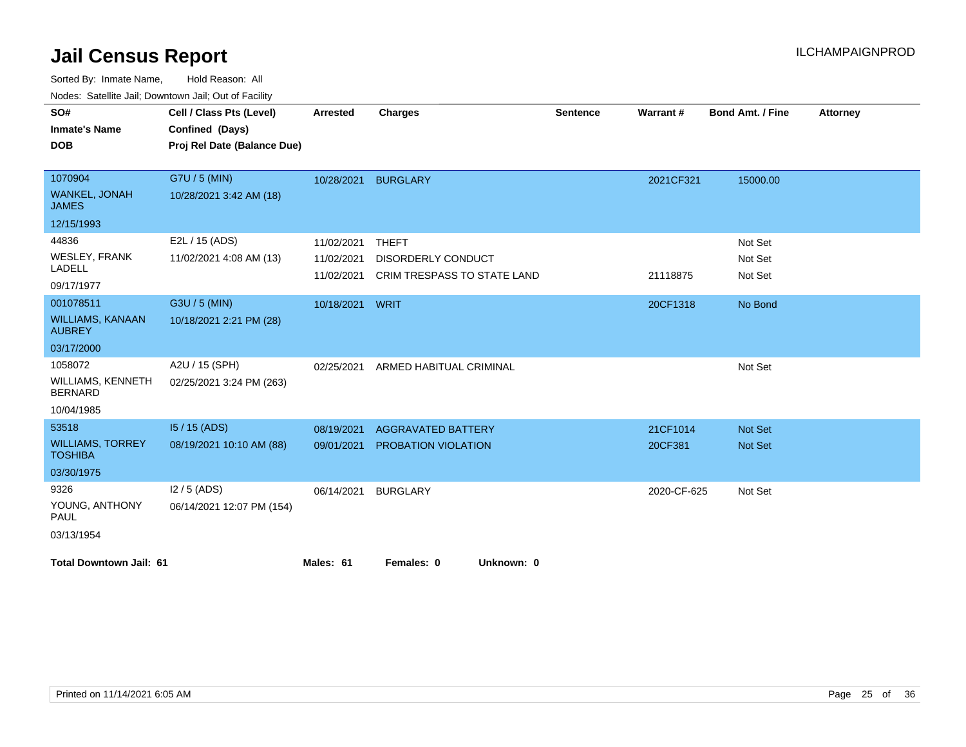| voucs. Oatchite sail, Downtown sail, Out of Facility<br>SO# | Cell / Class Pts (Level)    | <b>Arrested</b> | <b>Charges</b>              | <b>Sentence</b> | <b>Warrant#</b> | <b>Bond Amt. / Fine</b> | <b>Attorney</b> |
|-------------------------------------------------------------|-----------------------------|-----------------|-----------------------------|-----------------|-----------------|-------------------------|-----------------|
| <b>Inmate's Name</b>                                        | Confined (Days)             |                 |                             |                 |                 |                         |                 |
| <b>DOB</b>                                                  | Proj Rel Date (Balance Due) |                 |                             |                 |                 |                         |                 |
|                                                             |                             |                 |                             |                 |                 |                         |                 |
| 1070904                                                     | G7U / 5 (MIN)               | 10/28/2021      | <b>BURGLARY</b>             |                 | 2021CF321       | 15000.00                |                 |
| <b>WANKEL, JONAH</b><br><b>JAMES</b>                        | 10/28/2021 3:42 AM (18)     |                 |                             |                 |                 |                         |                 |
| 12/15/1993                                                  |                             |                 |                             |                 |                 |                         |                 |
| 44836                                                       | E2L / 15 (ADS)              | 11/02/2021      | <b>THEFT</b>                |                 |                 | Not Set                 |                 |
| <b>WESLEY, FRANK</b>                                        | 11/02/2021 4:08 AM (13)     | 11/02/2021      | <b>DISORDERLY CONDUCT</b>   |                 |                 | Not Set                 |                 |
| <b>LADELL</b>                                               |                             | 11/02/2021      | CRIM TRESPASS TO STATE LAND |                 | 21118875        | Not Set                 |                 |
| 09/17/1977                                                  |                             |                 |                             |                 |                 |                         |                 |
| 001078511                                                   | G3U / 5 (MIN)               | 10/18/2021 WRIT |                             |                 | 20CF1318        | No Bond                 |                 |
| <b>WILLIAMS, KANAAN</b><br><b>AUBREY</b>                    | 10/18/2021 2:21 PM (28)     |                 |                             |                 |                 |                         |                 |
| 03/17/2000                                                  |                             |                 |                             |                 |                 |                         |                 |
| 1058072                                                     | A2U / 15 (SPH)              | 02/25/2021      | ARMED HABITUAL CRIMINAL     |                 |                 | Not Set                 |                 |
| <b>WILLIAMS, KENNETH</b><br><b>BERNARD</b>                  | 02/25/2021 3:24 PM (263)    |                 |                             |                 |                 |                         |                 |
| 10/04/1985                                                  |                             |                 |                             |                 |                 |                         |                 |
| 53518                                                       | $15/15$ (ADS)               | 08/19/2021      | <b>AGGRAVATED BATTERY</b>   |                 | 21CF1014        | <b>Not Set</b>          |                 |
| <b>WILLIAMS, TORREY</b><br><b>TOSHIBA</b>                   | 08/19/2021 10:10 AM (88)    | 09/01/2021      | PROBATION VIOLATION         |                 | 20CF381         | Not Set                 |                 |
| 03/30/1975                                                  |                             |                 |                             |                 |                 |                         |                 |
| 9326                                                        | $12/5$ (ADS)                | 06/14/2021      | <b>BURGLARY</b>             |                 | 2020-CF-625     | Not Set                 |                 |
| YOUNG, ANTHONY<br><b>PAUL</b>                               | 06/14/2021 12:07 PM (154)   |                 |                             |                 |                 |                         |                 |
| 03/13/1954                                                  |                             |                 |                             |                 |                 |                         |                 |
| <b>Total Downtown Jail: 61</b>                              |                             | Males: 61       | Females: 0<br>Unknown: 0    |                 |                 |                         |                 |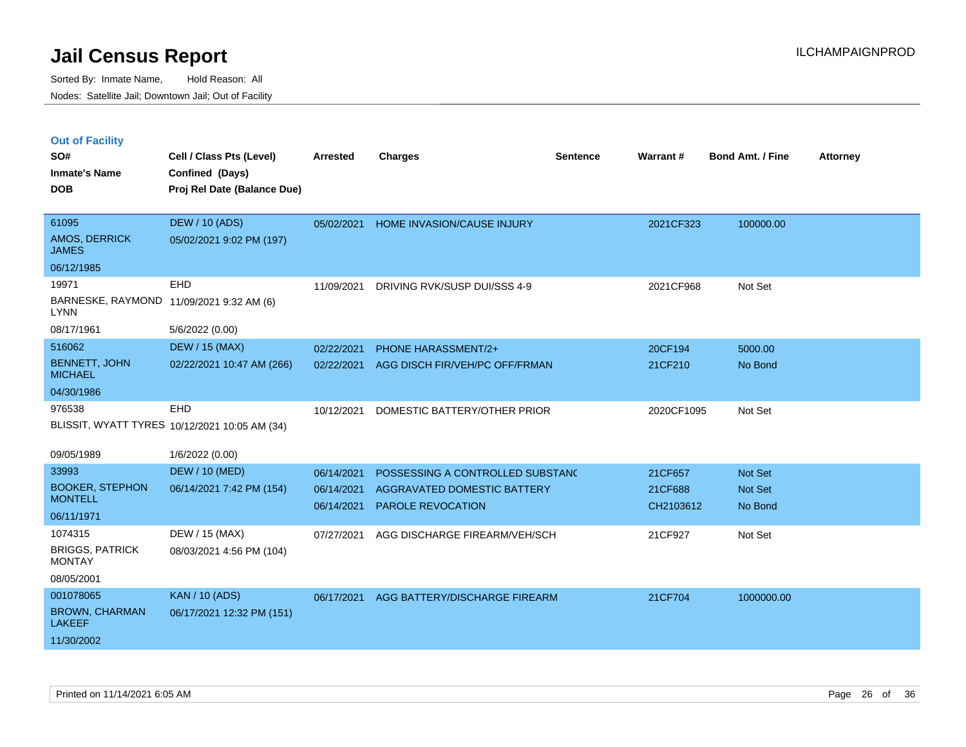| <b>Out of Facility</b> |  |  |
|------------------------|--|--|
|                        |  |  |

| SO#<br><b>Inmate's Name</b><br><b>DOB</b>               | Cell / Class Pts (Level)<br>Confined (Days)<br>Proj Rel Date (Balance Due) | <b>Arrested</b> | <b>Charges</b>                   | <b>Sentence</b> | Warrant#   | Bond Amt. / Fine | <b>Attorney</b> |
|---------------------------------------------------------|----------------------------------------------------------------------------|-----------------|----------------------------------|-----------------|------------|------------------|-----------------|
| 61095<br>AMOS, DERRICK<br><b>JAMES</b>                  | <b>DEW / 10 (ADS)</b><br>05/02/2021 9:02 PM (197)                          | 05/02/2021      | HOME INVASION/CAUSE INJURY       |                 | 2021CF323  | 100000.00        |                 |
| 06/12/1985                                              |                                                                            |                 |                                  |                 |            |                  |                 |
| 19971                                                   | <b>EHD</b>                                                                 | 11/09/2021      | DRIVING RVK/SUSP DUI/SSS 4-9     |                 | 2021CF968  | Not Set          |                 |
| BARNESKE, RAYMOND 11/09/2021 9:32 AM (6)<br><b>LYNN</b> |                                                                            |                 |                                  |                 |            |                  |                 |
| 08/17/1961                                              | 5/6/2022 (0.00)                                                            |                 |                                  |                 |            |                  |                 |
| 516062                                                  | <b>DEW / 15 (MAX)</b>                                                      | 02/22/2021      | <b>PHONE HARASSMENT/2+</b>       |                 | 20CF194    | 5000.00          |                 |
| <b>BENNETT, JOHN</b><br><b>MICHAEL</b>                  | 02/22/2021 10:47 AM (266)                                                  | 02/22/2021      | AGG DISCH FIR/VEH/PC OFF/FRMAN   |                 | 21CF210    | No Bond          |                 |
| 04/30/1986                                              |                                                                            |                 |                                  |                 |            |                  |                 |
| 976538                                                  | EHD                                                                        | 10/12/2021      | DOMESTIC BATTERY/OTHER PRIOR     |                 | 2020CF1095 | Not Set          |                 |
|                                                         | BLISSIT, WYATT TYRES 10/12/2021 10:05 AM (34)                              |                 |                                  |                 |            |                  |                 |
| 09/05/1989                                              | 1/6/2022 (0.00)                                                            |                 |                                  |                 |            |                  |                 |
| 33993                                                   | <b>DEW / 10 (MED)</b>                                                      | 06/14/2021      | POSSESSING A CONTROLLED SUBSTANC |                 | 21CF657    | Not Set          |                 |
| <b>BOOKER, STEPHON</b>                                  | 06/14/2021 7:42 PM (154)                                                   | 06/14/2021      | AGGRAVATED DOMESTIC BATTERY      |                 | 21CF688    | Not Set          |                 |
| <b>MONTELL</b>                                          |                                                                            | 06/14/2021      | <b>PAROLE REVOCATION</b>         |                 | CH2103612  | No Bond          |                 |
| 06/11/1971                                              |                                                                            |                 |                                  |                 |            |                  |                 |
| 1074315                                                 | DEW / 15 (MAX)                                                             | 07/27/2021      | AGG DISCHARGE FIREARM/VEH/SCH    |                 | 21CF927    | Not Set          |                 |
| <b>BRIGGS, PATRICK</b><br><b>MONTAY</b>                 | 08/03/2021 4:56 PM (104)                                                   |                 |                                  |                 |            |                  |                 |
| 08/05/2001                                              |                                                                            |                 |                                  |                 |            |                  |                 |
| 001078065                                               | <b>KAN / 10 (ADS)</b>                                                      | 06/17/2021      | AGG BATTERY/DISCHARGE FIREARM    |                 | 21CF704    | 1000000.00       |                 |
| <b>BROWN, CHARMAN</b><br><b>LAKEEF</b>                  | 06/17/2021 12:32 PM (151)                                                  |                 |                                  |                 |            |                  |                 |
| 11/30/2002                                              |                                                                            |                 |                                  |                 |            |                  |                 |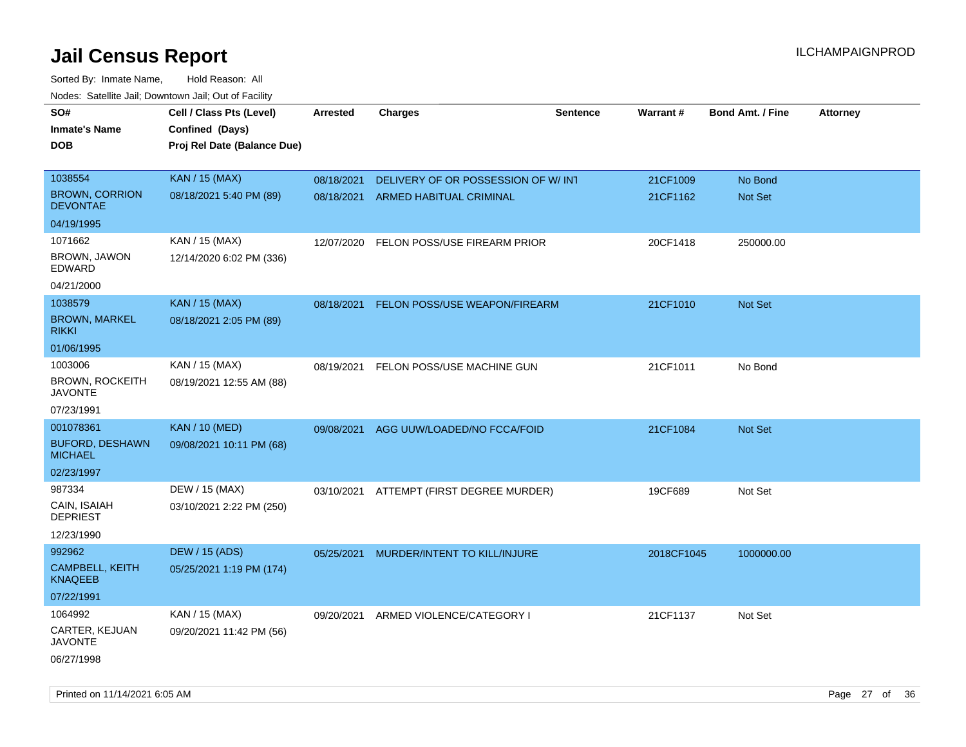| roaco. Catolino dall, Downtown dall, Out of Fability |                             |                 |                                          |                 |            |                         |                 |
|------------------------------------------------------|-----------------------------|-----------------|------------------------------------------|-----------------|------------|-------------------------|-----------------|
| SO#                                                  | Cell / Class Pts (Level)    | <b>Arrested</b> | Charges                                  | <b>Sentence</b> | Warrant#   | <b>Bond Amt. / Fine</b> | <b>Attorney</b> |
| <b>Inmate's Name</b>                                 | Confined (Days)             |                 |                                          |                 |            |                         |                 |
| <b>DOB</b>                                           | Proj Rel Date (Balance Due) |                 |                                          |                 |            |                         |                 |
|                                                      |                             |                 |                                          |                 |            |                         |                 |
| 1038554                                              | <b>KAN / 15 (MAX)</b>       | 08/18/2021      | DELIVERY OF OR POSSESSION OF W/ INT      |                 | 21CF1009   | No Bond                 |                 |
| <b>BROWN, CORRION</b><br><b>DEVONTAE</b>             | 08/18/2021 5:40 PM (89)     | 08/18/2021      | ARMED HABITUAL CRIMINAL                  |                 | 21CF1162   | Not Set                 |                 |
| 04/19/1995                                           |                             |                 |                                          |                 |            |                         |                 |
| 1071662                                              | KAN / 15 (MAX)              | 12/07/2020      | FELON POSS/USE FIREARM PRIOR             |                 | 20CF1418   | 250000.00               |                 |
| BROWN, JAWON<br>EDWARD                               | 12/14/2020 6:02 PM (336)    |                 |                                          |                 |            |                         |                 |
| 04/21/2000                                           |                             |                 |                                          |                 |            |                         |                 |
| 1038579                                              | <b>KAN / 15 (MAX)</b>       | 08/18/2021      | FELON POSS/USE WEAPON/FIREARM            |                 | 21CF1010   | Not Set                 |                 |
| <b>BROWN, MARKEL</b><br><b>RIKKI</b>                 | 08/18/2021 2:05 PM (89)     |                 |                                          |                 |            |                         |                 |
| 01/06/1995                                           |                             |                 |                                          |                 |            |                         |                 |
| 1003006                                              | KAN / 15 (MAX)              | 08/19/2021      | FELON POSS/USE MACHINE GUN               |                 | 21CF1011   | No Bond                 |                 |
| <b>BROWN, ROCKEITH</b><br><b>JAVONTE</b>             | 08/19/2021 12:55 AM (88)    |                 |                                          |                 |            |                         |                 |
| 07/23/1991                                           |                             |                 |                                          |                 |            |                         |                 |
| 001078361                                            | <b>KAN / 10 (MED)</b>       | 09/08/2021      | AGG UUW/LOADED/NO FCCA/FOID              |                 | 21CF1084   | Not Set                 |                 |
| <b>BUFORD, DESHAWN</b><br><b>MICHAEL</b>             | 09/08/2021 10:11 PM (68)    |                 |                                          |                 |            |                         |                 |
| 02/23/1997                                           |                             |                 |                                          |                 |            |                         |                 |
| 987334                                               | DEW / 15 (MAX)              |                 | 03/10/2021 ATTEMPT (FIRST DEGREE MURDER) |                 | 19CF689    | Not Set                 |                 |
| CAIN, ISAIAH<br><b>DEPRIEST</b>                      | 03/10/2021 2:22 PM (250)    |                 |                                          |                 |            |                         |                 |
| 12/23/1990                                           |                             |                 |                                          |                 |            |                         |                 |
| 992962                                               | DEW / 15 (ADS)              | 05/25/2021      | MURDER/INTENT TO KILL/INJURE             |                 | 2018CF1045 | 1000000.00              |                 |
| <b>CAMPBELL, KEITH</b><br><b>KNAQEEB</b>             | 05/25/2021 1:19 PM (174)    |                 |                                          |                 |            |                         |                 |
| 07/22/1991                                           |                             |                 |                                          |                 |            |                         |                 |
| 1064992                                              | KAN / 15 (MAX)              | 09/20/2021      | ARMED VIOLENCE/CATEGORY I                |                 | 21CF1137   | Not Set                 |                 |
| CARTER, KEJUAN<br>JAVONTE                            | 09/20/2021 11:42 PM (56)    |                 |                                          |                 |            |                         |                 |
| 06/27/1998                                           |                             |                 |                                          |                 |            |                         |                 |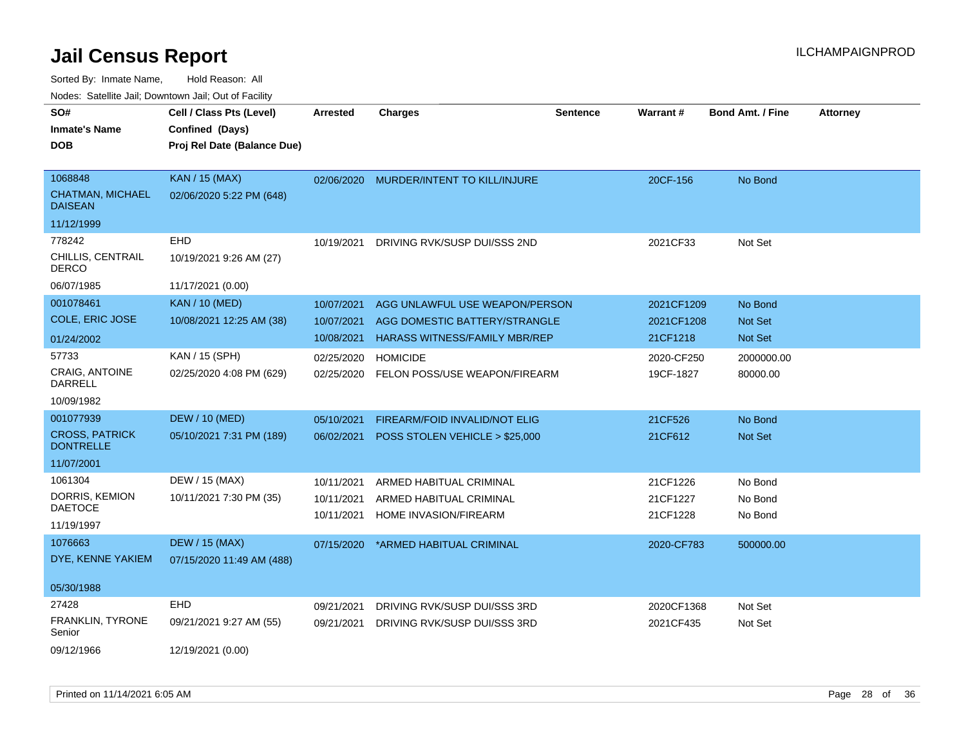| rougs. Calcinic Jan, Downtown Jan, Out of Facility   |                                                                            |                          |                                                                 |                 |                          |                         |                 |
|------------------------------------------------------|----------------------------------------------------------------------------|--------------------------|-----------------------------------------------------------------|-----------------|--------------------------|-------------------------|-----------------|
| SO#<br><b>Inmate's Name</b><br><b>DOB</b>            | Cell / Class Pts (Level)<br>Confined (Days)<br>Proj Rel Date (Balance Due) | <b>Arrested</b>          | <b>Charges</b>                                                  | <b>Sentence</b> | <b>Warrant#</b>          | <b>Bond Amt. / Fine</b> | <b>Attorney</b> |
| 1068848<br><b>CHATMAN, MICHAEL</b><br><b>DAISEAN</b> | <b>KAN / 15 (MAX)</b><br>02/06/2020 5:22 PM (648)                          |                          | 02/06/2020 MURDER/INTENT TO KILL/INJURE                         |                 | 20CF-156                 | No Bond                 |                 |
| 11/12/1999                                           |                                                                            |                          |                                                                 |                 |                          |                         |                 |
| 778242<br>CHILLIS, CENTRAIL<br><b>DERCO</b>          | EHD<br>10/19/2021 9:26 AM (27)                                             | 10/19/2021               | DRIVING RVK/SUSP DUI/SSS 2ND                                    |                 | 2021CF33                 | Not Set                 |                 |
| 06/07/1985                                           | 11/17/2021 (0.00)                                                          |                          |                                                                 |                 |                          |                         |                 |
| 001078461<br>COLE, ERIC JOSE                         | <b>KAN / 10 (MED)</b><br>10/08/2021 12:25 AM (38)                          | 10/07/2021<br>10/07/2021 | AGG UNLAWFUL USE WEAPON/PERSON<br>AGG DOMESTIC BATTERY/STRANGLE |                 | 2021CF1209<br>2021CF1208 | No Bond<br>Not Set      |                 |
| 01/24/2002                                           |                                                                            | 10/08/2021               | <b>HARASS WITNESS/FAMILY MBR/REP</b>                            |                 | 21CF1218                 | Not Set                 |                 |
| 57733<br>CRAIG, ANTOINE<br>DARRELL                   | KAN / 15 (SPH)<br>02/25/2020 4:08 PM (629)                                 | 02/25/2020<br>02/25/2020 | <b>HOMICIDE</b><br>FELON POSS/USE WEAPON/FIREARM                |                 | 2020-CF250<br>19CF-1827  | 2000000.00<br>80000.00  |                 |
| 10/09/1982                                           |                                                                            |                          |                                                                 |                 |                          |                         |                 |
| 001077939                                            | <b>DEW / 10 (MED)</b>                                                      | 05/10/2021               | FIREARM/FOID INVALID/NOT ELIG                                   |                 | 21CF526                  | No Bond                 |                 |
| <b>CROSS, PATRICK</b><br><b>DONTRELLE</b>            | 05/10/2021 7:31 PM (189)                                                   | 06/02/2021               | POSS STOLEN VEHICLE > \$25,000                                  |                 | 21CF612                  | Not Set                 |                 |
| 11/07/2001                                           |                                                                            |                          |                                                                 |                 |                          |                         |                 |
| 1061304                                              | DEW / 15 (MAX)                                                             | 10/11/2021               | ARMED HABITUAL CRIMINAL                                         |                 | 21CF1226                 | No Bond                 |                 |
| DORRIS, KEMION<br><b>DAETOCE</b>                     | 10/11/2021 7:30 PM (35)                                                    | 10/11/2021               | ARMED HABITUAL CRIMINAL                                         |                 | 21CF1227                 | No Bond                 |                 |
| 11/19/1997                                           |                                                                            | 10/11/2021               | <b>HOME INVASION/FIREARM</b>                                    |                 | 21CF1228                 | No Bond                 |                 |
| 1076663<br>DYE, KENNE YAKIEM                         | <b>DEW / 15 (MAX)</b><br>07/15/2020 11:49 AM (488)                         | 07/15/2020               | *ARMED HABITUAL CRIMINAL                                        |                 | 2020-CF783               | 500000.00               |                 |
| 05/30/1988                                           |                                                                            |                          |                                                                 |                 |                          |                         |                 |
| 27428                                                | <b>EHD</b>                                                                 | 09/21/2021               | DRIVING RVK/SUSP DUI/SSS 3RD                                    |                 | 2020CF1368               | Not Set                 |                 |
| FRANKLIN, TYRONE<br>Senior                           | 09/21/2021 9:27 AM (55)                                                    | 09/21/2021               | DRIVING RVK/SUSP DUI/SSS 3RD                                    |                 | 2021CF435                | Not Set                 |                 |
| 09/12/1966                                           | 12/19/2021 (0.00)                                                          |                          |                                                                 |                 |                          |                         |                 |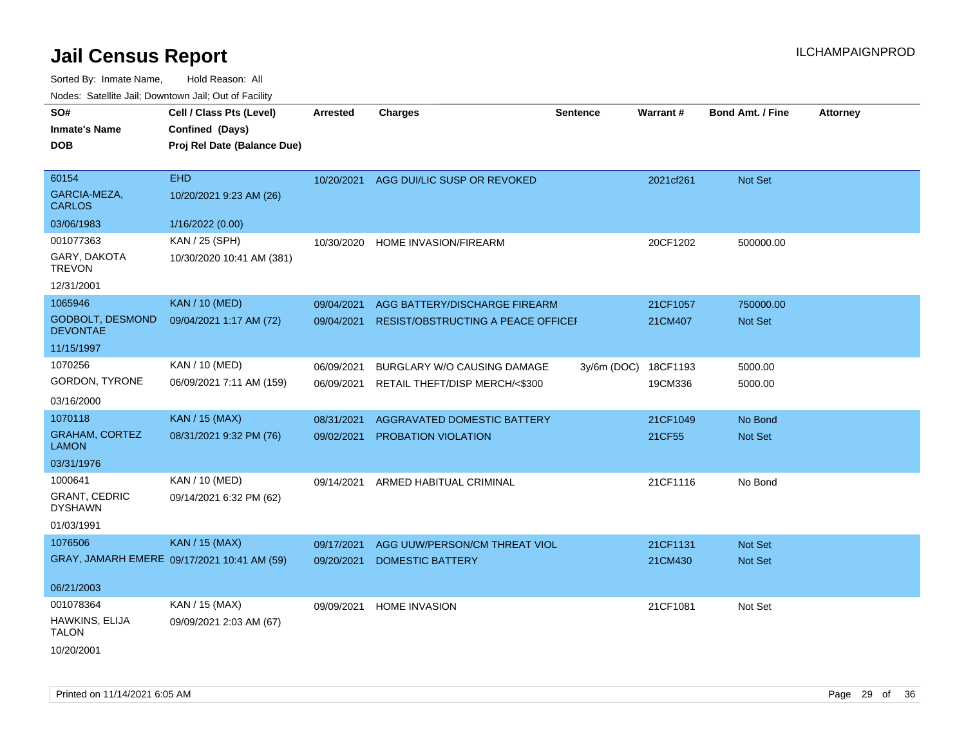Sorted By: Inmate Name, Hold Reason: All

|                                        | Nodes: Satellite Jail; Downtown Jail; Out of Facility |                 |                                        |                 |           |                  |                 |  |
|----------------------------------------|-------------------------------------------------------|-----------------|----------------------------------------|-----------------|-----------|------------------|-----------------|--|
| SO#                                    | Cell / Class Pts (Level)                              | <b>Arrested</b> | <b>Charges</b>                         | <b>Sentence</b> | Warrant#  | Bond Amt. / Fine | <b>Attorney</b> |  |
| <b>Inmate's Name</b>                   | Confined (Days)                                       |                 |                                        |                 |           |                  |                 |  |
| <b>DOB</b>                             | Proj Rel Date (Balance Due)                           |                 |                                        |                 |           |                  |                 |  |
|                                        |                                                       |                 |                                        |                 |           |                  |                 |  |
| 60154                                  | <b>EHD</b>                                            |                 | 10/20/2021 AGG DUI/LIC SUSP OR REVOKED |                 | 2021cf261 | Not Set          |                 |  |
| GARCIA-MEZA,<br><b>CARLOS</b>          | 10/20/2021 9:23 AM (26)                               |                 |                                        |                 |           |                  |                 |  |
| 03/06/1983                             | 1/16/2022 (0.00)                                      |                 |                                        |                 |           |                  |                 |  |
| 001077363                              | KAN / 25 (SPH)                                        | 10/30/2020      | HOME INVASION/FIREARM                  |                 | 20CF1202  | 500000.00        |                 |  |
| GARY, DAKOTA<br><b>TREVON</b>          | 10/30/2020 10:41 AM (381)                             |                 |                                        |                 |           |                  |                 |  |
| 12/31/2001                             |                                                       |                 |                                        |                 |           |                  |                 |  |
| 1065946                                | <b>KAN / 10 (MED)</b>                                 | 09/04/2021      | AGG BATTERY/DISCHARGE FIREARM          |                 | 21CF1057  | 750000.00        |                 |  |
| GODBOLT, DESMOND<br><b>DEVONTAE</b>    | 09/04/2021 1:17 AM (72)                               | 09/04/2021      | RESIST/OBSTRUCTING A PEACE OFFICEF     |                 | 21CM407   | Not Set          |                 |  |
| 11/15/1997                             |                                                       |                 |                                        |                 |           |                  |                 |  |
| 1070256                                | KAN / 10 (MED)                                        | 06/09/2021      | <b>BURGLARY W/O CAUSING DAMAGE</b>     | $3y/6m$ (DOC)   | 18CF1193  | 5000.00          |                 |  |
| <b>GORDON, TYRONE</b>                  | 06/09/2021 7:11 AM (159)                              | 06/09/2021      | RETAIL THEFT/DISP MERCH/<\$300         |                 | 19CM336   | 5000.00          |                 |  |
| 03/16/2000                             |                                                       |                 |                                        |                 |           |                  |                 |  |
| 1070118                                | <b>KAN / 15 (MAX)</b>                                 | 08/31/2021      | AGGRAVATED DOMESTIC BATTERY            |                 | 21CF1049  | No Bond          |                 |  |
| <b>GRAHAM, CORTEZ</b><br><b>LAMON</b>  | 08/31/2021 9:32 PM (76)                               | 09/02/2021      | PROBATION VIOLATION                    |                 | 21CF55    | Not Set          |                 |  |
| 03/31/1976                             |                                                       |                 |                                        |                 |           |                  |                 |  |
| 1000641                                | KAN / 10 (MED)                                        | 09/14/2021      | ARMED HABITUAL CRIMINAL                |                 | 21CF1116  | No Bond          |                 |  |
| <b>GRANT, CEDRIC</b><br><b>DYSHAWN</b> | 09/14/2021 6:32 PM (62)                               |                 |                                        |                 |           |                  |                 |  |
| 01/03/1991                             |                                                       |                 |                                        |                 |           |                  |                 |  |
| 1076506                                | <b>KAN / 15 (MAX)</b>                                 | 09/17/2021      | AGG UUW/PERSON/CM THREAT VIOL          |                 | 21CF1131  | <b>Not Set</b>   |                 |  |
|                                        | GRAY, JAMARH EMERE 09/17/2021 10:41 AM (59)           | 09/20/2021      | <b>DOMESTIC BATTERY</b>                |                 | 21CM430   | Not Set          |                 |  |
| 06/21/2003                             |                                                       |                 |                                        |                 |           |                  |                 |  |
| 001078364                              | KAN / 15 (MAX)                                        | 09/09/2021      | <b>HOME INVASION</b>                   |                 | 21CF1081  | Not Set          |                 |  |
| HAWKINS, ELIJA<br><b>TALON</b>         | 09/09/2021 2:03 AM (67)                               |                 |                                        |                 |           |                  |                 |  |
| 10/20/2001                             |                                                       |                 |                                        |                 |           |                  |                 |  |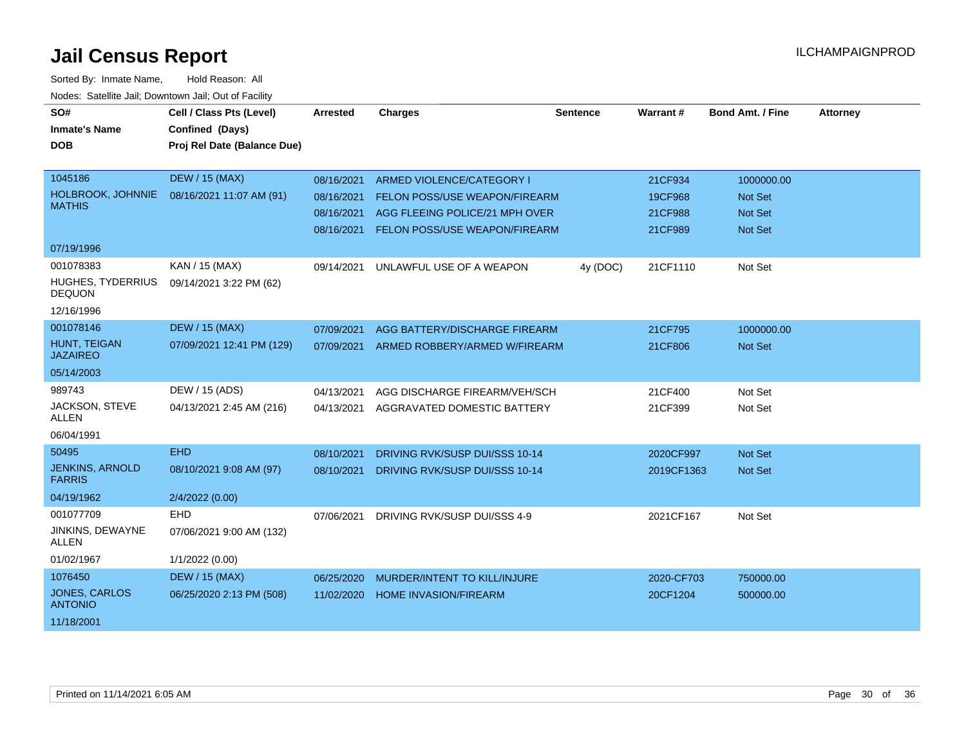| SO#                                     | Cell / Class Pts (Level)    | <b>Arrested</b> | <b>Charges</b>                           | <b>Sentence</b> | Warrant#   | <b>Bond Amt. / Fine</b> | <b>Attorney</b> |
|-----------------------------------------|-----------------------------|-----------------|------------------------------------------|-----------------|------------|-------------------------|-----------------|
| <b>Inmate's Name</b>                    | Confined (Days)             |                 |                                          |                 |            |                         |                 |
| <b>DOB</b>                              | Proj Rel Date (Balance Due) |                 |                                          |                 |            |                         |                 |
|                                         |                             |                 |                                          |                 |            |                         |                 |
| 1045186                                 | <b>DEW / 15 (MAX)</b>       | 08/16/2021      | ARMED VIOLENCE/CATEGORY I                |                 | 21CF934    | 1000000.00              |                 |
| HOLBROOK, JOHNNIE                       | 08/16/2021 11:07 AM (91)    | 08/16/2021      | FELON POSS/USE WEAPON/FIREARM            |                 | 19CF968    | <b>Not Set</b>          |                 |
| <b>MATHIS</b>                           |                             | 08/16/2021      | AGG FLEEING POLICE/21 MPH OVER           |                 | 21CF988    | <b>Not Set</b>          |                 |
|                                         |                             | 08/16/2021      | FELON POSS/USE WEAPON/FIREARM            |                 | 21CF989    | <b>Not Set</b>          |                 |
| 07/19/1996                              |                             |                 |                                          |                 |            |                         |                 |
| 001078383                               | KAN / 15 (MAX)              | 09/14/2021      | UNLAWFUL USE OF A WEAPON                 | 4y (DOC)        | 21CF1110   | Not Set                 |                 |
| HUGHES, TYDERRIUS<br><b>DEQUON</b>      | 09/14/2021 3:22 PM (62)     |                 |                                          |                 |            |                         |                 |
| 12/16/1996                              |                             |                 |                                          |                 |            |                         |                 |
| 001078146                               | <b>DEW / 15 (MAX)</b>       | 07/09/2021      | AGG BATTERY/DISCHARGE FIREARM            |                 | 21CF795    | 1000000.00              |                 |
| HUNT, TEIGAN<br><b>JAZAIREO</b>         | 07/09/2021 12:41 PM (129)   |                 | 07/09/2021 ARMED ROBBERY/ARMED W/FIREARM |                 | 21CF806    | <b>Not Set</b>          |                 |
| 05/14/2003                              |                             |                 |                                          |                 |            |                         |                 |
| 989743                                  | DEW / 15 (ADS)              | 04/13/2021      | AGG DISCHARGE FIREARM/VEH/SCH            |                 | 21CF400    | Not Set                 |                 |
| JACKSON, STEVE<br><b>ALLEN</b>          | 04/13/2021 2:45 AM (216)    | 04/13/2021      | AGGRAVATED DOMESTIC BATTERY              |                 | 21CF399    | Not Set                 |                 |
| 06/04/1991                              |                             |                 |                                          |                 |            |                         |                 |
| 50495                                   | <b>EHD</b>                  | 08/10/2021      | <b>DRIVING RVK/SUSP DUI/SSS 10-14</b>    |                 | 2020CF997  | Not Set                 |                 |
| <b>JENKINS, ARNOLD</b><br><b>FARRIS</b> | 08/10/2021 9:08 AM (97)     | 08/10/2021      | DRIVING RVK/SUSP DUI/SSS 10-14           |                 | 2019CF1363 | <b>Not Set</b>          |                 |
| 04/19/1962                              | 2/4/2022 (0.00)             |                 |                                          |                 |            |                         |                 |
| 001077709                               | <b>EHD</b>                  | 07/06/2021      | DRIVING RVK/SUSP DUI/SSS 4-9             |                 | 2021CF167  | Not Set                 |                 |
| JINKINS, DEWAYNE<br><b>ALLEN</b>        | 07/06/2021 9:00 AM (132)    |                 |                                          |                 |            |                         |                 |
| 01/02/1967                              | 1/1/2022 (0.00)             |                 |                                          |                 |            |                         |                 |
| 1076450                                 | <b>DEW / 15 (MAX)</b>       | 06/25/2020      | MURDER/INTENT TO KILL/INJURE             |                 | 2020-CF703 | 750000.00               |                 |
| JONES, CARLOS<br><b>ANTONIO</b>         | 06/25/2020 2:13 PM (508)    | 11/02/2020      | <b>HOME INVASION/FIREARM</b>             |                 | 20CF1204   | 500000.00               |                 |
| 11/18/2001                              |                             |                 |                                          |                 |            |                         |                 |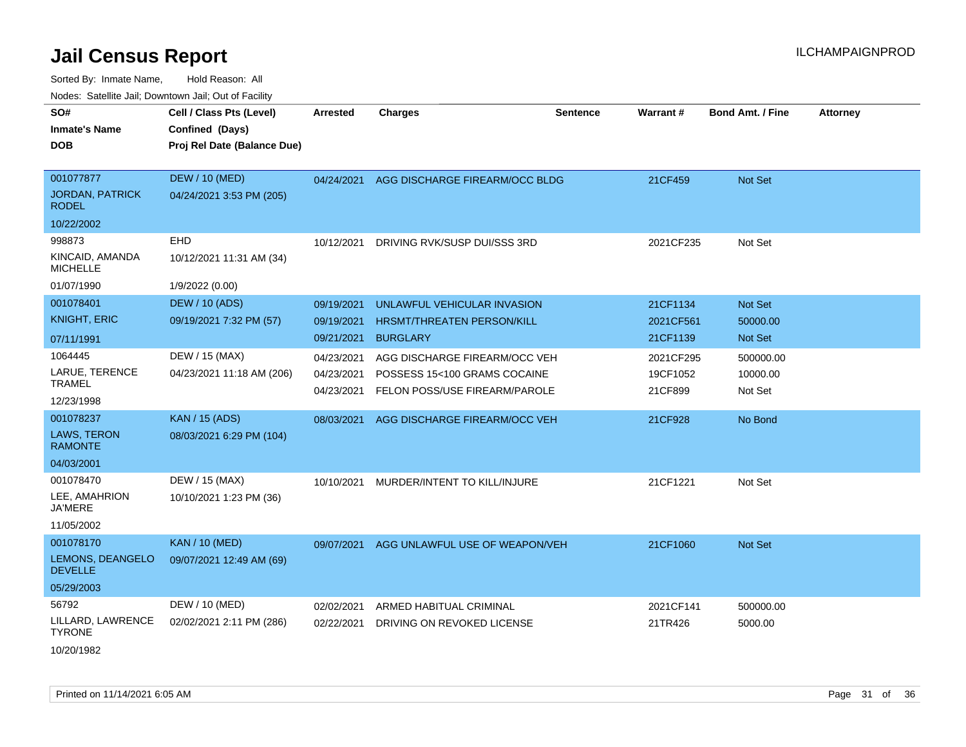| ivouss. Saleline Jali, Downtown Jali, Out of Facility |                             |                 |                                   |                 |           |                         |                 |
|-------------------------------------------------------|-----------------------------|-----------------|-----------------------------------|-----------------|-----------|-------------------------|-----------------|
| SO#                                                   | Cell / Class Pts (Level)    | <b>Arrested</b> | <b>Charges</b>                    | <b>Sentence</b> | Warrant#  | <b>Bond Amt. / Fine</b> | <b>Attorney</b> |
| <b>Inmate's Name</b>                                  | Confined (Days)             |                 |                                   |                 |           |                         |                 |
| <b>DOB</b>                                            | Proj Rel Date (Balance Due) |                 |                                   |                 |           |                         |                 |
|                                                       |                             |                 |                                   |                 |           |                         |                 |
| 001077877                                             | DEW / 10 (MED)              | 04/24/2021      | AGG DISCHARGE FIREARM/OCC BLDG    |                 | 21CF459   | <b>Not Set</b>          |                 |
| <b>JORDAN, PATRICK</b><br><b>RODEL</b>                | 04/24/2021 3:53 PM (205)    |                 |                                   |                 |           |                         |                 |
| 10/22/2002                                            |                             |                 |                                   |                 |           |                         |                 |
| 998873                                                | EHD                         | 10/12/2021      | DRIVING RVK/SUSP DUI/SSS 3RD      |                 | 2021CF235 | Not Set                 |                 |
| KINCAID, AMANDA<br><b>MICHELLE</b>                    | 10/12/2021 11:31 AM (34)    |                 |                                   |                 |           |                         |                 |
| 01/07/1990                                            | 1/9/2022 (0.00)             |                 |                                   |                 |           |                         |                 |
| 001078401                                             | <b>DEW / 10 (ADS)</b>       | 09/19/2021      | UNLAWFUL VEHICULAR INVASION       |                 | 21CF1134  | Not Set                 |                 |
| <b>KNIGHT, ERIC</b>                                   | 09/19/2021 7:32 PM (57)     | 09/19/2021      | <b>HRSMT/THREATEN PERSON/KILL</b> |                 | 2021CF561 | 50000.00                |                 |
| 07/11/1991                                            |                             | 09/21/2021      | <b>BURGLARY</b>                   |                 | 21CF1139  | Not Set                 |                 |
| 1064445                                               | DEW / 15 (MAX)              | 04/23/2021      | AGG DISCHARGE FIREARM/OCC VEH     |                 | 2021CF295 | 500000.00               |                 |
| LARUE, TERENCE                                        | 04/23/2021 11:18 AM (206)   | 04/23/2021      | POSSESS 15<100 GRAMS COCAINE      |                 | 19CF1052  | 10000.00                |                 |
| <b>TRAMEL</b>                                         |                             | 04/23/2021      | FELON POSS/USE FIREARM/PAROLE     |                 | 21CF899   | Not Set                 |                 |
| 12/23/1998                                            |                             |                 |                                   |                 |           |                         |                 |
| 001078237                                             | <b>KAN / 15 (ADS)</b>       | 08/03/2021      | AGG DISCHARGE FIREARM/OCC VEH     |                 | 21CF928   | No Bond                 |                 |
| LAWS, TERON<br><b>RAMONTE</b>                         | 08/03/2021 6:29 PM (104)    |                 |                                   |                 |           |                         |                 |
| 04/03/2001                                            |                             |                 |                                   |                 |           |                         |                 |
| 001078470                                             | DEW / 15 (MAX)              | 10/10/2021      | MURDER/INTENT TO KILL/INJURE      |                 | 21CF1221  | Not Set                 |                 |
| LEE, AMAHRION<br><b>JA'MERE</b>                       | 10/10/2021 1:23 PM (36)     |                 |                                   |                 |           |                         |                 |
| 11/05/2002                                            |                             |                 |                                   |                 |           |                         |                 |
| 001078170                                             | <b>KAN / 10 (MED)</b>       | 09/07/2021      | AGG UNLAWFUL USE OF WEAPON/VEH    |                 | 21CF1060  | <b>Not Set</b>          |                 |
| LEMONS, DEANGELO<br><b>DEVELLE</b>                    | 09/07/2021 12:49 AM (69)    |                 |                                   |                 |           |                         |                 |
| 05/29/2003                                            |                             |                 |                                   |                 |           |                         |                 |
| 56792                                                 | DEW / 10 (MED)              | 02/02/2021      | ARMED HABITUAL CRIMINAL           |                 | 2021CF141 | 500000.00               |                 |
| LILLARD, LAWRENCE<br><b>TYRONE</b>                    | 02/02/2021 2:11 PM (286)    | 02/22/2021      | DRIVING ON REVOKED LICENSE        |                 | 21TR426   | 5000.00                 |                 |
| 10/20/1982                                            |                             |                 |                                   |                 |           |                         |                 |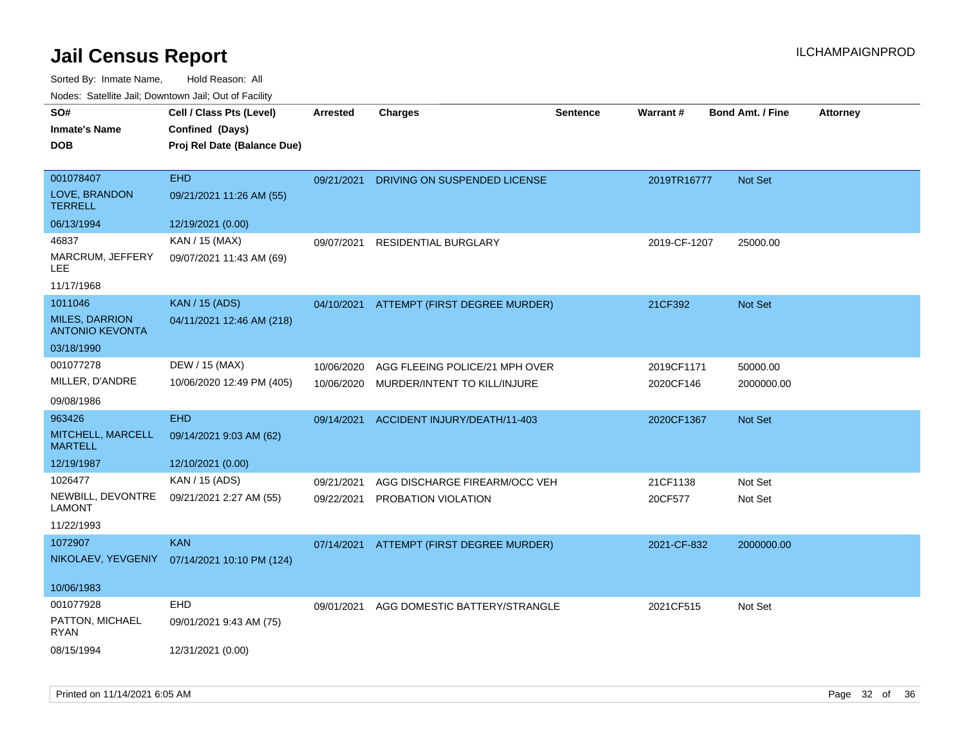Sorted By: Inmate Name, Hold Reason: All

|  |  | Nodes: Satellite Jail; Downtown Jail; Out of Facility |  |
|--|--|-------------------------------------------------------|--|
|--|--|-------------------------------------------------------|--|

| SO#<br><b>Inmate's Name</b>              | Cell / Class Pts (Level)<br>Confined (Days) | <b>Arrested</b> | <b>Charges</b>                           | <b>Sentence</b> | <b>Warrant#</b> | <b>Bond Amt. / Fine</b> | Attorney |
|------------------------------------------|---------------------------------------------|-----------------|------------------------------------------|-----------------|-----------------|-------------------------|----------|
| <b>DOB</b>                               | Proj Rel Date (Balance Due)                 |                 |                                          |                 |                 |                         |          |
| 001078407                                | <b>EHD</b>                                  | 09/21/2021      | DRIVING ON SUSPENDED LICENSE             |                 | 2019TR16777     | Not Set                 |          |
| LOVE, BRANDON<br><b>TERRELL</b>          | 09/21/2021 11:26 AM (55)                    |                 |                                          |                 |                 |                         |          |
| 06/13/1994                               | 12/19/2021 (0.00)                           |                 |                                          |                 |                 |                         |          |
| 46837                                    | KAN / 15 (MAX)                              | 09/07/2021      | <b>RESIDENTIAL BURGLARY</b>              |                 | 2019-CF-1207    | 25000.00                |          |
| MARCRUM, JEFFERY<br><b>LEE</b>           | 09/07/2021 11:43 AM (69)                    |                 |                                          |                 |                 |                         |          |
| 11/17/1968                               |                                             |                 |                                          |                 |                 |                         |          |
| 1011046                                  | <b>KAN / 15 (ADS)</b>                       |                 | 04/10/2021 ATTEMPT (FIRST DEGREE MURDER) |                 | 21CF392         | Not Set                 |          |
| MILES, DARRION<br><b>ANTONIO KEVONTA</b> | 04/11/2021 12:46 AM (218)                   |                 |                                          |                 |                 |                         |          |
| 03/18/1990                               |                                             |                 |                                          |                 |                 |                         |          |
| 001077278                                | DEW / 15 (MAX)                              | 10/06/2020      | AGG FLEEING POLICE/21 MPH OVER           |                 | 2019CF1171      | 50000.00                |          |
| MILLER, D'ANDRE                          | 10/06/2020 12:49 PM (405)                   | 10/06/2020      | MURDER/INTENT TO KILL/INJURE             |                 | 2020CF146       | 2000000.00              |          |
| 09/08/1986                               |                                             |                 |                                          |                 |                 |                         |          |
| 963426                                   | <b>EHD</b>                                  | 09/14/2021      | ACCIDENT INJURY/DEATH/11-403             |                 | 2020CF1367      | Not Set                 |          |
| MITCHELL, MARCELL<br><b>MARTELL</b>      | 09/14/2021 9:03 AM (62)                     |                 |                                          |                 |                 |                         |          |
| 12/19/1987                               | 12/10/2021 (0.00)                           |                 |                                          |                 |                 |                         |          |
| 1026477                                  | KAN / 15 (ADS)                              | 09/21/2021      | AGG DISCHARGE FIREARM/OCC VEH            |                 | 21CF1138        | Not Set                 |          |
| NEWBILL, DEVONTRE<br><b>LAMONT</b>       | 09/21/2021 2:27 AM (55)                     | 09/22/2021      | PROBATION VIOLATION                      |                 | 20CF577         | Not Set                 |          |
| 11/22/1993                               |                                             |                 |                                          |                 |                 |                         |          |
| 1072907                                  | <b>KAN</b>                                  | 07/14/2021      | ATTEMPT (FIRST DEGREE MURDER)            |                 | 2021-CF-832     | 2000000.00              |          |
| NIKOLAEV, YEVGENIY                       | 07/14/2021 10:10 PM (124)                   |                 |                                          |                 |                 |                         |          |
| 10/06/1983                               |                                             |                 |                                          |                 |                 |                         |          |
| 001077928                                | EHD                                         | 09/01/2021      | AGG DOMESTIC BATTERY/STRANGLE            |                 | 2021CF515       | Not Set                 |          |
| PATTON, MICHAEL<br><b>RYAN</b>           | 09/01/2021 9:43 AM (75)                     |                 |                                          |                 |                 |                         |          |
| 08/15/1994                               | 12/31/2021 (0.00)                           |                 |                                          |                 |                 |                         |          |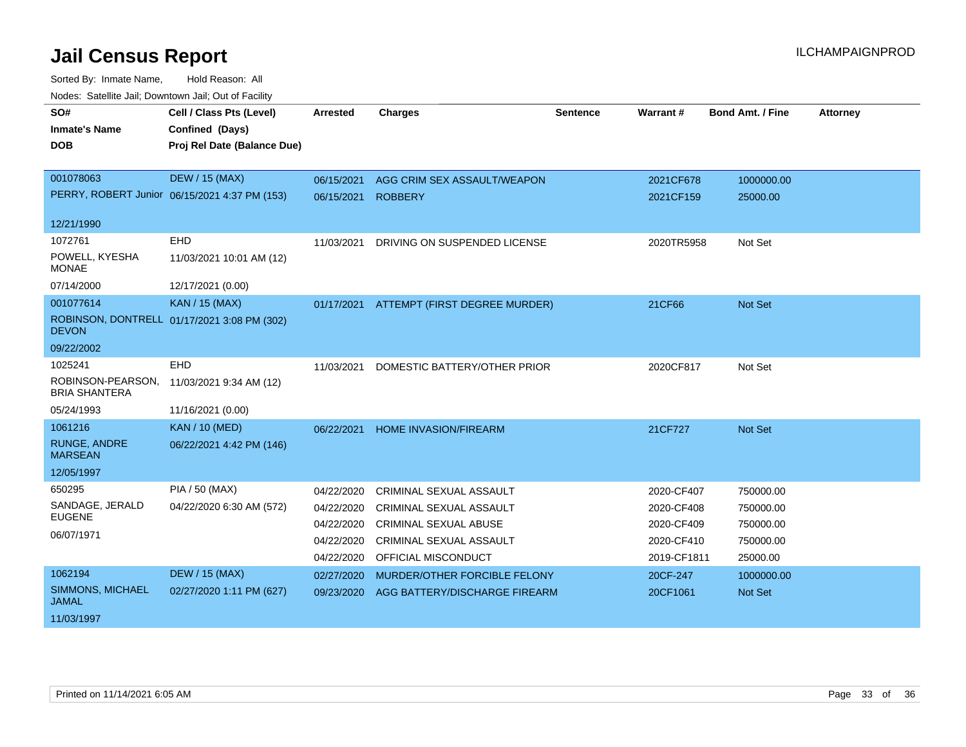| SO#                                       | Cell / Class Pts (Level)                      | <b>Arrested</b> | <b>Charges</b>                 | <b>Sentence</b> | Warrant#    | <b>Bond Amt. / Fine</b> | <b>Attorney</b> |
|-------------------------------------------|-----------------------------------------------|-----------------|--------------------------------|-----------------|-------------|-------------------------|-----------------|
| <b>Inmate's Name</b>                      | Confined (Days)                               |                 |                                |                 |             |                         |                 |
| <b>DOB</b>                                | Proj Rel Date (Balance Due)                   |                 |                                |                 |             |                         |                 |
|                                           |                                               |                 |                                |                 |             |                         |                 |
| 001078063                                 | <b>DEW / 15 (MAX)</b>                         | 06/15/2021      | AGG CRIM SEX ASSAULT/WEAPON    |                 | 2021CF678   | 1000000.00              |                 |
|                                           | PERRY, ROBERT Junior 06/15/2021 4:37 PM (153) | 06/15/2021      | <b>ROBBERY</b>                 |                 | 2021CF159   | 25000.00                |                 |
| 12/21/1990                                |                                               |                 |                                |                 |             |                         |                 |
| 1072761                                   | <b>EHD</b>                                    | 11/03/2021      | DRIVING ON SUSPENDED LICENSE   |                 | 2020TR5958  | Not Set                 |                 |
| POWELL, KYESHA<br><b>MONAE</b>            | 11/03/2021 10:01 AM (12)                      |                 |                                |                 |             |                         |                 |
| 07/14/2000                                | 12/17/2021 (0.00)                             |                 |                                |                 |             |                         |                 |
| 001077614                                 | <b>KAN / 15 (MAX)</b>                         | 01/17/2021      | ATTEMPT (FIRST DEGREE MURDER)  |                 | 21CF66      | Not Set                 |                 |
| <b>DEVON</b>                              | ROBINSON, DONTRELL 01/17/2021 3:08 PM (302)   |                 |                                |                 |             |                         |                 |
| 09/22/2002                                |                                               |                 |                                |                 |             |                         |                 |
| 1025241                                   | <b>EHD</b>                                    | 11/03/2021      | DOMESTIC BATTERY/OTHER PRIOR   |                 | 2020CF817   | Not Set                 |                 |
| ROBINSON-PEARSON,<br><b>BRIA SHANTERA</b> | 11/03/2021 9:34 AM (12)                       |                 |                                |                 |             |                         |                 |
| 05/24/1993                                | 11/16/2021 (0.00)                             |                 |                                |                 |             |                         |                 |
| 1061216                                   | <b>KAN / 10 (MED)</b>                         | 06/22/2021      | <b>HOME INVASION/FIREARM</b>   |                 | 21CF727     | <b>Not Set</b>          |                 |
| <b>RUNGE, ANDRE</b><br><b>MARSEAN</b>     | 06/22/2021 4:42 PM (146)                      |                 |                                |                 |             |                         |                 |
| 12/05/1997                                |                                               |                 |                                |                 |             |                         |                 |
| 650295                                    | PIA / 50 (MAX)                                | 04/22/2020      | <b>CRIMINAL SEXUAL ASSAULT</b> |                 | 2020-CF407  | 750000.00               |                 |
| SANDAGE, JERALD                           | 04/22/2020 6:30 AM (572)                      | 04/22/2020      | CRIMINAL SEXUAL ASSAULT        |                 | 2020-CF408  | 750000.00               |                 |
| <b>EUGENE</b>                             |                                               | 04/22/2020      | <b>CRIMINAL SEXUAL ABUSE</b>   |                 | 2020-CF409  | 750000.00               |                 |
| 06/07/1971                                |                                               | 04/22/2020      | CRIMINAL SEXUAL ASSAULT        |                 | 2020-CF410  | 750000.00               |                 |
|                                           |                                               | 04/22/2020      | <b>OFFICIAL MISCONDUCT</b>     |                 | 2019-CF1811 | 25000.00                |                 |
| 1062194                                   | <b>DEW / 15 (MAX)</b>                         | 02/27/2020      | MURDER/OTHER FORCIBLE FELONY   |                 | 20CF-247    | 1000000.00              |                 |
| SIMMONS, MICHAEL<br><b>JAMAL</b>          | 02/27/2020 1:11 PM (627)                      | 09/23/2020      | AGG BATTERY/DISCHARGE FIREARM  |                 | 20CF1061    | Not Set                 |                 |
| 11/03/1997                                |                                               |                 |                                |                 |             |                         |                 |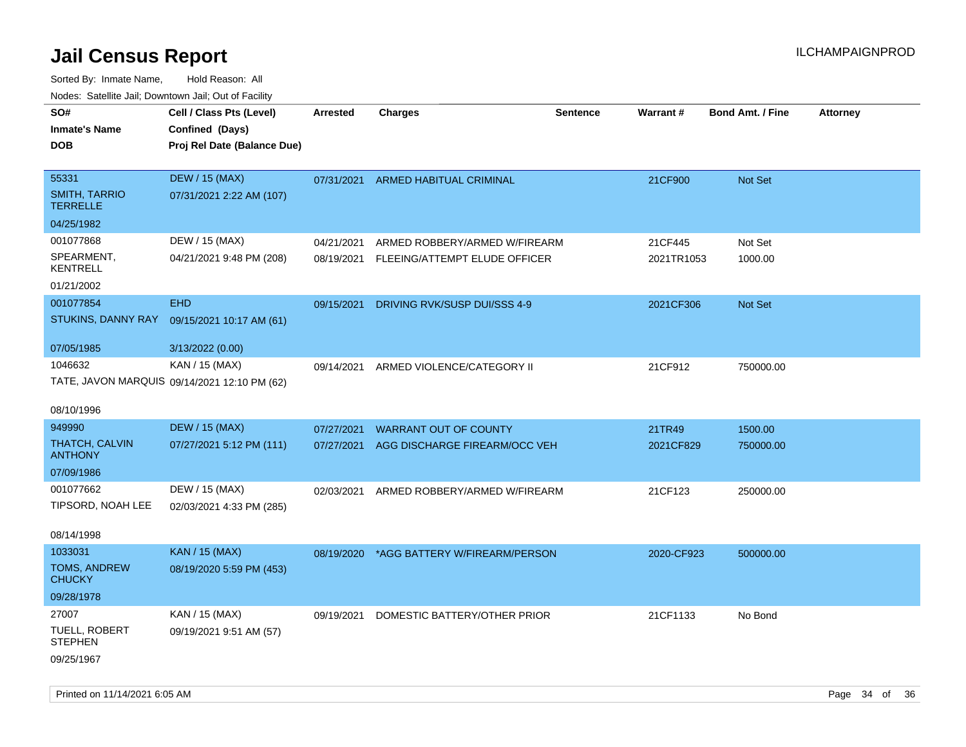| rouco. Calcillo Jali, Downtown Jali, Out of Facility |                                              |                 |                                    |                 |            |                         |                 |
|------------------------------------------------------|----------------------------------------------|-----------------|------------------------------------|-----------------|------------|-------------------------|-----------------|
| SO#                                                  | Cell / Class Pts (Level)                     | <b>Arrested</b> | <b>Charges</b>                     | <b>Sentence</b> | Warrant#   | <b>Bond Amt. / Fine</b> | <b>Attorney</b> |
| <b>Inmate's Name</b>                                 | Confined (Days)                              |                 |                                    |                 |            |                         |                 |
| DOB                                                  | Proj Rel Date (Balance Due)                  |                 |                                    |                 |            |                         |                 |
|                                                      |                                              |                 |                                    |                 |            |                         |                 |
| 55331                                                | <b>DEW / 15 (MAX)</b>                        |                 | 07/31/2021 ARMED HABITUAL CRIMINAL |                 | 21CF900    | Not Set                 |                 |
| <b>SMITH, TARRIO</b><br>TERRELLE                     | 07/31/2021 2:22 AM (107)                     |                 |                                    |                 |            |                         |                 |
| 04/25/1982                                           |                                              |                 |                                    |                 |            |                         |                 |
| 001077868                                            | DEW / 15 (MAX)                               | 04/21/2021      | ARMED ROBBERY/ARMED W/FIREARM      |                 | 21CF445    | Not Set                 |                 |
| SPEARMENT,<br>KENTRELL                               | 04/21/2021 9:48 PM (208)                     | 08/19/2021      | FLEEING/ATTEMPT ELUDE OFFICER      |                 | 2021TR1053 | 1000.00                 |                 |
| 01/21/2002                                           |                                              |                 |                                    |                 |            |                         |                 |
| 001077854                                            | <b>EHD</b>                                   | 09/15/2021      | DRIVING RVK/SUSP DUI/SSS 4-9       |                 | 2021CF306  | <b>Not Set</b>          |                 |
|                                                      | STUKINS, DANNY RAY 09/15/2021 10:17 AM (61)  |                 |                                    |                 |            |                         |                 |
|                                                      |                                              |                 |                                    |                 |            |                         |                 |
| 07/05/1985                                           | 3/13/2022 (0.00)                             |                 |                                    |                 |            |                         |                 |
| 1046632                                              | KAN / 15 (MAX)                               | 09/14/2021      | ARMED VIOLENCE/CATEGORY II         |                 | 21CF912    | 750000.00               |                 |
|                                                      | TATE, JAVON MARQUIS 09/14/2021 12:10 PM (62) |                 |                                    |                 |            |                         |                 |
| 08/10/1996                                           |                                              |                 |                                    |                 |            |                         |                 |
|                                                      |                                              |                 |                                    |                 |            |                         |                 |
| 949990                                               | <b>DEW / 15 (MAX)</b>                        | 07/27/2021      | WARRANT OUT OF COUNTY              |                 | 21TR49     | 1500.00                 |                 |
| THATCH, CALVIN<br><b>ANTHONY</b>                     | 07/27/2021 5:12 PM (111)                     | 07/27/2021      | AGG DISCHARGE FIREARM/OCC VEH      |                 | 2021CF829  | 750000.00               |                 |
| 07/09/1986                                           |                                              |                 |                                    |                 |            |                         |                 |
| 001077662                                            | DEW / 15 (MAX)                               | 02/03/2021      | ARMED ROBBERY/ARMED W/FIREARM      |                 | 21CF123    | 250000.00               |                 |
| TIPSORD, NOAH LEE                                    | 02/03/2021 4:33 PM (285)                     |                 |                                    |                 |            |                         |                 |
|                                                      |                                              |                 |                                    |                 |            |                         |                 |
| 08/14/1998                                           |                                              |                 |                                    |                 |            |                         |                 |
| 1033031                                              | <b>KAN / 15 (MAX)</b>                        | 08/19/2020      | *AGG BATTERY W/FIREARM/PERSON      |                 | 2020-CF923 | 500000.00               |                 |
| <b>TOMS, ANDREW</b><br>CHUCKY                        | 08/19/2020 5:59 PM (453)                     |                 |                                    |                 |            |                         |                 |
| 09/28/1978                                           |                                              |                 |                                    |                 |            |                         |                 |
| 27007                                                | KAN / 15 (MAX)                               | 09/19/2021      | DOMESTIC BATTERY/OTHER PRIOR       |                 | 21CF1133   | No Bond                 |                 |
| TUELL, ROBERT<br>STEPHEN                             | 09/19/2021 9:51 AM (57)                      |                 |                                    |                 |            |                         |                 |
| 09/25/1967                                           |                                              |                 |                                    |                 |            |                         |                 |
|                                                      |                                              |                 |                                    |                 |            |                         |                 |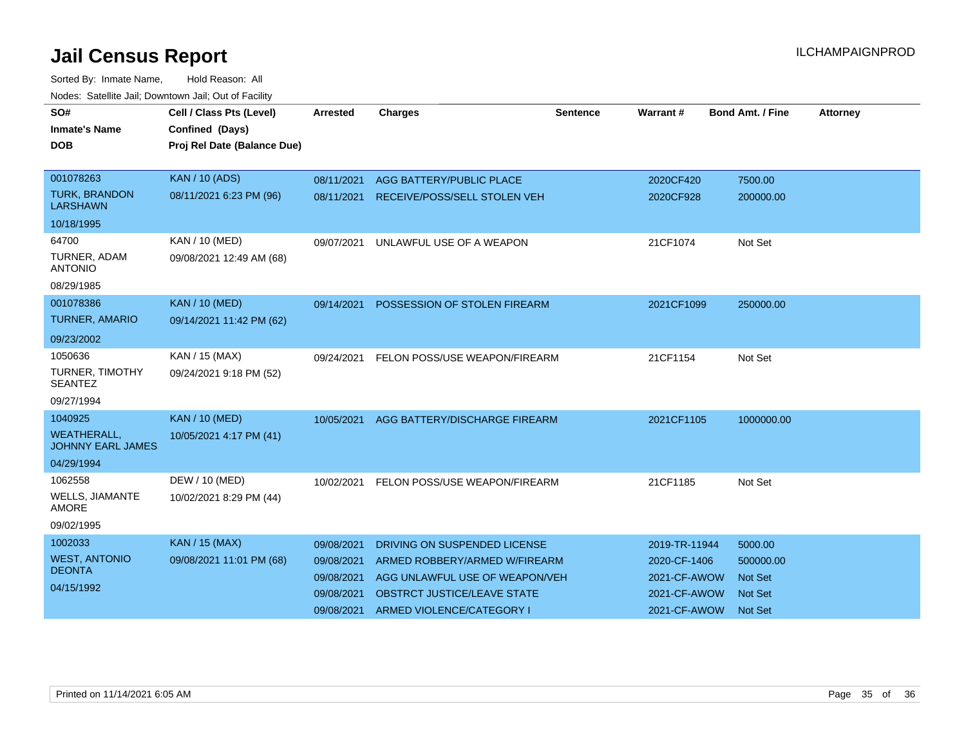| SO#<br><b>Inmate's Name</b><br><b>DOB</b>      | Cell / Class Pts (Level)<br>Confined (Days)<br>Proj Rel Date (Balance Due) | <b>Arrested</b> | <b>Charges</b>                  | <b>Sentence</b> | <b>Warrant#</b> | <b>Bond Amt. / Fine</b> | Attorney |
|------------------------------------------------|----------------------------------------------------------------------------|-----------------|---------------------------------|-----------------|-----------------|-------------------------|----------|
|                                                |                                                                            |                 |                                 |                 |                 |                         |          |
| 001078263                                      | <b>KAN / 10 (ADS)</b>                                                      | 08/11/2021      | <b>AGG BATTERY/PUBLIC PLACE</b> |                 | 2020CF420       | 7500.00                 |          |
| <b>TURK, BRANDON</b><br><b>LARSHAWN</b>        | 08/11/2021 6:23 PM (96)                                                    | 08/11/2021      | RECEIVE/POSS/SELL STOLEN VEH    |                 | 2020CF928       | 200000.00               |          |
| 10/18/1995                                     |                                                                            |                 |                                 |                 |                 |                         |          |
| 64700                                          | <b>KAN / 10 (MED)</b>                                                      | 09/07/2021      | UNLAWFUL USE OF A WEAPON        |                 | 21CF1074        | Not Set                 |          |
| TURNER, ADAM<br><b>ANTONIO</b>                 | 09/08/2021 12:49 AM (68)                                                   |                 |                                 |                 |                 |                         |          |
| 08/29/1985                                     |                                                                            |                 |                                 |                 |                 |                         |          |
| 001078386                                      | <b>KAN / 10 (MED)</b>                                                      | 09/14/2021      | POSSESSION OF STOLEN FIREARM    |                 | 2021CF1099      | 250000.00               |          |
| <b>TURNER, AMARIO</b>                          | 09/14/2021 11:42 PM (62)                                                   |                 |                                 |                 |                 |                         |          |
| 09/23/2002                                     |                                                                            |                 |                                 |                 |                 |                         |          |
| 1050636                                        | KAN / 15 (MAX)                                                             | 09/24/2021      | FELON POSS/USE WEAPON/FIREARM   |                 | 21CF1154        | Not Set                 |          |
| TURNER, TIMOTHY<br><b>SEANTEZ</b>              | 09/24/2021 9:18 PM (52)                                                    |                 |                                 |                 |                 |                         |          |
| 09/27/1994                                     |                                                                            |                 |                                 |                 |                 |                         |          |
| 1040925                                        | <b>KAN / 10 (MED)</b>                                                      | 10/05/2021      | AGG BATTERY/DISCHARGE FIREARM   |                 | 2021CF1105      | 1000000.00              |          |
| <b>WEATHERALL,</b><br><b>JOHNNY EARL JAMES</b> | 10/05/2021 4:17 PM (41)                                                    |                 |                                 |                 |                 |                         |          |
| 04/29/1994                                     |                                                                            |                 |                                 |                 |                 |                         |          |
| 1062558                                        | DEW / 10 (MED)                                                             | 10/02/2021      | FELON POSS/USE WEAPON/FIREARM   |                 | 21CF1185        | Not Set                 |          |
| <b>WELLS, JIAMANTE</b><br><b>AMORE</b>         | 10/02/2021 8:29 PM (44)                                                    |                 |                                 |                 |                 |                         |          |
| 09/02/1995                                     |                                                                            |                 |                                 |                 |                 |                         |          |
| 1002033                                        | <b>KAN / 15 (MAX)</b>                                                      | 09/08/2021      | DRIVING ON SUSPENDED LICENSE    |                 | 2019-TR-11944   | 5000.00                 |          |
| <b>WEST, ANTONIO</b>                           | 09/08/2021 11:01 PM (68)                                                   | 09/08/2021      | ARMED ROBBERY/ARMED W/FIREARM   |                 | 2020-CF-1406    | 500000.00               |          |
| <b>DEONTA</b>                                  |                                                                            | 09/08/2021      | AGG UNLAWFUL USE OF WEAPON/VEH  |                 | 2021-CF-AWOW    | <b>Not Set</b>          |          |
| 04/15/1992                                     |                                                                            | 09/08/2021      | OBSTRCT JUSTICE/LEAVE STATE     |                 | 2021-CF-AWOW    | <b>Not Set</b>          |          |
|                                                |                                                                            | 09/08/2021      | ARMED VIOLENCE/CATEGORY I       |                 | 2021-CF-AWOW    | <b>Not Set</b>          |          |